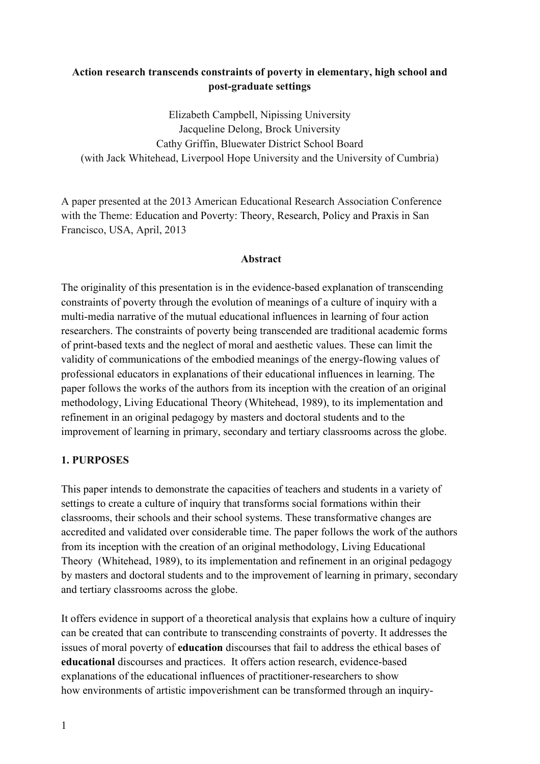## **Action research transcends constraints of poverty in elementary, high school and post-graduate settings**

Elizabeth Campbell, Nipissing University Jacqueline Delong, Brock University Cathy Griffin, Bluewater District School Board (with Jack Whitehead, Liverpool Hope University and the University of Cumbria)

A paper presented at the 2013 American Educational Research Association Conference with the Theme: Education and Poverty: Theory, Research, Policy and Praxis in San Francisco, USA, April, 2013

### **Abstract**

The originality of this presentation is in the evidence-based explanation of transcending constraints of poverty through the evolution of meanings of a culture of inquiry with a multi-media narrative of the mutual educational influences in learning of four action researchers. The constraints of poverty being transcended are traditional academic forms of print-based texts and the neglect of moral and aesthetic values. These can limit the validity of communications of the embodied meanings of the energy-flowing values of professional educators in explanations of their educational influences in learning. The paper follows the works of the authors from its inception with the creation of an original methodology, Living Educational Theory (Whitehead, 1989), to its implementation and refinement in an original pedagogy by masters and doctoral students and to the improvement of learning in primary, secondary and tertiary classrooms across the globe.

### **1. PURPOSES**

This paper intends to demonstrate the capacities of teachers and students in a variety of settings to create a culture of inquiry that transforms social formations within their classrooms, their schools and their school systems. These transformative changes are accredited and validated over considerable time. The paper follows the work of the authors from its inception with the creation of an original methodology, Living Educational Theory (Whitehead, 1989), to its implementation and refinement in an original pedagogy by masters and doctoral students and to the improvement of learning in primary, secondary and tertiary classrooms across the globe.

It offers evidence in support of a theoretical analysis that explains how a culture of inquiry can be created that can contribute to transcending constraints of poverty. It addresses the issues of moral poverty of **education** discourses that fail to address the ethical bases of **educational** discourses and practices. It offers action research, evidence-based explanations of the educational influences of practitioner-researchers to show how environments of artistic impoverishment can be transformed through an inquiry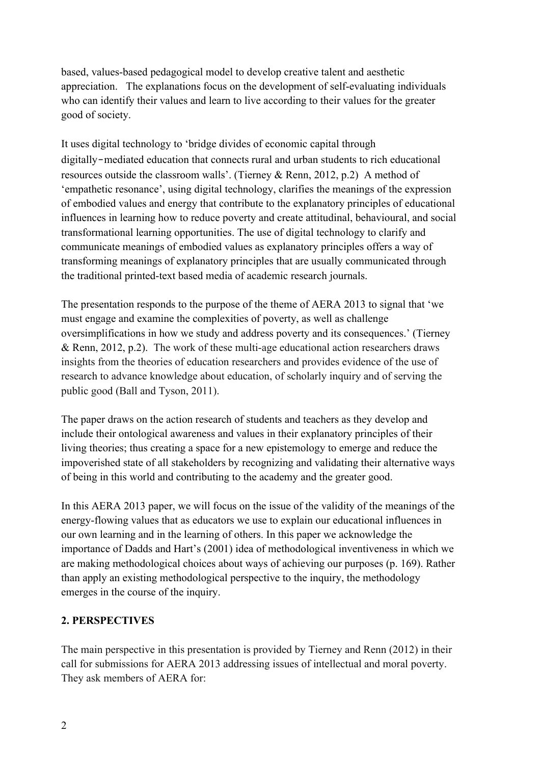based, values-based pedagogical model to develop creative talent and aesthetic appreciation. The explanations focus on the development of self-evaluating individuals who can identify their values and learn to live according to their values for the greater good of society.

It uses digital technology to 'bridge divides of economic capital through digitally‐mediated education that connects rural and urban students to rich educational resources outside the classroom walls'. (Tierney & Renn, 2012, p.2) A method of 'empathetic resonance', using digital technology, clarifies the meanings of the expression of embodied values and energy that contribute to the explanatory principles of educational influences in learning how to reduce poverty and create attitudinal, behavioural, and social transformational learning opportunities. The use of digital technology to clarify and communicate meanings of embodied values as explanatory principles offers a way of transforming meanings of explanatory principles that are usually communicated through the traditional printed-text based media of academic research journals.

The presentation responds to the purpose of the theme of AERA 2013 to signal that 'we must engage and examine the complexities of poverty, as well as challenge oversimplifications in how we study and address poverty and its consequences.' (Tierney & Renn, 2012, p.2). The work of these multi-age educational action researchers draws insights from the theories of education researchers and provides evidence of the use of research to advance knowledge about education, of scholarly inquiry and of serving the public good (Ball and Tyson, 2011).

The paper draws on the action research of students and teachers as they develop and include their ontological awareness and values in their explanatory principles of their living theories; thus creating a space for a new epistemology to emerge and reduce the impoverished state of all stakeholders by recognizing and validating their alternative ways of being in this world and contributing to the academy and the greater good.

In this AERA 2013 paper, we will focus on the issue of the validity of the meanings of the energy-flowing values that as educators we use to explain our educational influences in our own learning and in the learning of others. In this paper we acknowledge the importance of Dadds and Hart's (2001) idea of methodological inventiveness in which we are making methodological choices about ways of achieving our purposes (p. 169). Rather than apply an existing methodological perspective to the inquiry, the methodology emerges in the course of the inquiry.

# **2. PERSPECTIVES**

The main perspective in this presentation is provided by Tierney and Renn (2012) in their call for submissions for AERA 2013 addressing issues of intellectual and moral poverty. They ask members of AERA for: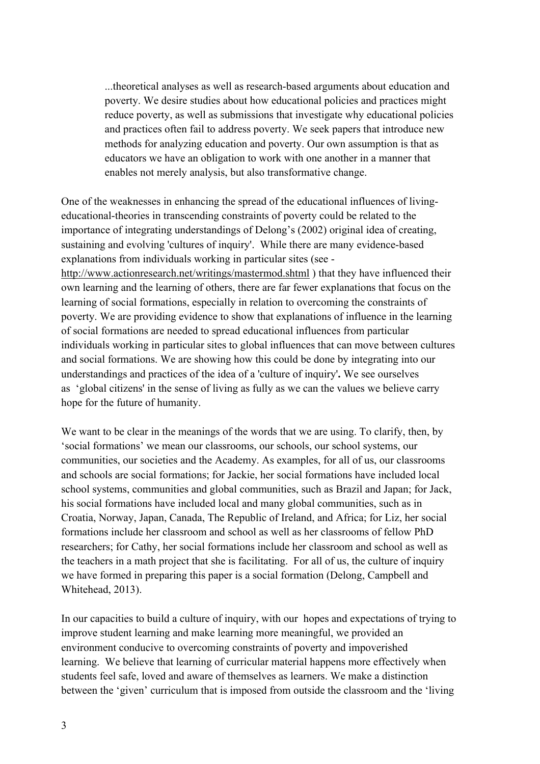...theoretical analyses as well as research-based arguments about education and poverty. We desire studies about how educational policies and practices might reduce poverty, as well as submissions that investigate why educational policies and practices often fail to address poverty. We seek papers that introduce new methods for analyzing education and poverty. Our own assumption is that as educators we have an obligation to work with one another in a manner that enables not merely analysis, but also transformative change.

One of the weaknesses in enhancing the spread of the educational influences of livingeducational-theories in transcending constraints of poverty could be related to the importance of integrating understandings of Delong's (2002) original idea of creating, sustaining and evolving 'cultures of inquiry'. While there are many evidence-based explanations from individuals working in particular sites (see http://www.actionresearch.net/writings/mastermod.shtml ) that they have influenced their own learning and the learning of others, there are far fewer explanations that focus on the learning of social formations, especially in relation to overcoming the constraints of poverty. We are providing evidence to show that explanations of influence in the learning of social formations are needed to spread educational influences from particular individuals working in particular sites to global influences that can move between cultures and social formations. We are showing how this could be done by integrating into our understandings and practices of the idea of a 'culture of inquiry'**.** We see ourselves as 'global citizens' in the sense of living as fully as we can the values we believe carry hope for the future of humanity.

We want to be clear in the meanings of the words that we are using. To clarify, then, by 'social formations' we mean our classrooms, our schools, our school systems, our communities, our societies and the Academy. As examples, for all of us, our classrooms and schools are social formations; for Jackie, her social formations have included local school systems, communities and global communities, such as Brazil and Japan; for Jack, his social formations have included local and many global communities, such as in Croatia, Norway, Japan, Canada, The Republic of Ireland, and Africa; for Liz, her social formations include her classroom and school as well as her classrooms of fellow PhD researchers; for Cathy, her social formations include her classroom and school as well as the teachers in a math project that she is facilitating. For all of us, the culture of inquiry we have formed in preparing this paper is a social formation (Delong, Campbell and Whitehead, 2013).

In our capacities to build a culture of inquiry, with our hopes and expectations of trying to improve student learning and make learning more meaningful, we provided an environment conducive to overcoming constraints of poverty and impoverished learning. We believe that learning of curricular material happens more effectively when students feel safe, loved and aware of themselves as learners. We make a distinction between the 'given' curriculum that is imposed from outside the classroom and the 'living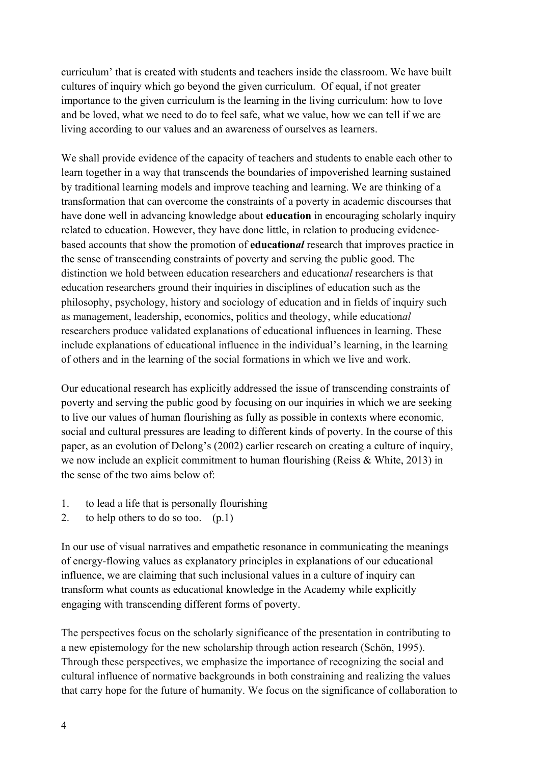curriculum' that is created with students and teachers inside the classroom. We have built cultures of inquiry which go beyond the given curriculum. Of equal, if not greater importance to the given curriculum is the learning in the living curriculum: how to love and be loved, what we need to do to feel safe, what we value, how we can tell if we are living according to our values and an awareness of ourselves as learners.

We shall provide evidence of the capacity of teachers and students to enable each other to learn together in a way that transcends the boundaries of impoverished learning sustained by traditional learning models and improve teaching and learning. We are thinking of a transformation that can overcome the constraints of a poverty in academic discourses that have done well in advancing knowledge about **education** in encouraging scholarly inquiry related to education. However, they have done little, in relation to producing evidencebased accounts that show the promotion of **education***al* research that improves practice in the sense of transcending constraints of poverty and serving the public good. The distinction we hold between education researchers and education*al* researchers is that education researchers ground their inquiries in disciplines of education such as the philosophy, psychology, history and sociology of education and in fields of inquiry such as management, leadership, economics, politics and theology, while education*al* researchers produce validated explanations of educational influences in learning. These include explanations of educational influence in the individual's learning, in the learning of others and in the learning of the social formations in which we live and work.

Our educational research has explicitly addressed the issue of transcending constraints of poverty and serving the public good by focusing on our inquiries in which we are seeking to live our values of human flourishing as fully as possible in contexts where economic, social and cultural pressures are leading to different kinds of poverty. In the course of this paper, as an evolution of Delong's (2002) earlier research on creating a culture of inquiry, we now include an explicit commitment to human flourishing (Reiss & White, 2013) in the sense of the two aims below of:

- 1. to lead a life that is personally flourishing
- 2. to help others to do so too. (p.1)

In our use of visual narratives and empathetic resonance in communicating the meanings of energy-flowing values as explanatory principles in explanations of our educational influence, we are claiming that such inclusional values in a culture of inquiry can transform what counts as educational knowledge in the Academy while explicitly engaging with transcending different forms of poverty.

The perspectives focus on the scholarly significance of the presentation in contributing to a new epistemology for the new scholarship through action research (Schön, 1995). Through these perspectives, we emphasize the importance of recognizing the social and cultural influence of normative backgrounds in both constraining and realizing the values that carry hope for the future of humanity. We focus on the significance of collaboration to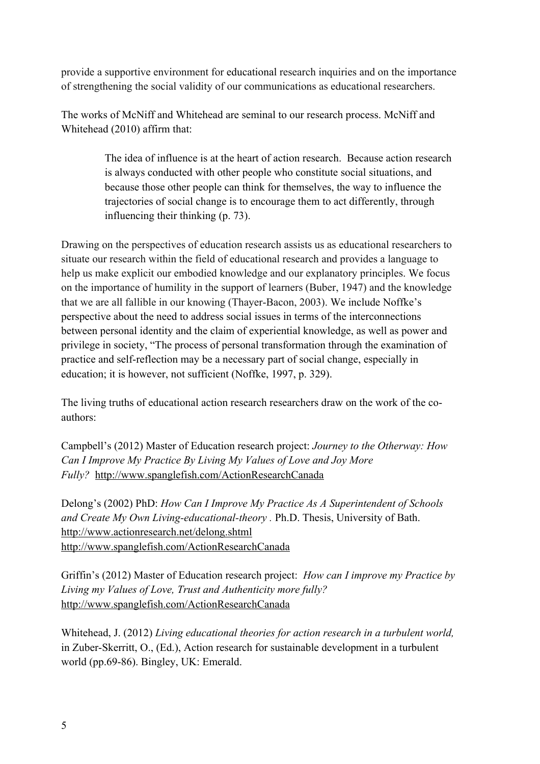provide a supportive environment for educational research inquiries and on the importance of strengthening the social validity of our communications as educational researchers.

The works of McNiff and Whitehead are seminal to our research process. McNiff and Whitehead (2010) affirm that:

> The idea of influence is at the heart of action research. Because action research is always conducted with other people who constitute social situations, and because those other people can think for themselves, the way to influence the trajectories of social change is to encourage them to act differently, through influencing their thinking (p. 73).

Drawing on the perspectives of education research assists us as educational researchers to situate our research within the field of educational research and provides a language to help us make explicit our embodied knowledge and our explanatory principles. We focus on the importance of humility in the support of learners (Buber, 1947) and the knowledge that we are all fallible in our knowing (Thayer-Bacon, 2003). We include Noffke's perspective about the need to address social issues in terms of the interconnections between personal identity and the claim of experiential knowledge, as well as power and privilege in society, "The process of personal transformation through the examination of practice and self-reflection may be a necessary part of social change, especially in education; it is however, not sufficient (Noffke, 1997, p. 329).

The living truths of educational action research researchers draw on the work of the coauthors:

Campbell's (2012) Master of Education research project: *Journey to the Otherway: How Can I Improve My Practice By Living My Values of Love and Joy More Fully?* http://www.spanglefish.com/ActionResearchCanada

Delong's (2002) PhD: *How Can I Improve My Practice As A Superintendent of Schools and Create My Own Living-educational-theory .* Ph.D. Thesis, University of Bath. http://www.actionresearch.net/delong.shtml http://www.spanglefish.com/ActionResearchCanada

Griffin's (2012) Master of Education research project: *How can I improve my Practice by Living my Values of Love, Trust and Authenticity more fully?* http://www.spanglefish.com/ActionResearchCanada

Whitehead, J. (2012) *Living educational theories for action research in a turbulent world,* in Zuber-Skerritt, O., (Ed.), Action research for sustainable development in a turbulent world (pp.69-86). Bingley, UK: Emerald.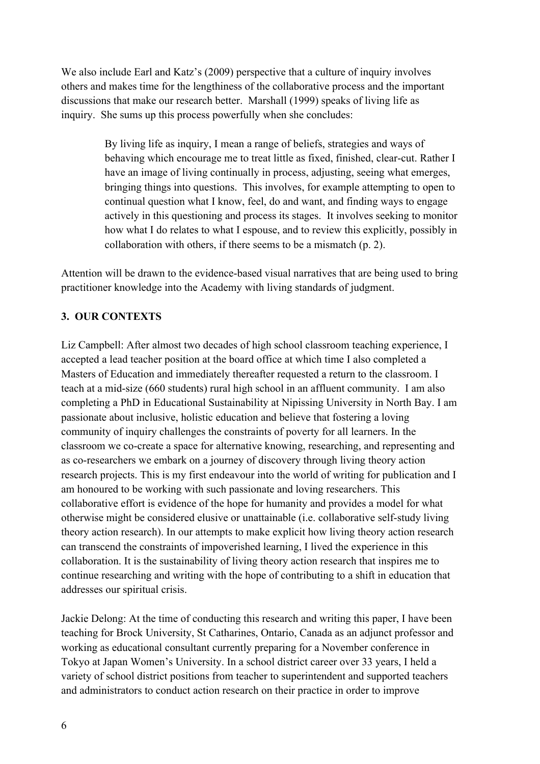We also include Earl and Katz's (2009) perspective that a culture of inquiry involves others and makes time for the lengthiness of the collaborative process and the important discussions that make our research better. Marshall (1999) speaks of living life as inquiry. She sums up this process powerfully when she concludes:

> By living life as inquiry, I mean a range of beliefs, strategies and ways of behaving which encourage me to treat little as fixed, finished, clear-cut. Rather I have an image of living continually in process, adjusting, seeing what emerges, bringing things into questions. This involves, for example attempting to open to continual question what I know, feel, do and want, and finding ways to engage actively in this questioning and process its stages. It involves seeking to monitor how what I do relates to what I espouse, and to review this explicitly, possibly in collaboration with others, if there seems to be a mismatch (p. 2).

Attention will be drawn to the evidence-based visual narratives that are being used to bring practitioner knowledge into the Academy with living standards of judgment.

# **3. OUR CONTEXTS**

Liz Campbell: After almost two decades of high school classroom teaching experience, I accepted a lead teacher position at the board office at which time I also completed a Masters of Education and immediately thereafter requested a return to the classroom. I teach at a mid-size (660 students) rural high school in an affluent community. I am also completing a PhD in Educational Sustainability at Nipissing University in North Bay. I am passionate about inclusive, holistic education and believe that fostering a loving community of inquiry challenges the constraints of poverty for all learners. In the classroom we co-create a space for alternative knowing, researching, and representing and as co-researchers we embark on a journey of discovery through living theory action research projects. This is my first endeavour into the world of writing for publication and I am honoured to be working with such passionate and loving researchers. This collaborative effort is evidence of the hope for humanity and provides a model for what otherwise might be considered elusive or unattainable (i.e. collaborative self-study living theory action research). In our attempts to make explicit how living theory action research can transcend the constraints of impoverished learning, I lived the experience in this collaboration. It is the sustainability of living theory action research that inspires me to continue researching and writing with the hope of contributing to a shift in education that addresses our spiritual crisis.

Jackie Delong: At the time of conducting this research and writing this paper, I have been teaching for Brock University, St Catharines, Ontario, Canada as an adjunct professor and working as educational consultant currently preparing for a November conference in Tokyo at Japan Women's University. In a school district career over 33 years, I held a variety of school district positions from teacher to superintendent and supported teachers and administrators to conduct action research on their practice in order to improve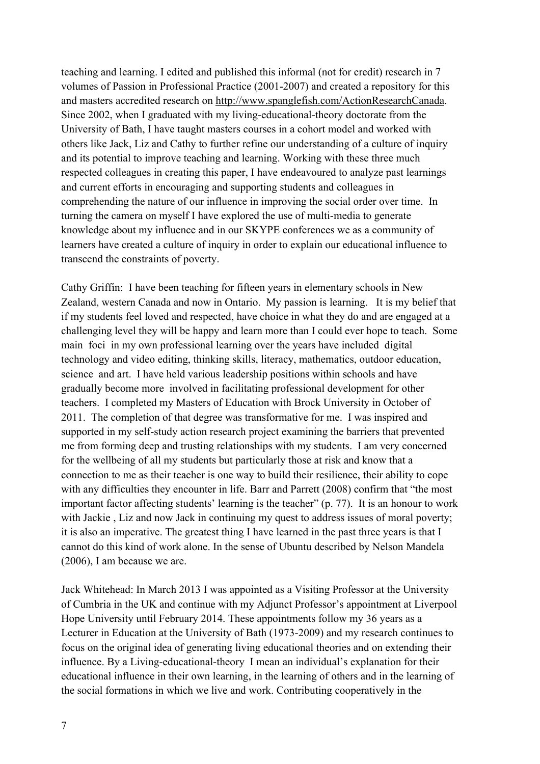teaching and learning. I edited and published this informal (not for credit) research in 7 volumes of Passion in Professional Practice (2001-2007) and created a repository for this and masters accredited research on http://www.spanglefish.com/ActionResearchCanada. Since 2002, when I graduated with my living-educational-theory doctorate from the University of Bath, I have taught masters courses in a cohort model and worked with others like Jack, Liz and Cathy to further refine our understanding of a culture of inquiry and its potential to improve teaching and learning. Working with these three much respected colleagues in creating this paper, I have endeavoured to analyze past learnings and current efforts in encouraging and supporting students and colleagues in comprehending the nature of our influence in improving the social order over time. In turning the camera on myself I have explored the use of multi-media to generate knowledge about my influence and in our SKYPE conferences we as a community of learners have created a culture of inquiry in order to explain our educational influence to transcend the constraints of poverty.

Cathy Griffin: I have been teaching for fifteen years in elementary schools in New Zealand, western Canada and now in Ontario. My passion is learning. It is my belief that if my students feel loved and respected, have choice in what they do and are engaged at a challenging level they will be happy and learn more than I could ever hope to teach. Some main foci in my own professional learning over the years have included digital technology and video editing, thinking skills, literacy, mathematics, outdoor education, science and art. I have held various leadership positions within schools and have gradually become more involved in facilitating professional development for other teachers. I completed my Masters of Education with Brock University in October of 2011. The completion of that degree was transformative for me. I was inspired and supported in my self-study action research project examining the barriers that prevented me from forming deep and trusting relationships with my students. I am very concerned for the wellbeing of all my students but particularly those at risk and know that a connection to me as their teacher is one way to build their resilience, their ability to cope with any difficulties they encounter in life. Barr and Parrett (2008) confirm that "the most important factor affecting students' learning is the teacher" (p. 77). It is an honour to work with Jackie , Liz and now Jack in continuing my quest to address issues of moral poverty; it is also an imperative. The greatest thing I have learned in the past three years is that I cannot do this kind of work alone. In the sense of Ubuntu described by Nelson Mandela (2006), I am because we are.

Jack Whitehead: In March 2013 I was appointed as a Visiting Professor at the University of Cumbria in the UK and continue with my Adjunct Professor's appointment at Liverpool Hope University until February 2014. These appointments follow my 36 years as a Lecturer in Education at the University of Bath (1973-2009) and my research continues to focus on the original idea of generating living educational theories and on extending their influence. By a Living-educational-theory I mean an individual's explanation for their educational influence in their own learning, in the learning of others and in the learning of the social formations in which we live and work. Contributing cooperatively in the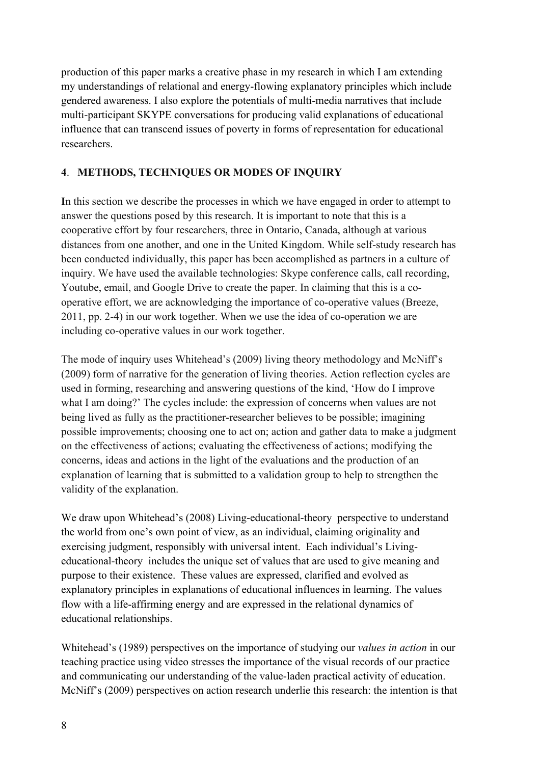production of this paper marks a creative phase in my research in which I am extending my understandings of relational and energy-flowing explanatory principles which include gendered awareness. I also explore the potentials of multi-media narratives that include multi-participant SKYPE conversations for producing valid explanations of educational influence that can transcend issues of poverty in forms of representation for educational researchers.

# **4**. **METHODS, TECHNIQUES OR MODES OF INQUIRY**

**I**n this section we describe the processes in which we have engaged in order to attempt to answer the questions posed by this research. It is important to note that this is a cooperative effort by four researchers, three in Ontario, Canada, although at various distances from one another, and one in the United Kingdom. While self-study research has been conducted individually, this paper has been accomplished as partners in a culture of inquiry. We have used the available technologies: Skype conference calls, call recording, Youtube, email, and Google Drive to create the paper. In claiming that this is a cooperative effort, we are acknowledging the importance of co-operative values (Breeze, 2011, pp. 2-4) in our work together. When we use the idea of co-operation we are including co-operative values in our work together.

The mode of inquiry uses Whitehead's (2009) living theory methodology and McNiff's (2009) form of narrative for the generation of living theories. Action reflection cycles are used in forming, researching and answering questions of the kind, 'How do I improve what I am doing?' The cycles include: the expression of concerns when values are not being lived as fully as the practitioner-researcher believes to be possible; imagining possible improvements; choosing one to act on; action and gather data to make a judgment on the effectiveness of actions; evaluating the effectiveness of actions; modifying the concerns, ideas and actions in the light of the evaluations and the production of an explanation of learning that is submitted to a validation group to help to strengthen the validity of the explanation.

We draw upon Whitehead's (2008) Living-educational-theory perspective to understand the world from one's own point of view, as an individual, claiming originality and exercising judgment, responsibly with universal intent. Each individual's Livingeducational-theory includes the unique set of values that are used to give meaning and purpose to their existence. These values are expressed, clarified and evolved as explanatory principles in explanations of educational influences in learning. The values flow with a life-affirming energy and are expressed in the relational dynamics of educational relationships.

Whitehead's (1989) perspectives on the importance of studying our *values in action* in our teaching practice using video stresses the importance of the visual records of our practice and communicating our understanding of the value-laden practical activity of education. McNiff's (2009) perspectives on action research underlie this research: the intention is that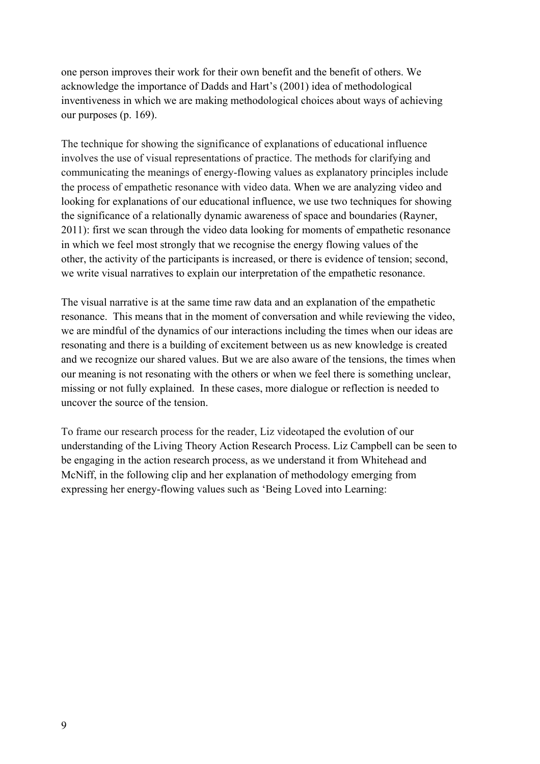one person improves their work for their own benefit and the benefit of others. We acknowledge the importance of Dadds and Hart's (2001) idea of methodological inventiveness in which we are making methodological choices about ways of achieving our purposes (p. 169).

The technique for showing the significance of explanations of educational influence involves the use of visual representations of practice. The methods for clarifying and communicating the meanings of energy-flowing values as explanatory principles include the process of empathetic resonance with video data. When we are analyzing video and looking for explanations of our educational influence, we use two techniques for showing the significance of a relationally dynamic awareness of space and boundaries (Rayner, 2011): first we scan through the video data looking for moments of empathetic resonance in which we feel most strongly that we recognise the energy flowing values of the other, the activity of the participants is increased, or there is evidence of tension; second, we write visual narratives to explain our interpretation of the empathetic resonance.

The visual narrative is at the same time raw data and an explanation of the empathetic resonance. This means that in the moment of conversation and while reviewing the video, we are mindful of the dynamics of our interactions including the times when our ideas are resonating and there is a building of excitement between us as new knowledge is created and we recognize our shared values. But we are also aware of the tensions, the times when our meaning is not resonating with the others or when we feel there is something unclear, missing or not fully explained. In these cases, more dialogue or reflection is needed to uncover the source of the tension.

To frame our research process for the reader, Liz videotaped the evolution of our understanding of the Living Theory Action Research Process. Liz Campbell can be seen to be engaging in the action research process, as we understand it from Whitehead and McNiff, in the following clip and her explanation of methodology emerging from expressing her energy-flowing values such as 'Being Loved into Learning: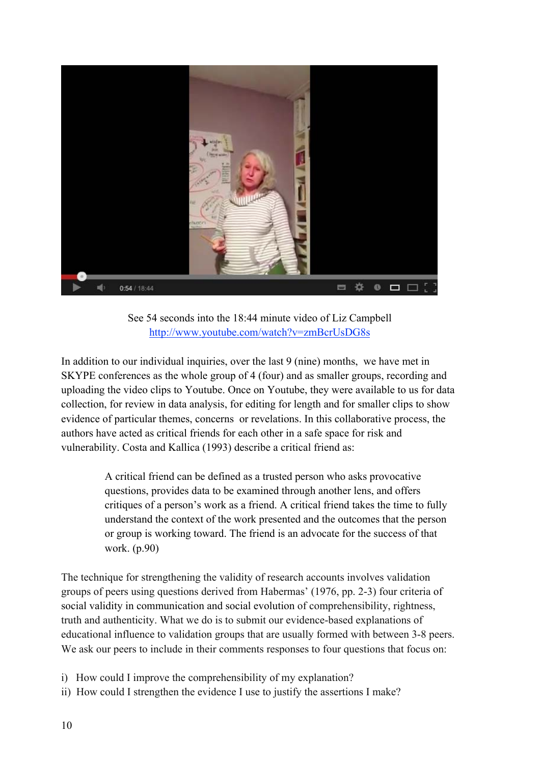

See 54 seconds into the 18:44 minute video of Liz Campbell http://www.youtube.com/watch?v=zmBcrUsDG8s

In addition to our individual inquiries, over the last 9 (nine) months, we have met in SKYPE conferences as the whole group of 4 (four) and as smaller groups, recording and uploading the video clips to Youtube. Once on Youtube, they were available to us for data collection, for review in data analysis, for editing for length and for smaller clips to show evidence of particular themes, concerns or revelations. In this collaborative process, the authors have acted as critical friends for each other in a safe space for risk and vulnerability. Costa and Kallica (1993) describe a critical friend as:

> A critical friend can be defined as a trusted person who asks provocative questions, provides data to be examined through another lens, and offers critiques of a person's work as a friend. A critical friend takes the time to fully understand the context of the work presented and the outcomes that the person or group is working toward. The friend is an advocate for the success of that work. (p.90)

The technique for strengthening the validity of research accounts involves validation groups of peers using questions derived from Habermas' (1976, pp. 2-3) four criteria of social validity in communication and social evolution of comprehensibility, rightness, truth and authenticity. What we do is to submit our evidence-based explanations of educational influence to validation groups that are usually formed with between 3-8 peers. We ask our peers to include in their comments responses to four questions that focus on:

- i) How could I improve the comprehensibility of my explanation?
- ii) How could I strengthen the evidence I use to justify the assertions I make?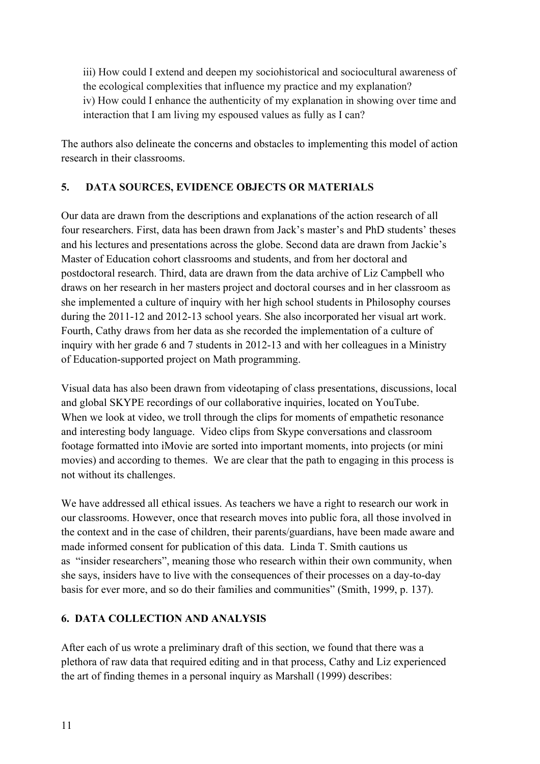iii) How could I extend and deepen my sociohistorical and sociocultural awareness of the ecological complexities that influence my practice and my explanation? iv) How could I enhance the authenticity of my explanation in showing over time and interaction that I am living my espoused values as fully as I can?

The authors also delineate the concerns and obstacles to implementing this model of action research in their classrooms.

# **5. DATA SOURCES, EVIDENCE OBJECTS OR MATERIALS**

Our data are drawn from the descriptions and explanations of the action research of all four researchers. First, data has been drawn from Jack's master's and PhD students' theses and his lectures and presentations across the globe. Second data are drawn from Jackie's Master of Education cohort classrooms and students, and from her doctoral and postdoctoral research. Third, data are drawn from the data archive of Liz Campbell who draws on her research in her masters project and doctoral courses and in her classroom as she implemented a culture of inquiry with her high school students in Philosophy courses during the 2011-12 and 2012-13 school years. She also incorporated her visual art work. Fourth, Cathy draws from her data as she recorded the implementation of a culture of inquiry with her grade 6 and 7 students in 2012-13 and with her colleagues in a Ministry of Education-supported project on Math programming.

Visual data has also been drawn from videotaping of class presentations, discussions, local and global SKYPE recordings of our collaborative inquiries, located on YouTube. When we look at video, we troll through the clips for moments of empathetic resonance and interesting body language. Video clips from Skype conversations and classroom footage formatted into iMovie are sorted into important moments, into projects (or mini movies) and according to themes. We are clear that the path to engaging in this process is not without its challenges.

We have addressed all ethical issues. As teachers we have a right to research our work in our classrooms. However, once that research moves into public fora, all those involved in the context and in the case of children, their parents/guardians, have been made aware and made informed consent for publication of this data. Linda T. Smith cautions us as "insider researchers", meaning those who research within their own community, when she says, insiders have to live with the consequences of their processes on a day-to-day basis for ever more, and so do their families and communities" (Smith, 1999, p. 137).

# **6. DATA COLLECTION AND ANALYSIS**

After each of us wrote a preliminary draft of this section, we found that there was a plethora of raw data that required editing and in that process, Cathy and Liz experienced the art of finding themes in a personal inquiry as Marshall (1999) describes: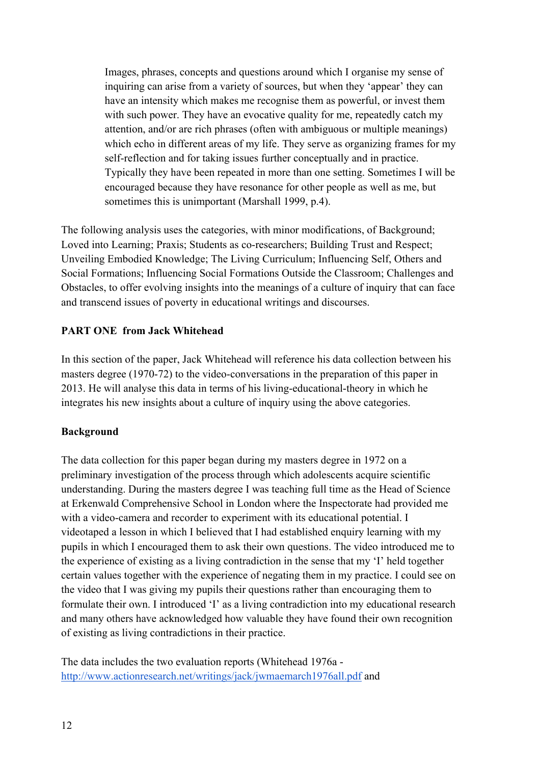Images, phrases, concepts and questions around which I organise my sense of inquiring can arise from a variety of sources, but when they 'appear' they can have an intensity which makes me recognise them as powerful, or invest them with such power. They have an evocative quality for me, repeatedly catch my attention, and/or are rich phrases (often with ambiguous or multiple meanings) which echo in different areas of my life. They serve as organizing frames for my self-reflection and for taking issues further conceptually and in practice. Typically they have been repeated in more than one setting. Sometimes I will be encouraged because they have resonance for other people as well as me, but sometimes this is unimportant (Marshall 1999, p.4).

The following analysis uses the categories, with minor modifications, of Background; Loved into Learning; Praxis; Students as co-researchers; Building Trust and Respect; Unveiling Embodied Knowledge; The Living Curriculum; Influencing Self, Others and Social Formations; Influencing Social Formations Outside the Classroom; Challenges and Obstacles, to offer evolving insights into the meanings of a culture of inquiry that can face and transcend issues of poverty in educational writings and discourses.

## **PART ONE from Jack Whitehead**

In this section of the paper, Jack Whitehead will reference his data collection between his masters degree (1970-72) to the video-conversations in the preparation of this paper in 2013. He will analyse this data in terms of his living-educational-theory in which he integrates his new insights about a culture of inquiry using the above categories.

# **Background**

The data collection for this paper began during my masters degree in 1972 on a preliminary investigation of the process through which adolescents acquire scientific understanding. During the masters degree I was teaching full time as the Head of Science at Erkenwald Comprehensive School in London where the Inspectorate had provided me with a video-camera and recorder to experiment with its educational potential. I videotaped a lesson in which I believed that I had established enquiry learning with my pupils in which I encouraged them to ask their own questions. The video introduced me to the experience of existing as a living contradiction in the sense that my 'I' held together certain values together with the experience of negating them in my practice. I could see on the video that I was giving my pupils their questions rather than encouraging them to formulate their own. I introduced 'I' as a living contradiction into my educational research and many others have acknowledged how valuable they have found their own recognition of existing as living contradictions in their practice.

The data includes the two evaluation reports (Whitehead 1976a http://www.actionresearch.net/writings/jack/jwmaemarch1976all.pdf and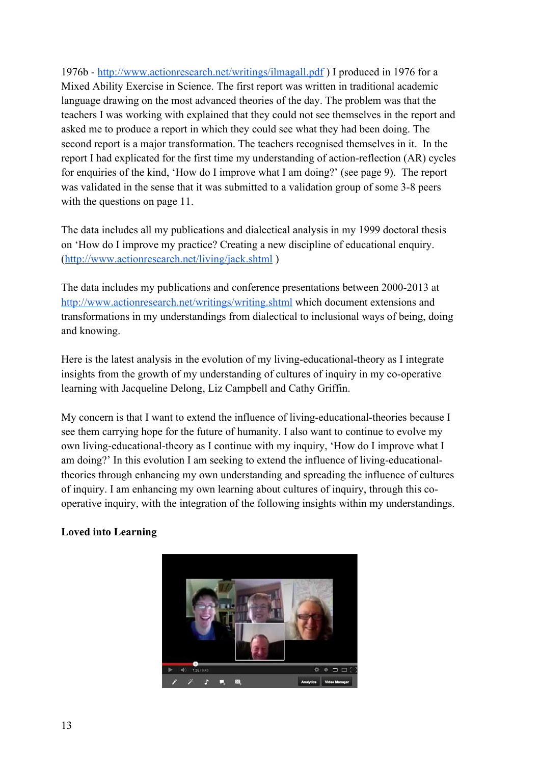1976b - http://www.actionresearch.net/writings/ilmagall.pdf ) I produced in 1976 for a Mixed Ability Exercise in Science. The first report was written in traditional academic language drawing on the most advanced theories of the day. The problem was that the teachers I was working with explained that they could not see themselves in the report and asked me to produce a report in which they could see what they had been doing. The second report is a major transformation. The teachers recognised themselves in it. In the report I had explicated for the first time my understanding of action-reflection (AR) cycles for enquiries of the kind, 'How do I improve what I am doing?' (see page 9). The report was validated in the sense that it was submitted to a validation group of some 3-8 peers with the questions on page 11.

The data includes all my publications and dialectical analysis in my 1999 doctoral thesis on 'How do I improve my practice? Creating a new discipline of educational enquiry. (http://www.actionresearch.net/living/jack.shtml )

The data includes my publications and conference presentations between 2000-2013 at http://www.actionresearch.net/writings/writing.shtml which document extensions and transformations in my understandings from dialectical to inclusional ways of being, doing and knowing.

Here is the latest analysis in the evolution of my living-educational-theory as I integrate insights from the growth of my understanding of cultures of inquiry in my co-operative learning with Jacqueline Delong, Liz Campbell and Cathy Griffin.

My concern is that I want to extend the influence of living-educational-theories because I see them carrying hope for the future of humanity. I also want to continue to evolve my own living-educational-theory as I continue with my inquiry, 'How do I improve what I am doing?' In this evolution I am seeking to extend the influence of living-educationaltheories through enhancing my own understanding and spreading the influence of cultures of inquiry. I am enhancing my own learning about cultures of inquiry, through this cooperative inquiry, with the integration of the following insights within my understandings.

# **Loved into Learning**

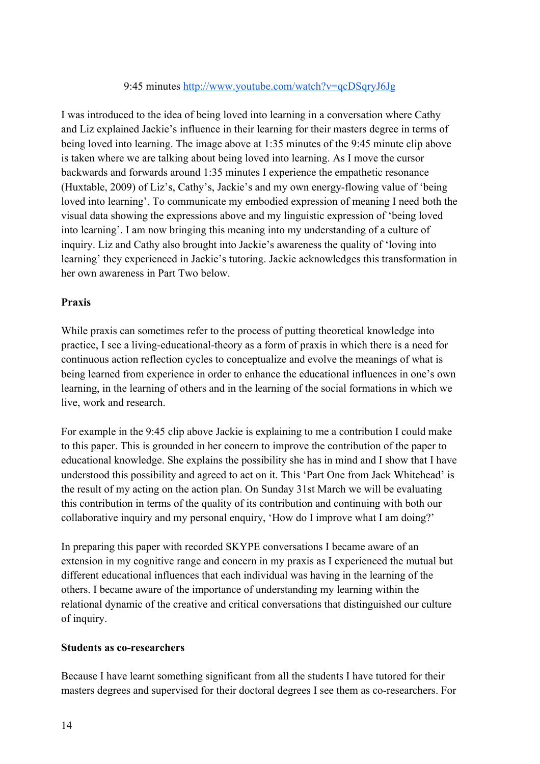### 9:45 minutes http://www.youtube.com/watch?v=qcDSqryJ6Jg

I was introduced to the idea of being loved into learning in a conversation where Cathy and Liz explained Jackie's influence in their learning for their masters degree in terms of being loved into learning. The image above at 1:35 minutes of the 9:45 minute clip above is taken where we are talking about being loved into learning. As I move the cursor backwards and forwards around 1:35 minutes I experience the empathetic resonance (Huxtable, 2009) of Liz's, Cathy's, Jackie's and my own energy-flowing value of 'being loved into learning'. To communicate my embodied expression of meaning I need both the visual data showing the expressions above and my linguistic expression of 'being loved into learning'. I am now bringing this meaning into my understanding of a culture of inquiry. Liz and Cathy also brought into Jackie's awareness the quality of 'loving into learning' they experienced in Jackie's tutoring. Jackie acknowledges this transformation in her own awareness in Part Two below.

## **Praxis**

While praxis can sometimes refer to the process of putting theoretical knowledge into practice, I see a living-educational-theory as a form of praxis in which there is a need for continuous action reflection cycles to conceptualize and evolve the meanings of what is being learned from experience in order to enhance the educational influences in one's own learning, in the learning of others and in the learning of the social formations in which we live, work and research.

For example in the 9:45 clip above Jackie is explaining to me a contribution I could make to this paper. This is grounded in her concern to improve the contribution of the paper to educational knowledge. She explains the possibility she has in mind and I show that I have understood this possibility and agreed to act on it. This 'Part One from Jack Whitehead' is the result of my acting on the action plan. On Sunday 31st March we will be evaluating this contribution in terms of the quality of its contribution and continuing with both our collaborative inquiry and my personal enquiry, 'How do I improve what I am doing?'

In preparing this paper with recorded SKYPE conversations I became aware of an extension in my cognitive range and concern in my praxis as I experienced the mutual but different educational influences that each individual was having in the learning of the others. I became aware of the importance of understanding my learning within the relational dynamic of the creative and critical conversations that distinguished our culture of inquiry.

### **Students as co-researchers**

Because I have learnt something significant from all the students I have tutored for their masters degrees and supervised for their doctoral degrees I see them as co-researchers. For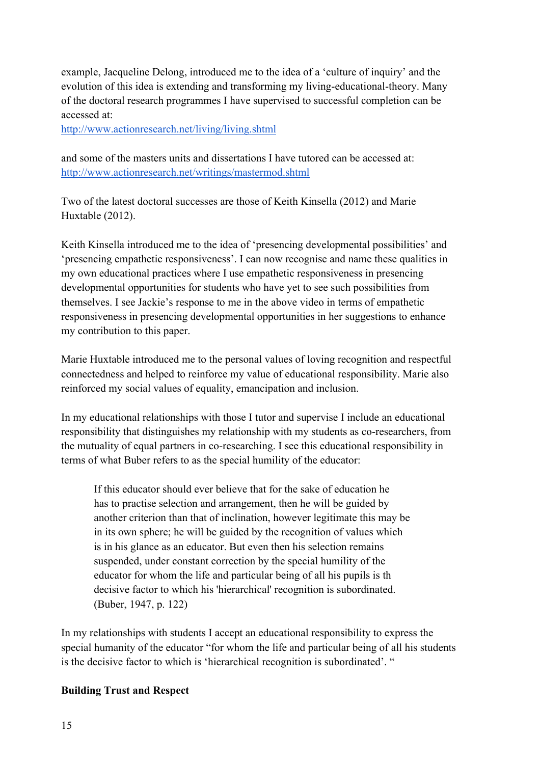example, Jacqueline Delong, introduced me to the idea of a 'culture of inquiry' and the evolution of this idea is extending and transforming my living-educational-theory. Many of the doctoral research programmes I have supervised to successful completion can be accessed at:

http://www.actionresearch.net/living/living.shtml

and some of the masters units and dissertations I have tutored can be accessed at: http://www.actionresearch.net/writings/mastermod.shtml

Two of the latest doctoral successes are those of Keith Kinsella (2012) and Marie Huxtable (2012).

Keith Kinsella introduced me to the idea of 'presencing developmental possibilities' and 'presencing empathetic responsiveness'. I can now recognise and name these qualities in my own educational practices where I use empathetic responsiveness in presencing developmental opportunities for students who have yet to see such possibilities from themselves. I see Jackie's response to me in the above video in terms of empathetic responsiveness in presencing developmental opportunities in her suggestions to enhance my contribution to this paper.

Marie Huxtable introduced me to the personal values of loving recognition and respectful connectedness and helped to reinforce my value of educational responsibility. Marie also reinforced my social values of equality, emancipation and inclusion.

In my educational relationships with those I tutor and supervise I include an educational responsibility that distinguishes my relationship with my students as co-researchers, from the mutuality of equal partners in co-researching. I see this educational responsibility in terms of what Buber refers to as the special humility of the educator:

If this educator should ever believe that for the sake of education he has to practise selection and arrangement, then he will be guided by another criterion than that of inclination, however legitimate this may be in its own sphere; he will be guided by the recognition of values which is in his glance as an educator. But even then his selection remains suspended, under constant correction by the special humility of the educator for whom the life and particular being of all his pupils is th decisive factor to which his 'hierarchical' recognition is subordinated. (Buber, 1947, p. 122)

In my relationships with students I accept an educational responsibility to express the special humanity of the educator "for whom the life and particular being of all his students is the decisive factor to which is 'hierarchical recognition is subordinated'. "

# **Building Trust and Respect**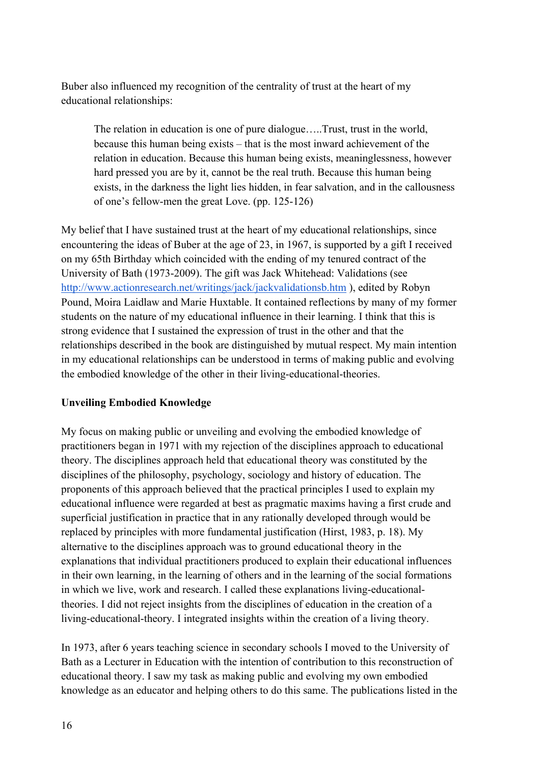Buber also influenced my recognition of the centrality of trust at the heart of my educational relationships:

The relation in education is one of pure dialogue…..Trust, trust in the world, because this human being exists – that is the most inward achievement of the relation in education. Because this human being exists, meaninglessness, however hard pressed you are by it, cannot be the real truth. Because this human being exists, in the darkness the light lies hidden, in fear salvation, and in the callousness of one's fellow-men the great Love. (pp. 125-126)

My belief that I have sustained trust at the heart of my educational relationships, since encountering the ideas of Buber at the age of 23, in 1967, is supported by a gift I received on my 65th Birthday which coincided with the ending of my tenured contract of the University of Bath (1973-2009). The gift was Jack Whitehead: Validations (see http://www.actionresearch.net/writings/jack/jackvalidationsb.htm ), edited by Robyn Pound, Moira Laidlaw and Marie Huxtable. It contained reflections by many of my former students on the nature of my educational influence in their learning. I think that this is strong evidence that I sustained the expression of trust in the other and that the relationships described in the book are distinguished by mutual respect. My main intention in my educational relationships can be understood in terms of making public and evolving the embodied knowledge of the other in their living-educational-theories.

### **Unveiling Embodied Knowledge**

My focus on making public or unveiling and evolving the embodied knowledge of practitioners began in 1971 with my rejection of the disciplines approach to educational theory. The disciplines approach held that educational theory was constituted by the disciplines of the philosophy, psychology, sociology and history of education. The proponents of this approach believed that the practical principles I used to explain my educational influence were regarded at best as pragmatic maxims having a first crude and superficial justification in practice that in any rationally developed through would be replaced by principles with more fundamental justification (Hirst, 1983, p. 18). My alternative to the disciplines approach was to ground educational theory in the explanations that individual practitioners produced to explain their educational influences in their own learning, in the learning of others and in the learning of the social formations in which we live, work and research. I called these explanations living-educationaltheories. I did not reject insights from the disciplines of education in the creation of a living-educational-theory. I integrated insights within the creation of a living theory.

In 1973, after 6 years teaching science in secondary schools I moved to the University of Bath as a Lecturer in Education with the intention of contribution to this reconstruction of educational theory. I saw my task as making public and evolving my own embodied knowledge as an educator and helping others to do this same. The publications listed in the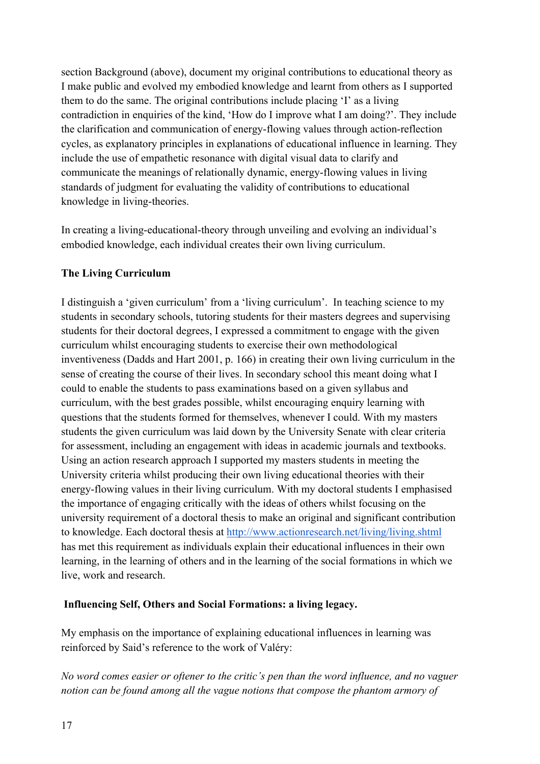section Background (above), document my original contributions to educational theory as I make public and evolved my embodied knowledge and learnt from others as I supported them to do the same. The original contributions include placing 'I' as a living contradiction in enquiries of the kind, 'How do I improve what I am doing?'. They include the clarification and communication of energy-flowing values through action-reflection cycles, as explanatory principles in explanations of educational influence in learning. They include the use of empathetic resonance with digital visual data to clarify and communicate the meanings of relationally dynamic, energy-flowing values in living standards of judgment for evaluating the validity of contributions to educational knowledge in living-theories.

In creating a living-educational-theory through unveiling and evolving an individual's embodied knowledge, each individual creates their own living curriculum.

## **The Living Curriculum**

I distinguish a 'given curriculum' from a 'living curriculum'. In teaching science to my students in secondary schools, tutoring students for their masters degrees and supervising students for their doctoral degrees, I expressed a commitment to engage with the given curriculum whilst encouraging students to exercise their own methodological inventiveness (Dadds and Hart 2001, p. 166) in creating their own living curriculum in the sense of creating the course of their lives. In secondary school this meant doing what I could to enable the students to pass examinations based on a given syllabus and curriculum, with the best grades possible, whilst encouraging enquiry learning with questions that the students formed for themselves, whenever I could. With my masters students the given curriculum was laid down by the University Senate with clear criteria for assessment, including an engagement with ideas in academic journals and textbooks. Using an action research approach I supported my masters students in meeting the University criteria whilst producing their own living educational theories with their energy-flowing values in their living curriculum. With my doctoral students I emphasised the importance of engaging critically with the ideas of others whilst focusing on the university requirement of a doctoral thesis to make an original and significant contribution to knowledge. Each doctoral thesis at http://www.actionresearch.net/living/living.shtml has met this requirement as individuals explain their educational influences in their own learning, in the learning of others and in the learning of the social formations in which we live, work and research.

# **Influencing Self, Others and Social Formations: a living legacy.**

My emphasis on the importance of explaining educational influences in learning was reinforced by Said's reference to the work of Valéry:

*No word comes easier or oftener to the critic's pen than the word influence, and no vaguer notion can be found among all the vague notions that compose the phantom armory of*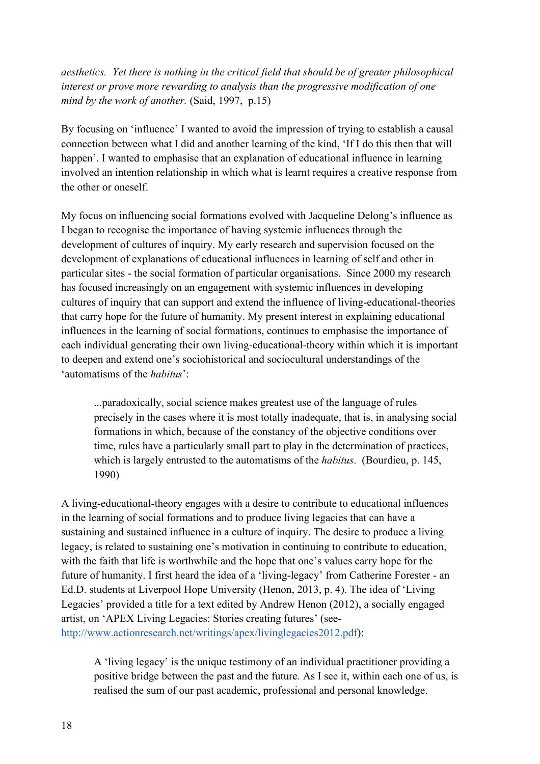*aesthetics. Yet there is nothing in the critical field that should be of greater philosophical interest or prove more rewarding to analysis than the progressive modification of one mind by the work of another.* (Said, 1997, p.15)

By focusing on 'influence' I wanted to avoid the impression of trying to establish a causal connection between what I did and another learning of the kind, 'If I do this then that will happen'. I wanted to emphasise that an explanation of educational influence in learning involved an intention relationship in which what is learnt requires a creative response from the other or oneself.

My focus on influencing social formations evolved with Jacqueline Delong's influence as I began to recognise the importance of having systemic influences through the development of cultures of inquiry. My early research and supervision focused on the development of explanations of educational influences in learning of self and other in particular sites - the social formation of particular organisations. Since 2000 my research has focused increasingly on an engagement with systemic influences in developing cultures of inquiry that can support and extend the influence of living-educational-theories that carry hope for the future of humanity. My present interest in explaining educational influences in the learning of social formations, continues to emphasise the importance of each individual generating their own living-educational-theory within which it is important to deepen and extend one's sociohistorical and sociocultural understandings of the 'automatisms of the *habitus*':

...paradoxically, social science makes greatest use of the language of rules precisely in the cases where it is most totally inadequate, that is, in analysing social formations in which, because of the constancy of the objective conditions over time, rules have a particularly small part to play in the determination of practices, which is largely entrusted to the automatisms of the *habitus*. (Bourdieu, p. 145, 1990)

A living-educational-theory engages with a desire to contribute to educational influences in the learning of social formations and to produce living legacies that can have a sustaining and sustained influence in a culture of inquiry. The desire to produce a living legacy, is related to sustaining one's motivation in continuing to contribute to education, with the faith that life is worthwhile and the hope that one's values carry hope for the future of humanity. I first heard the idea of a 'living-legacy' from Catherine Forester - an Ed.D. students at Liverpool Hope University (Henon, 2013, p. 4). The idea of 'Living Legacies' provided a title for a text edited by Andrew Henon (2012), a socially engaged artist, on 'APEX Living Legacies: Stories creating futures' (seehttp://www.actionresearch.net/writings/apex/livinglegacies2012.pdf):

A 'living legacy' is the unique testimony of an individual practitioner providing a positive bridge between the past and the future. As I see it, within each one of us, is realised the sum of our past academic, professional and personal knowledge.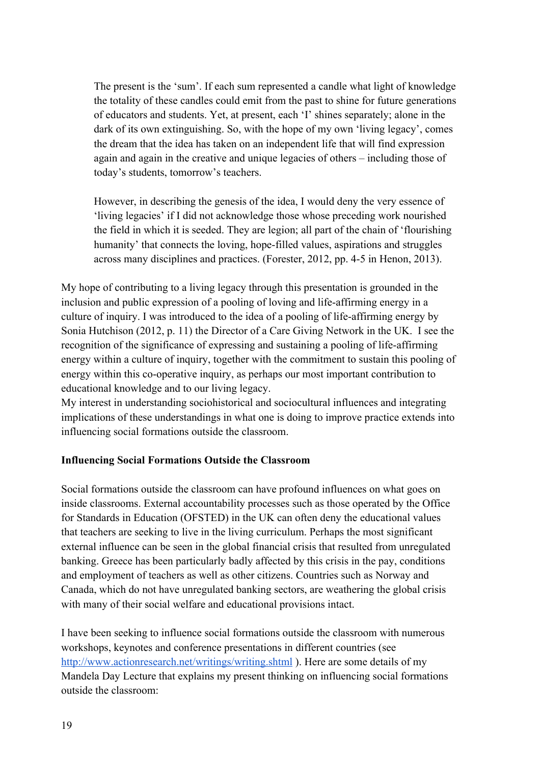The present is the 'sum'. If each sum represented a candle what light of knowledge the totality of these candles could emit from the past to shine for future generations of educators and students. Yet, at present, each 'I' shines separately; alone in the dark of its own extinguishing. So, with the hope of my own 'living legacy', comes the dream that the idea has taken on an independent life that will find expression again and again in the creative and unique legacies of others – including those of today's students, tomorrow's teachers.

However, in describing the genesis of the idea, I would deny the very essence of 'living legacies' if I did not acknowledge those whose preceding work nourished the field in which it is seeded. They are legion; all part of the chain of 'flourishing humanity' that connects the loving, hope-filled values, aspirations and struggles across many disciplines and practices. (Forester, 2012, pp. 4-5 in Henon, 2013).

My hope of contributing to a living legacy through this presentation is grounded in the inclusion and public expression of a pooling of loving and life-affirming energy in a culture of inquiry. I was introduced to the idea of a pooling of life-affirming energy by Sonia Hutchison (2012, p. 11) the Director of a Care Giving Network in the UK. I see the recognition of the significance of expressing and sustaining a pooling of life-affirming energy within a culture of inquiry, together with the commitment to sustain this pooling of energy within this co-operative inquiry, as perhaps our most important contribution to educational knowledge and to our living legacy.

My interest in understanding sociohistorical and sociocultural influences and integrating implications of these understandings in what one is doing to improve practice extends into influencing social formations outside the classroom.

### **Influencing Social Formations Outside the Classroom**

Social formations outside the classroom can have profound influences on what goes on inside classrooms. External accountability processes such as those operated by the Office for Standards in Education (OFSTED) in the UK can often deny the educational values that teachers are seeking to live in the living curriculum. Perhaps the most significant external influence can be seen in the global financial crisis that resulted from unregulated banking. Greece has been particularly badly affected by this crisis in the pay, conditions and employment of teachers as well as other citizens. Countries such as Norway and Canada, which do not have unregulated banking sectors, are weathering the global crisis with many of their social welfare and educational provisions intact.

I have been seeking to influence social formations outside the classroom with numerous workshops, keynotes and conference presentations in different countries (see http://www.actionresearch.net/writings/writing.shtml ). Here are some details of my Mandela Day Lecture that explains my present thinking on influencing social formations outside the classroom: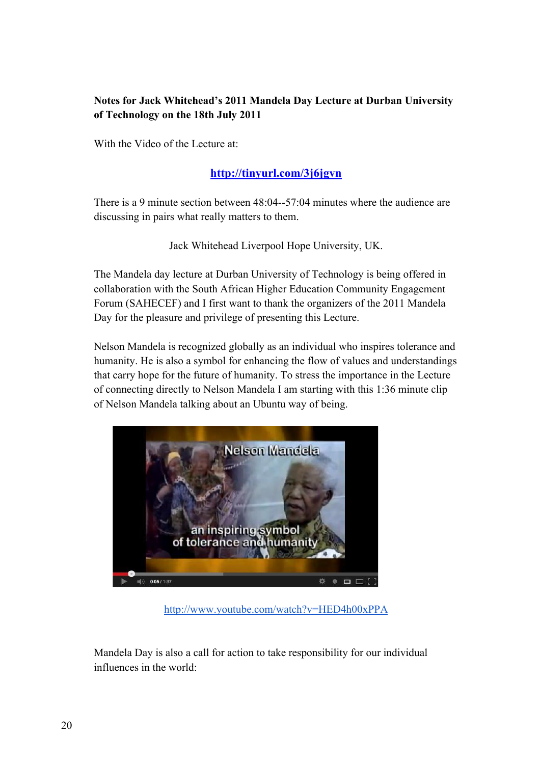# **Notes for Jack Whitehead's 2011 Mandela Day Lecture at Durban University of Technology on the 18th July 2011**

With the Video of the Lecture at:

# **http://tinyurl.com/3j6jgvn**

There is a 9 minute section between 48:04--57:04 minutes where the audience are discussing in pairs what really matters to them.

Jack Whitehead Liverpool Hope University, UK.

The Mandela day lecture at Durban University of Technology is being offered in collaboration with the South African Higher Education Community Engagement Forum (SAHECEF) and I first want to thank the organizers of the 2011 Mandela Day for the pleasure and privilege of presenting this Lecture.

Nelson Mandela is recognized globally as an individual who inspires tolerance and humanity. He is also a symbol for enhancing the flow of values and understandings that carry hope for the future of humanity. To stress the importance in the Lecture of connecting directly to Nelson Mandela I am starting with this 1:36 minute clip of Nelson Mandela talking about an Ubuntu way of being.



http://www.youtube.com/watch?v=HED4h00xPPA

Mandela Day is also a call for action to take responsibility for our individual influences in the world: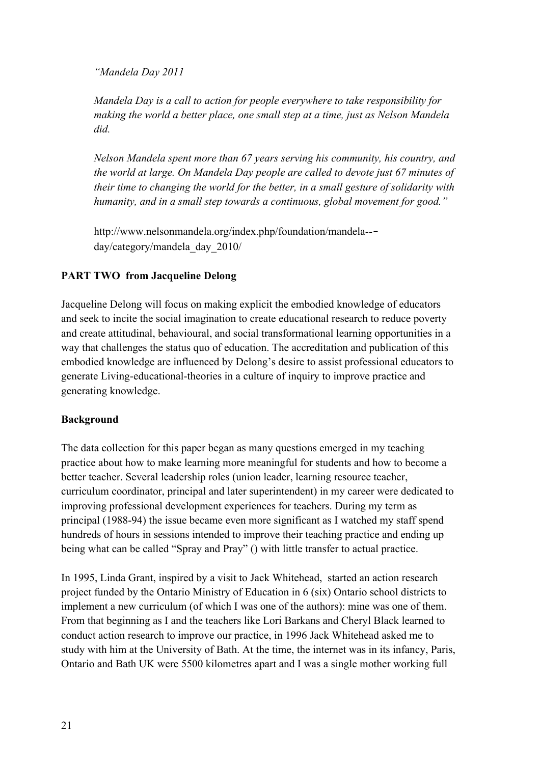*"Mandela Day 2011*

*Mandela Day is a call to action for people everywhere to take responsibility for making the world a better place, one small step at a time, just as Nelson Mandela did.*

*Nelson Mandela spent more than 67 years serving his community, his country, and the world at large. On Mandela Day people are called to devote just 67 minutes of their time to changing the world for the better, in a small gesture of solidarity with humanity, and in a small step towards a continuous, global movement for good."*

http://www.nelsonmandela.org/index.php/foundation/mandela--‐ day/category/mandela\_day\_2010/

# **PART TWO from Jacqueline Delong**

Jacqueline Delong will focus on making explicit the embodied knowledge of educators and seek to incite the social imagination to create educational research to reduce poverty and create attitudinal, behavioural, and social transformational learning opportunities in a way that challenges the status quo of education. The accreditation and publication of this embodied knowledge are influenced by Delong's desire to assist professional educators to generate Living-educational-theories in a culture of inquiry to improve practice and generating knowledge.

# **Background**

The data collection for this paper began as many questions emerged in my teaching practice about how to make learning more meaningful for students and how to become a better teacher. Several leadership roles (union leader, learning resource teacher, curriculum coordinator, principal and later superintendent) in my career were dedicated to improving professional development experiences for teachers. During my term as principal (1988-94) the issue became even more significant as I watched my staff spend hundreds of hours in sessions intended to improve their teaching practice and ending up being what can be called "Spray and Pray" () with little transfer to actual practice.

In 1995, Linda Grant, inspired by a visit to Jack Whitehead, started an action research project funded by the Ontario Ministry of Education in 6 (six) Ontario school districts to implement a new curriculum (of which I was one of the authors): mine was one of them. From that beginning as I and the teachers like Lori Barkans and Cheryl Black learned to conduct action research to improve our practice, in 1996 Jack Whitehead asked me to study with him at the University of Bath. At the time, the internet was in its infancy, Paris, Ontario and Bath UK were 5500 kilometres apart and I was a single mother working full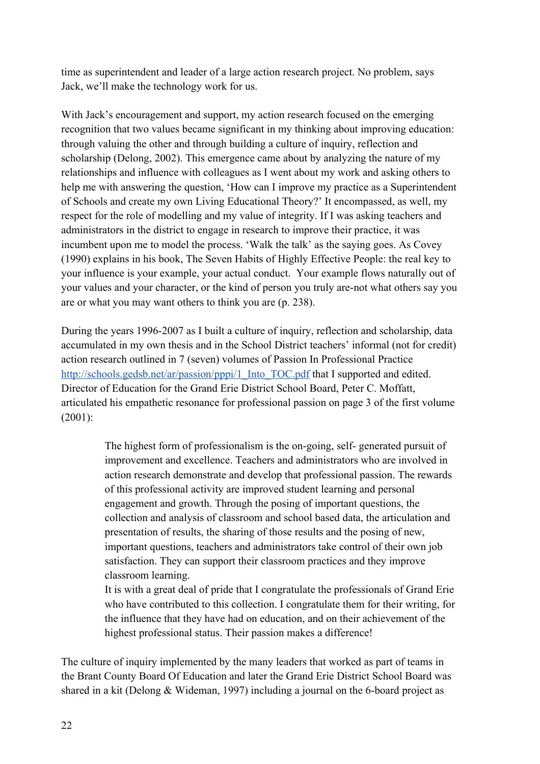time as superintendent and leader of a large action research project. No problem, says Jack, we'll make the technology work for us.

With Jack's encouragement and support, my action research focused on the emerging recognition that two values became significant in my thinking about improving education: through valuing the other and through building a culture of inquiry, reflection and scholarship (Delong, 2002). This emergence came about by analyzing the nature of my relationships and influence with colleagues as I went about my work and asking others to help me with answering the question, 'How can I improve my practice as a Superintendent of Schools and create my own Living Educational Theory?' It encompassed, as well, my respect for the role of modelling and my value of integrity. If I was asking teachers and administrators in the district to engage in research to improve their practice, it was incumbent upon me to model the process. 'Walk the talk' as the saying goes. As Covey (1990) explains in his book, The Seven Habits of Highly Effective People: the real key to your influence is your example, your actual conduct. Your example flows naturally out of your values and your character, or the kind of person you truly are-not what others say you are or what you may want others to think you are (p. 238).

During the years 1996-2007 as I built a culture of inquiry, reflection and scholarship, data accumulated in my own thesis and in the School District teachers' informal (not for credit) action research outlined in 7 (seven) volumes of Passion In Professional Practice http://schools.gedsb.net/ar/passion/pppi/1\_Into\_TOC.pdf that I supported and edited. Director of Education for the Grand Erie District School Board, Peter C. Moffatt, articulated his empathetic resonance for professional passion on page 3 of the first volume (2001):

> The highest form of professionalism is the on-going, self- generated pursuit of improvement and excellence. Teachers and administrators who are involved in action research demonstrate and develop that professional passion. The rewards of this professional activity are improved student learning and personal engagement and growth. Through the posing of important questions, the collection and analysis of classroom and school based data, the articulation and presentation of results, the sharing of those results and the posing of new, important questions, teachers and administrators take control of their own job satisfaction. They can support their classroom practices and they improve classroom learning.

> It is with a great deal of pride that I congratulate the professionals of Grand Erie who have contributed to this collection. I congratulate them for their writing, for the influence that they have had on education, and on their achievement of the highest professional status. Their passion makes a difference!

The culture of inquiry implemented by the many leaders that worked as part of teams in the Brant County Board Of Education and later the Grand Erie District School Board was shared in a kit (Delong & Wideman, 1997) including a journal on the 6-board project as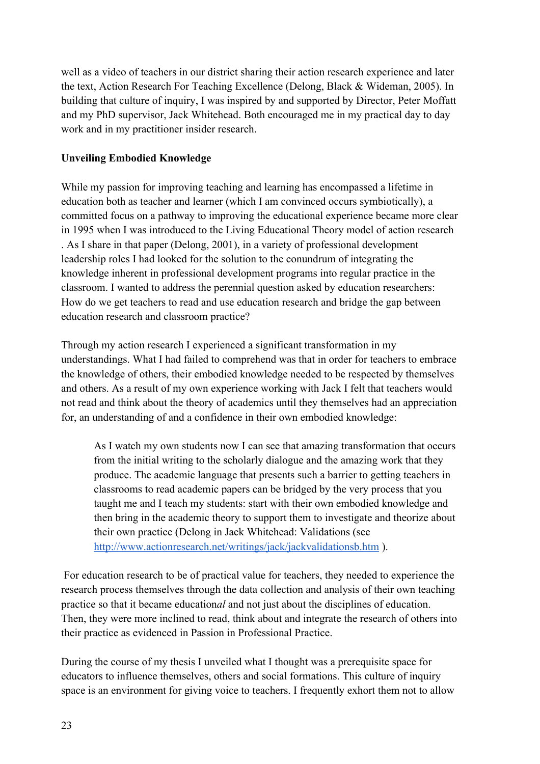well as a video of teachers in our district sharing their action research experience and later the text, Action Research For Teaching Excellence (Delong, Black & Wideman, 2005). In building that culture of inquiry, I was inspired by and supported by Director, Peter Moffatt and my PhD supervisor, Jack Whitehead. Both encouraged me in my practical day to day work and in my practitioner insider research.

# **Unveiling Embodied Knowledge**

While my passion for improving teaching and learning has encompassed a lifetime in education both as teacher and learner (which I am convinced occurs symbiotically), a committed focus on a pathway to improving the educational experience became more clear in 1995 when I was introduced to the Living Educational Theory model of action research . As I share in that paper (Delong, 2001), in a variety of professional development leadership roles I had looked for the solution to the conundrum of integrating the knowledge inherent in professional development programs into regular practice in the classroom. I wanted to address the perennial question asked by education researchers: How do we get teachers to read and use education research and bridge the gap between education research and classroom practice?

Through my action research I experienced a significant transformation in my understandings. What I had failed to comprehend was that in order for teachers to embrace the knowledge of others, their embodied knowledge needed to be respected by themselves and others. As a result of my own experience working with Jack I felt that teachers would not read and think about the theory of academics until they themselves had an appreciation for, an understanding of and a confidence in their own embodied knowledge:

As I watch my own students now I can see that amazing transformation that occurs from the initial writing to the scholarly dialogue and the amazing work that they produce. The academic language that presents such a barrier to getting teachers in classrooms to read academic papers can be bridged by the very process that you taught me and I teach my students: start with their own embodied knowledge and then bring in the academic theory to support them to investigate and theorize about their own practice (Delong in Jack Whitehead: Validations (see http://www.actionresearch.net/writings/jack/jackvalidationsb.htm ).

 For education research to be of practical value for teachers, they needed to experience the research process themselves through the data collection and analysis of their own teaching practice so that it became education*al* and not just about the disciplines of education. Then, they were more inclined to read, think about and integrate the research of others into their practice as evidenced in Passion in Professional Practice.

During the course of my thesis I unveiled what I thought was a prerequisite space for educators to influence themselves, others and social formations. This culture of inquiry space is an environment for giving voice to teachers. I frequently exhort them not to allow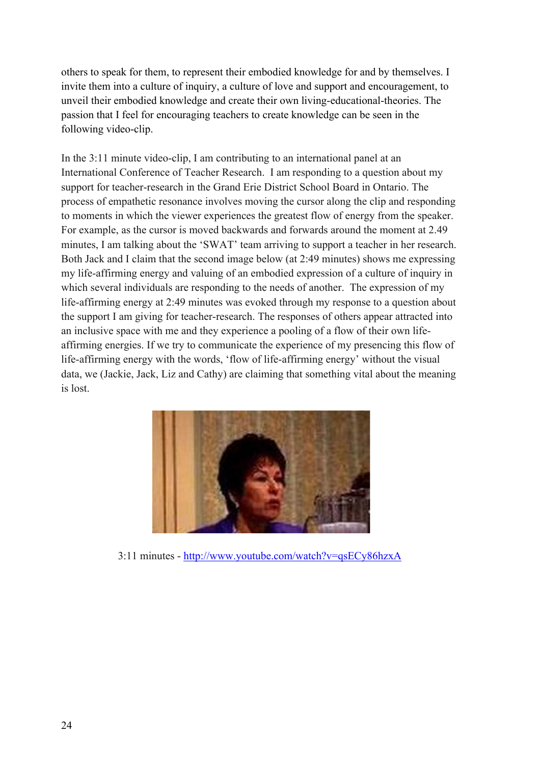others to speak for them, to represent their embodied knowledge for and by themselves. I invite them into a culture of inquiry, a culture of love and support and encouragement, to unveil their embodied knowledge and create their own living-educational-theories. The passion that I feel for encouraging teachers to create knowledge can be seen in the following video-clip.

In the 3:11 minute video-clip, I am contributing to an international panel at an International Conference of Teacher Research. I am responding to a question about my support for teacher-research in the Grand Erie District School Board in Ontario. The process of empathetic resonance involves moving the cursor along the clip and responding to moments in which the viewer experiences the greatest flow of energy from the speaker. For example, as the cursor is moved backwards and forwards around the moment at 2.49 minutes, I am talking about the 'SWAT' team arriving to support a teacher in her research. Both Jack and I claim that the second image below (at 2:49 minutes) shows me expressing my life-affirming energy and valuing of an embodied expression of a culture of inquiry in which several individuals are responding to the needs of another. The expression of my life-affirming energy at 2:49 minutes was evoked through my response to a question about the support I am giving for teacher-research. The responses of others appear attracted into an inclusive space with me and they experience a pooling of a flow of their own lifeaffirming energies. If we try to communicate the experience of my presencing this flow of life-affirming energy with the words, 'flow of life-affirming energy' without the visual data, we (Jackie, Jack, Liz and Cathy) are claiming that something vital about the meaning is lost.



3:11 minutes - http://www.youtube.com/watch?v=qsECy86hzxA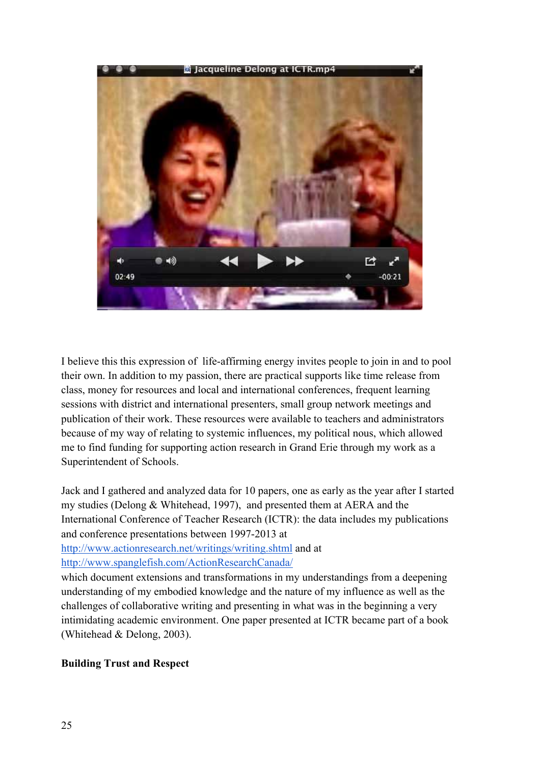

I believe this this expression of life-affirming energy invites people to join in and to pool their own. In addition to my passion, there are practical supports like time release from class, money for resources and local and international conferences, frequent learning sessions with district and international presenters, small group network meetings and publication of their work. These resources were available to teachers and administrators because of my way of relating to systemic influences, my political nous, which allowed me to find funding for supporting action research in Grand Erie through my work as a Superintendent of Schools.

Jack and I gathered and analyzed data for 10 papers, one as early as the year after I started my studies (Delong & Whitehead, 1997), and presented them at AERA and the International Conference of Teacher Research (ICTR): the data includes my publications and conference presentations between 1997-2013 at

http://www.actionresearch.net/writings/writing.shtml and at http://www.spanglefish.com/ActionResearchCanada/

which document extensions and transformations in my understandings from a deepening understanding of my embodied knowledge and the nature of my influence as well as the challenges of collaborative writing and presenting in what was in the beginning a very intimidating academic environment. One paper presented at ICTR became part of a book (Whitehead & Delong, 2003).

# **Building Trust and Respect**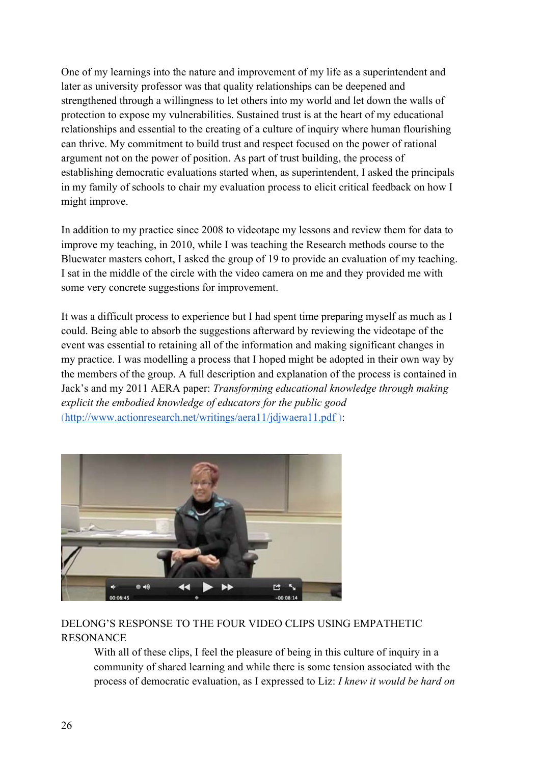One of my learnings into the nature and improvement of my life as a superintendent and later as university professor was that quality relationships can be deepened and strengthened through a willingness to let others into my world and let down the walls of protection to expose my vulnerabilities. Sustained trust is at the heart of my educational relationships and essential to the creating of a culture of inquiry where human flourishing can thrive. My commitment to build trust and respect focused on the power of rational argument not on the power of position. As part of trust building, the process of establishing democratic evaluations started when, as superintendent, I asked the principals in my family of schools to chair my evaluation process to elicit critical feedback on how I might improve.

In addition to my practice since 2008 to videotape my lessons and review them for data to improve my teaching, in 2010, while I was teaching the Research methods course to the Bluewater masters cohort, I asked the group of 19 to provide an evaluation of my teaching. I sat in the middle of the circle with the video camera on me and they provided me with some very concrete suggestions for improvement.

It was a difficult process to experience but I had spent time preparing myself as much as I could. Being able to absorb the suggestions afterward by reviewing the videotape of the event was essential to retaining all of the information and making significant changes in my practice. I was modelling a process that I hoped might be adopted in their own way by the members of the group. A full description and explanation of the process is contained in Jack's and my 2011 AERA paper: *Transforming educational knowledge through making explicit the embodied knowledge of educators for the public good* (http://www.actionresearch.net/writings/aera11/jdjwaera11.pdf ):



# DELONG'S RESPONSE TO THE FOUR VIDEO CLIPS USING EMPATHETIC RESONANCE

With all of these clips, I feel the pleasure of being in this culture of inquiry in a community of shared learning and while there is some tension associated with the process of democratic evaluation, as I expressed to Liz: *I knew it would be hard on*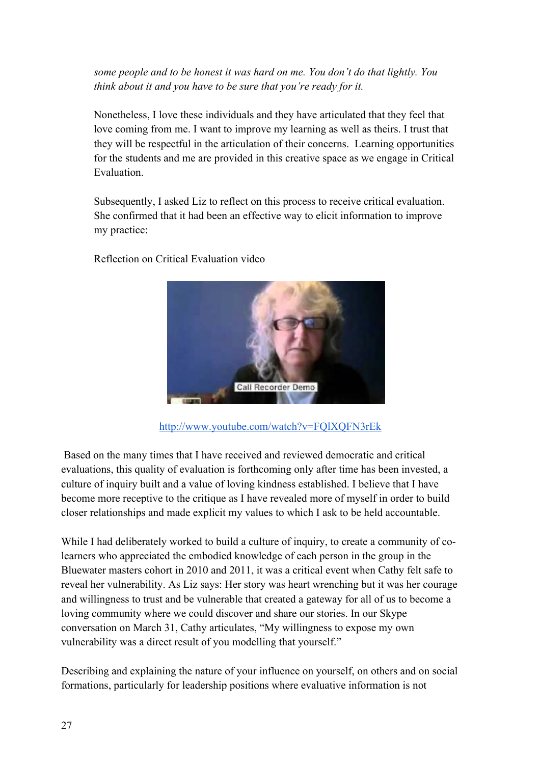*some people and to be honest it was hard on me. You don't do that lightly. You think about it and you have to be sure that you're ready for it.*

Nonetheless, I love these individuals and they have articulated that they feel that love coming from me. I want to improve my learning as well as theirs. I trust that they will be respectful in the articulation of their concerns. Learning opportunities for the students and me are provided in this creative space as we engage in Critical Evaluation.

Subsequently, I asked Liz to reflect on this process to receive critical evaluation. She confirmed that it had been an effective way to elicit information to improve my practice:

Reflection on Critical Evaluation video



http://www.youtube.com/watch?v=FQlXQFN3rEk

 Based on the many times that I have received and reviewed democratic and critical evaluations, this quality of evaluation is forthcoming only after time has been invested, a culture of inquiry built and a value of loving kindness established. I believe that I have become more receptive to the critique as I have revealed more of myself in order to build closer relationships and made explicit my values to which I ask to be held accountable.

While I had deliberately worked to build a culture of inquiry, to create a community of colearners who appreciated the embodied knowledge of each person in the group in the Bluewater masters cohort in 2010 and 2011, it was a critical event when Cathy felt safe to reveal her vulnerability. As Liz says: Her story was heart wrenching but it was her courage and willingness to trust and be vulnerable that created a gateway for all of us to become a loving community where we could discover and share our stories. In our Skype conversation on March 31, Cathy articulates, "My willingness to expose my own vulnerability was a direct result of you modelling that yourself."

Describing and explaining the nature of your influence on yourself, on others and on social formations, particularly for leadership positions where evaluative information is not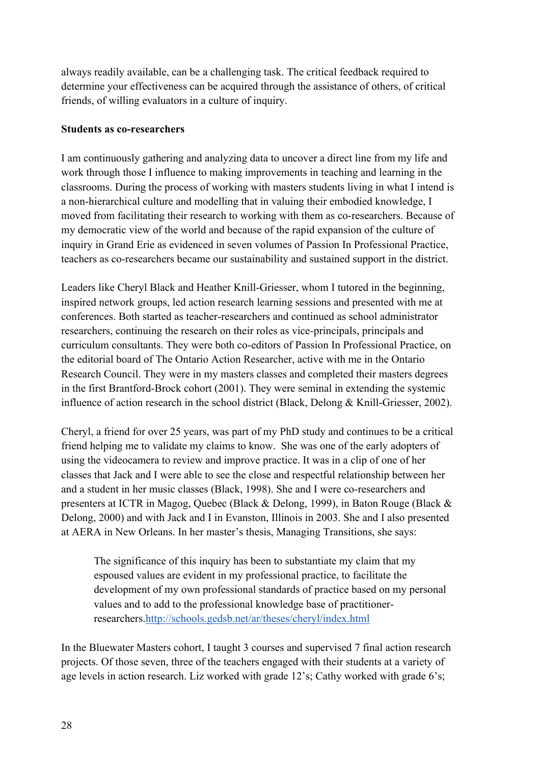always readily available, can be a challenging task. The critical feedback required to determine your effectiveness can be acquired through the assistance of others, of critical friends, of willing evaluators in a culture of inquiry.

### **Students as co-researchers**

I am continuously gathering and analyzing data to uncover a direct line from my life and work through those I influence to making improvements in teaching and learning in the classrooms. During the process of working with masters students living in what I intend is a non-hierarchical culture and modelling that in valuing their embodied knowledge, I moved from facilitating their research to working with them as co-researchers. Because of my democratic view of the world and because of the rapid expansion of the culture of inquiry in Grand Erie as evidenced in seven volumes of Passion In Professional Practice, teachers as co-researchers became our sustainability and sustained support in the district.

Leaders like Cheryl Black and Heather Knill-Griesser, whom I tutored in the beginning, inspired network groups, led action research learning sessions and presented with me at conferences. Both started as teacher-researchers and continued as school administrator researchers, continuing the research on their roles as vice-principals, principals and curriculum consultants. They were both co-editors of Passion In Professional Practice, on the editorial board of The Ontario Action Researcher, active with me in the Ontario Research Council. They were in my masters classes and completed their masters degrees in the first Brantford-Brock cohort (2001). They were seminal in extending the systemic influence of action research in the school district (Black, Delong & Knill-Griesser, 2002).

Cheryl, a friend for over 25 years, was part of my PhD study and continues to be a critical friend helping me to validate my claims to know. She was one of the early adopters of using the videocamera to review and improve practice. It was in a clip of one of her classes that Jack and I were able to see the close and respectful relationship between her and a student in her music classes (Black, 1998). She and I were co-researchers and presenters at ICTR in Magog, Quebec (Black & Delong, 1999), in Baton Rouge (Black & Delong, 2000) and with Jack and I in Evanston, Illinois in 2003. She and I also presented at AERA in New Orleans. In her master's thesis, Managing Transitions, she says:

The significance of this inquiry has been to substantiate my claim that my espoused values are evident in my professional practice, to facilitate the development of my own professional standards of practice based on my personal values and to add to the professional knowledge base of practitionerresearchers.http://schools.gedsb.net/ar/theses/cheryl/index.html

In the Bluewater Masters cohort, I taught 3 courses and supervised 7 final action research projects. Of those seven, three of the teachers engaged with their students at a variety of age levels in action research. Liz worked with grade 12's; Cathy worked with grade 6's;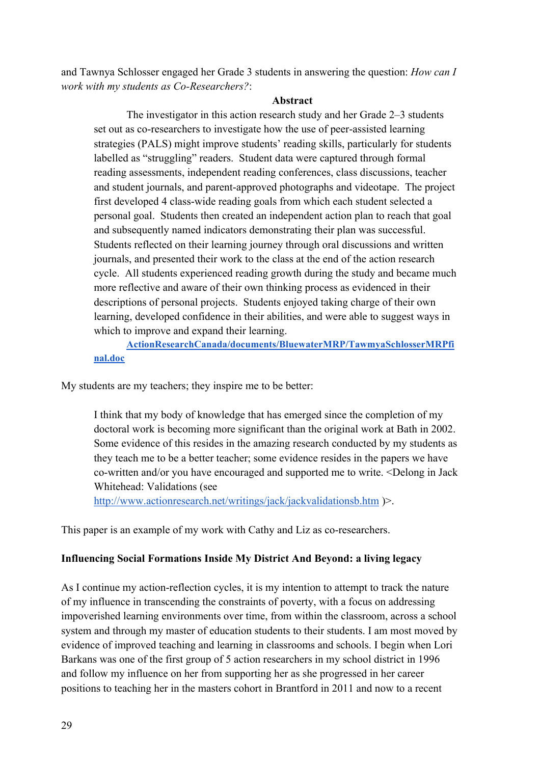and Tawnya Schlosser engaged her Grade 3 students in answering the question: *How can I work with my students as Co-Researchers?*:

#### **Abstract**

The investigator in this action research study and her Grade 2–3 students set out as co-researchers to investigate how the use of peer-assisted learning strategies (PALS) might improve students' reading skills, particularly for students labelled as "struggling" readers. Student data were captured through formal reading assessments, independent reading conferences, class discussions, teacher and student journals, and parent-approved photographs and videotape. The project first developed 4 class-wide reading goals from which each student selected a personal goal. Students then created an independent action plan to reach that goal and subsequently named indicators demonstrating their plan was successful. Students reflected on their learning journey through oral discussions and written journals, and presented their work to the class at the end of the action research cycle. All students experienced reading growth during the study and became much more reflective and aware of their own thinking process as evidenced in their descriptions of personal projects. Students enjoyed taking charge of their own learning, developed confidence in their abilities, and were able to suggest ways in which to improve and expand their learning.

**ActionResearchCanada/documents/BluewaterMRP/TawmyaSchlosserMRPfi nal.doc**

My students are my teachers; they inspire me to be better:

I think that my body of knowledge that has emerged since the completion of my doctoral work is becoming more significant than the original work at Bath in 2002. Some evidence of this resides in the amazing research conducted by my students as they teach me to be a better teacher; some evidence resides in the papers we have co-written and/or you have encouraged and supported me to write. <Delong in Jack Whitehead: Validations (see

http://www.actionresearch.net/writings/jack/jackvalidationsb.htm )>.

This paper is an example of my work with Cathy and Liz as co-researchers.

### **Influencing Social Formations Inside My District And Beyond: a living legacy**

As I continue my action-reflection cycles, it is my intention to attempt to track the nature of my influence in transcending the constraints of poverty, with a focus on addressing impoverished learning environments over time, from within the classroom, across a school system and through my master of education students to their students. I am most moved by evidence of improved teaching and learning in classrooms and schools. I begin when Lori Barkans was one of the first group of 5 action researchers in my school district in 1996 and follow my influence on her from supporting her as she progressed in her career positions to teaching her in the masters cohort in Brantford in 2011 and now to a recent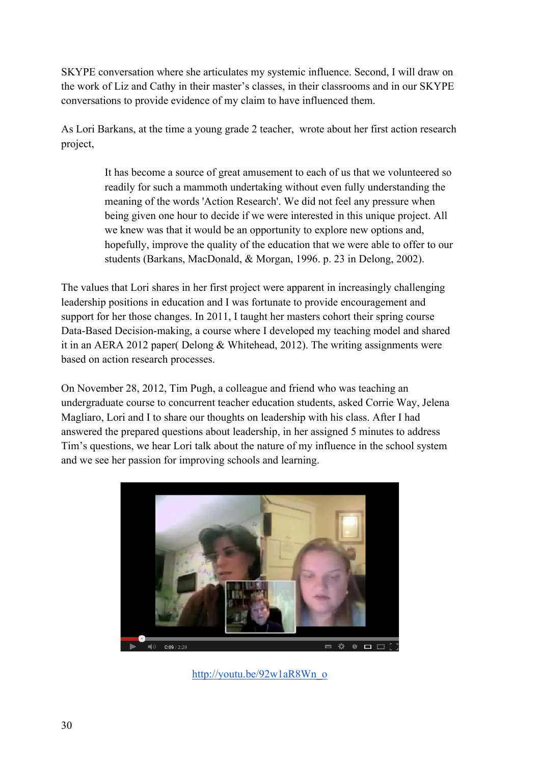SKYPE conversation where she articulates my systemic influence. Second, I will draw on the work of Liz and Cathy in their master's classes, in their classrooms and in our SKYPE conversations to provide evidence of my claim to have influenced them.

As Lori Barkans, at the time a young grade 2 teacher, wrote about her first action research project,

> It has become a source of great amusement to each of us that we volunteered so readily for such a mammoth undertaking without even fully understanding the meaning of the words 'Action Research'. We did not feel any pressure when being given one hour to decide if we were interested in this unique project. All we knew was that it would be an opportunity to explore new options and, hopefully, improve the quality of the education that we were able to offer to our students (Barkans, MacDonald, & Morgan, 1996. p. 23 in Delong, 2002).

The values that Lori shares in her first project were apparent in increasingly challenging leadership positions in education and I was fortunate to provide encouragement and support for her those changes. In 2011, I taught her masters cohort their spring course Data-Based Decision-making, a course where I developed my teaching model and shared it in an AERA 2012 paper( Delong & Whitehead, 2012). The writing assignments were based on action research processes.

On November 28, 2012, Tim Pugh, a colleague and friend who was teaching an undergraduate course to concurrent teacher education students, asked Corrie Way, Jelena Magliaro, Lori and I to share our thoughts on leadership with his class. After I had answered the prepared questions about leadership, in her assigned 5 minutes to address Tim's questions, we hear Lori talk about the nature of my influence in the school system and we see her passion for improving schools and learning.



http://youtu.be/92w1aR8Wn\_o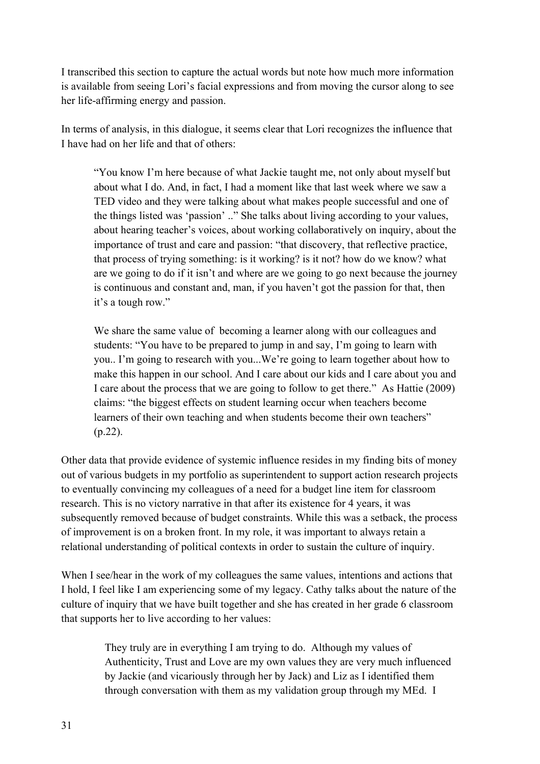I transcribed this section to capture the actual words but note how much more information is available from seeing Lori's facial expressions and from moving the cursor along to see her life-affirming energy and passion.

In terms of analysis, in this dialogue, it seems clear that Lori recognizes the influence that I have had on her life and that of others:

"You know I'm here because of what Jackie taught me, not only about myself but about what I do. And, in fact, I had a moment like that last week where we saw a TED video and they were talking about what makes people successful and one of the things listed was 'passion' .." She talks about living according to your values, about hearing teacher's voices, about working collaboratively on inquiry, about the importance of trust and care and passion: "that discovery, that reflective practice, that process of trying something: is it working? is it not? how do we know? what are we going to do if it isn't and where are we going to go next because the journey is continuous and constant and, man, if you haven't got the passion for that, then it's a tough row."

We share the same value of becoming a learner along with our colleagues and students: "You have to be prepared to jump in and say, I'm going to learn with you.. I'm going to research with you...We're going to learn together about how to make this happen in our school. And I care about our kids and I care about you and I care about the process that we are going to follow to get there." As Hattie (2009) claims: "the biggest effects on student learning occur when teachers become learners of their own teaching and when students become their own teachers" (p.22).

Other data that provide evidence of systemic influence resides in my finding bits of money out of various budgets in my portfolio as superintendent to support action research projects to eventually convincing my colleagues of a need for a budget line item for classroom research. This is no victory narrative in that after its existence for 4 years, it was subsequently removed because of budget constraints. While this was a setback, the process of improvement is on a broken front. In my role, it was important to always retain a relational understanding of political contexts in order to sustain the culture of inquiry.

When I see/hear in the work of my colleagues the same values, intentions and actions that I hold, I feel like I am experiencing some of my legacy. Cathy talks about the nature of the culture of inquiry that we have built together and she has created in her grade 6 classroom that supports her to live according to her values:

> They truly are in everything I am trying to do. Although my values of Authenticity, Trust and Love are my own values they are very much influenced by Jackie (and vicariously through her by Jack) and Liz as I identified them through conversation with them as my validation group through my MEd. I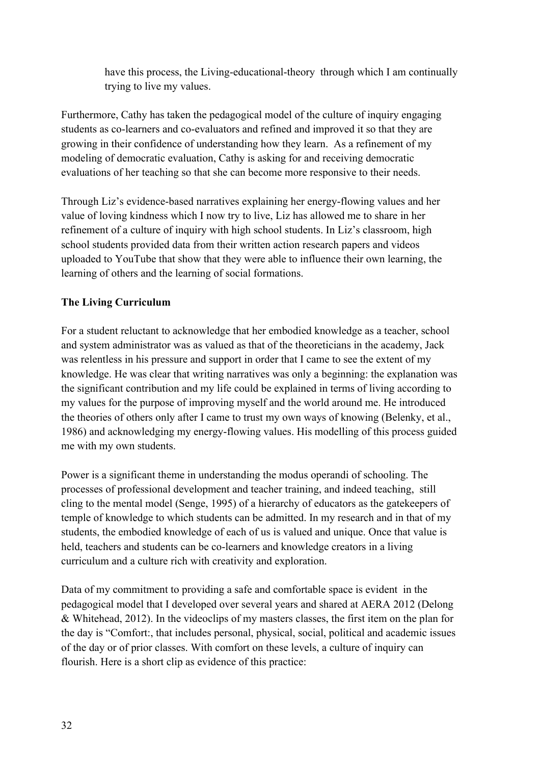have this process, the Living-educational-theory through which I am continually trying to live my values.

Furthermore, Cathy has taken the pedagogical model of the culture of inquiry engaging students as co-learners and co-evaluators and refined and improved it so that they are growing in their confidence of understanding how they learn. As a refinement of my modeling of democratic evaluation, Cathy is asking for and receiving democratic evaluations of her teaching so that she can become more responsive to their needs.

Through Liz's evidence-based narratives explaining her energy-flowing values and her value of loving kindness which I now try to live, Liz has allowed me to share in her refinement of a culture of inquiry with high school students. In Liz's classroom, high school students provided data from their written action research papers and videos uploaded to YouTube that show that they were able to influence their own learning, the learning of others and the learning of social formations.

# **The Living Curriculum**

For a student reluctant to acknowledge that her embodied knowledge as a teacher, school and system administrator was as valued as that of the theoreticians in the academy, Jack was relentless in his pressure and support in order that I came to see the extent of my knowledge. He was clear that writing narratives was only a beginning: the explanation was the significant contribution and my life could be explained in terms of living according to my values for the purpose of improving myself and the world around me. He introduced the theories of others only after I came to trust my own ways of knowing (Belenky, et al., 1986) and acknowledging my energy-flowing values. His modelling of this process guided me with my own students.

Power is a significant theme in understanding the modus operandi of schooling. The processes of professional development and teacher training, and indeed teaching, still cling to the mental model (Senge, 1995) of a hierarchy of educators as the gatekeepers of temple of knowledge to which students can be admitted. In my research and in that of my students, the embodied knowledge of each of us is valued and unique. Once that value is held, teachers and students can be co-learners and knowledge creators in a living curriculum and a culture rich with creativity and exploration.

Data of my commitment to providing a safe and comfortable space is evident in the pedagogical model that I developed over several years and shared at AERA 2012 (Delong & Whitehead, 2012). In the videoclips of my masters classes, the first item on the plan for the day is "Comfort:, that includes personal, physical, social, political and academic issues of the day or of prior classes. With comfort on these levels, a culture of inquiry can flourish. Here is a short clip as evidence of this practice: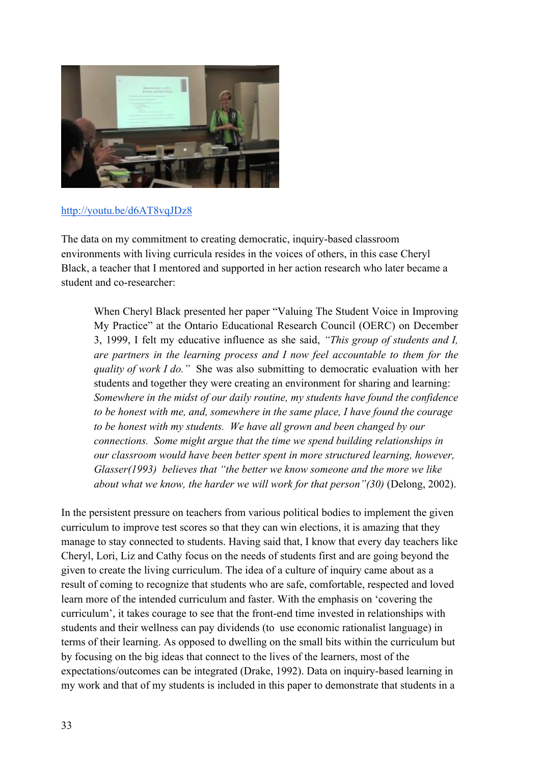

#### http://youtu.be/d6AT8vqJDz8

The data on my commitment to creating democratic, inquiry-based classroom environments with living curricula resides in the voices of others, in this case Cheryl Black, a teacher that I mentored and supported in her action research who later became a student and co-researcher:

When Cheryl Black presented her paper "Valuing The Student Voice in Improving My Practice" at the Ontario Educational Research Council (OERC) on December 3, 1999, I felt my educative influence as she said, *"This group of students and I, are partners in the learning process and I now feel accountable to them for the quality of work I do."* She was also submitting to democratic evaluation with her students and together they were creating an environment for sharing and learning: *Somewhere in the midst of our daily routine, my students have found the confidence to be honest with me, and, somewhere in the same place, I have found the courage to be honest with my students. We have all grown and been changed by our connections. Some might argue that the time we spend building relationships in our classroom would have been better spent in more structured learning, however, Glasser(1993) believes that "the better we know someone and the more we like about what we know, the harder we will work for that person"(30)* (Delong, 2002).

In the persistent pressure on teachers from various political bodies to implement the given curriculum to improve test scores so that they can win elections, it is amazing that they manage to stay connected to students. Having said that, I know that every day teachers like Cheryl, Lori, Liz and Cathy focus on the needs of students first and are going beyond the given to create the living curriculum. The idea of a culture of inquiry came about as a result of coming to recognize that students who are safe, comfortable, respected and loved learn more of the intended curriculum and faster. With the emphasis on 'covering the curriculum', it takes courage to see that the front-end time invested in relationships with students and their wellness can pay dividends (to use economic rationalist language) in terms of their learning. As opposed to dwelling on the small bits within the curriculum but by focusing on the big ideas that connect to the lives of the learners, most of the expectations/outcomes can be integrated (Drake, 1992). Data on inquiry-based learning in my work and that of my students is included in this paper to demonstrate that students in a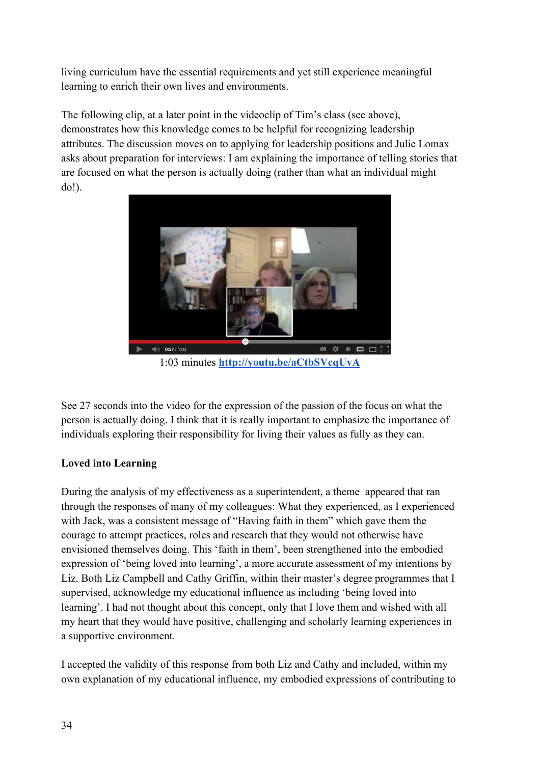living curriculum have the essential requirements and yet still experience meaningful learning to enrich their own lives and environments.

The following clip, at a later point in the videoclip of Tim's class (see above), demonstrates how this knowledge comes to be helpful for recognizing leadership attributes. The discussion moves on to applying for leadership positions and Julie Lomax asks about preparation for interviews: I am explaining the importance of telling stories that are focused on what the person is actually doing (rather than what an individual might do!).



1:03 minutes **http://youtu.be/aCtbSVcqUvA**

See 27 seconds into the video for the expression of the passion of the focus on what the person is actually doing. I think that it is really important to emphasize the importance of individuals exploring their responsibility for living their values as fully as they can.

# **Loved into Learning**

During the analysis of my effectiveness as a superintendent, a theme appeared that ran through the responses of many of my colleagues: What they experienced, as I experienced with Jack, was a consistent message of "Having faith in them" which gave them the courage to attempt practices, roles and research that they would not otherwise have envisioned themselves doing. This 'faith in them', been strengthened into the embodied expression of 'being loved into learning', a more accurate assessment of my intentions by Liz. Both Liz Campbell and Cathy Griffin, within their master's degree programmes that I supervised, acknowledge my educational influence as including 'being loved into learning'. I had not thought about this concept, only that I love them and wished with all my heart that they would have positive, challenging and scholarly learning experiences in a supportive environment.

I accepted the validity of this response from both Liz and Cathy and included, within my own explanation of my educational influence, my embodied expressions of contributing to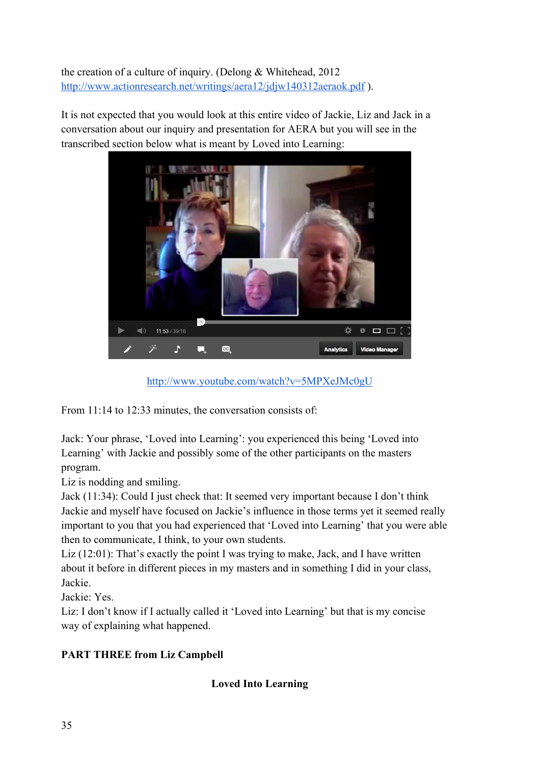the creation of a culture of inquiry. (Delong & Whitehead, 2012 http://www.actionresearch.net/writings/aera12/jdjw140312aeraok.pdf ).

It is not expected that you would look at this entire video of Jackie, Liz and Jack in a conversation about our inquiry and presentation for AERA but you will see in the transcribed section below what is meant by Loved into Learning:



http://www.youtube.com/watch?v=5MPXeJMc0gU

From 11:14 to 12:33 minutes, the conversation consists of:

Jack: Your phrase, 'Loved into Learning': you experienced this being 'Loved into Learning' with Jackie and possibly some of the other participants on the masters program.

Liz is nodding and smiling.

Jack (11:34): Could I just check that: It seemed very important because I don't think Jackie and myself have focused on Jackie's influence in those terms yet it seemed really important to you that you had experienced that 'Loved into Learning' that you were able then to communicate, I think, to your own students.

Liz (12:01): That's exactly the point I was trying to make, Jack, and I have written about it before in different pieces in my masters and in something I did in your class, Jackie.

Jackie: Yes.

Liz: I don't know if I actually called it 'Loved into Learning' but that is my concise way of explaining what happened.

# **PART THREE from Liz Campbell**

# **Loved Into Learning**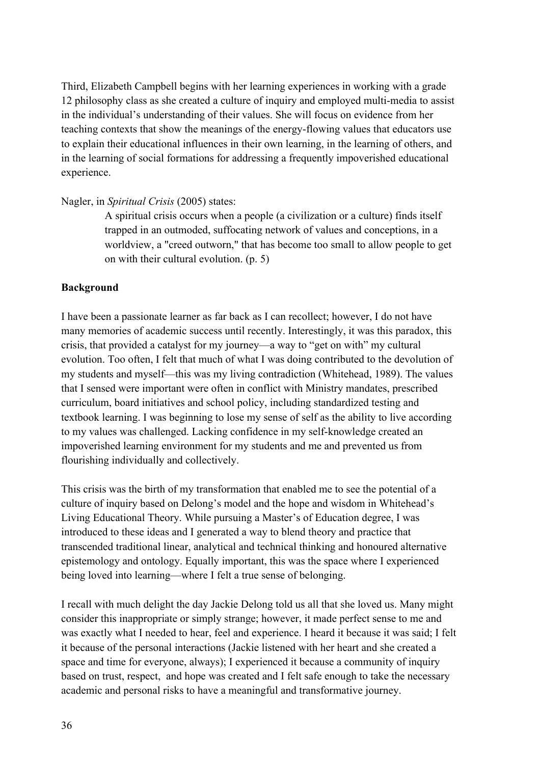Third, Elizabeth Campbell begins with her learning experiences in working with a grade 12 philosophy class as she created a culture of inquiry and employed multi-media to assist in the individual's understanding of their values. She will focus on evidence from her teaching contexts that show the meanings of the energy-flowing values that educators use to explain their educational influences in their own learning, in the learning of others, and in the learning of social formations for addressing a frequently impoverished educational experience.

### Nagler, in *Spiritual Crisis* (2005) states:

A spiritual crisis occurs when a people (a civilization or a culture) finds itself trapped in an outmoded, suffocating network of values and conceptions, in a worldview, a "creed outworn," that has become too small to allow people to get on with their cultural evolution. (p. 5)

## **Background**

I have been a passionate learner as far back as I can recollect; however, I do not have many memories of academic success until recently. Interestingly, it was this paradox, this crisis, that provided a catalyst for my journey—a way to "get on with" my cultural evolution. Too often, I felt that much of what I was doing contributed to the devolution of my students and myself—this was my living contradiction (Whitehead, 1989). The values that I sensed were important were often in conflict with Ministry mandates, prescribed curriculum, board initiatives and school policy, including standardized testing and textbook learning. I was beginning to lose my sense of self as the ability to live according to my values was challenged. Lacking confidence in my self-knowledge created an impoverished learning environment for my students and me and prevented us from flourishing individually and collectively.

This crisis was the birth of my transformation that enabled me to see the potential of a culture of inquiry based on Delong's model and the hope and wisdom in Whitehead's Living Educational Theory. While pursuing a Master's of Education degree, I was introduced to these ideas and I generated a way to blend theory and practice that transcended traditional linear, analytical and technical thinking and honoured alternative epistemology and ontology. Equally important, this was the space where I experienced being loved into learning—where I felt a true sense of belonging.

I recall with much delight the day Jackie Delong told us all that she loved us. Many might consider this inappropriate or simply strange; however, it made perfect sense to me and was exactly what I needed to hear, feel and experience. I heard it because it was said; I felt it because of the personal interactions (Jackie listened with her heart and she created a space and time for everyone, always); I experienced it because a community of inquiry based on trust, respect, and hope was created and I felt safe enough to take the necessary academic and personal risks to have a meaningful and transformative journey.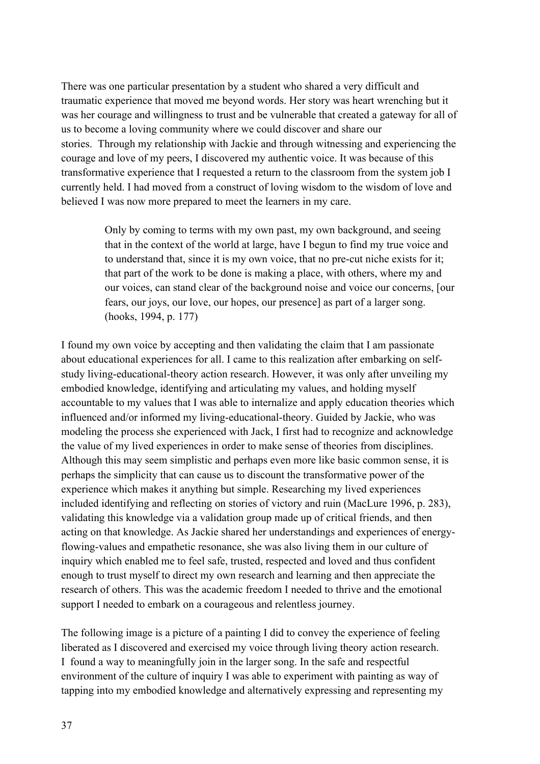There was one particular presentation by a student who shared a very difficult and traumatic experience that moved me beyond words. Her story was heart wrenching but it was her courage and willingness to trust and be vulnerable that created a gateway for all of us to become a loving community where we could discover and share our stories. Through my relationship with Jackie and through witnessing and experiencing the courage and love of my peers, I discovered my authentic voice. It was because of this transformative experience that I requested a return to the classroom from the system job I currently held. I had moved from a construct of loving wisdom to the wisdom of love and believed I was now more prepared to meet the learners in my care.

> Only by coming to terms with my own past, my own background, and seeing that in the context of the world at large, have I begun to find my true voice and to understand that, since it is my own voice, that no pre-cut niche exists for it; that part of the work to be done is making a place, with others, where my and our voices, can stand clear of the background noise and voice our concerns, [our fears, our joys, our love, our hopes, our presence] as part of a larger song. (hooks, 1994, p. 177)

I found my own voice by accepting and then validating the claim that I am passionate about educational experiences for all. I came to this realization after embarking on selfstudy living-educational-theory action research. However, it was only after unveiling my embodied knowledge, identifying and articulating my values, and holding myself accountable to my values that I was able to internalize and apply education theories which influenced and/or informed my living-educational-theory. Guided by Jackie, who was modeling the process she experienced with Jack, I first had to recognize and acknowledge the value of my lived experiences in order to make sense of theories from disciplines. Although this may seem simplistic and perhaps even more like basic common sense, it is perhaps the simplicity that can cause us to discount the transformative power of the experience which makes it anything but simple. Researching my lived experiences included identifying and reflecting on stories of victory and ruin (MacLure 1996, p. 283), validating this knowledge via a validation group made up of critical friends, and then acting on that knowledge. As Jackie shared her understandings and experiences of energyflowing-values and empathetic resonance, she was also living them in our culture of inquiry which enabled me to feel safe, trusted, respected and loved and thus confident enough to trust myself to direct my own research and learning and then appreciate the research of others. This was the academic freedom I needed to thrive and the emotional support I needed to embark on a courageous and relentless journey.

The following image is a picture of a painting I did to convey the experience of feeling liberated as I discovered and exercised my voice through living theory action research. I found a way to meaningfully join in the larger song. In the safe and respectful environment of the culture of inquiry I was able to experiment with painting as way of tapping into my embodied knowledge and alternatively expressing and representing my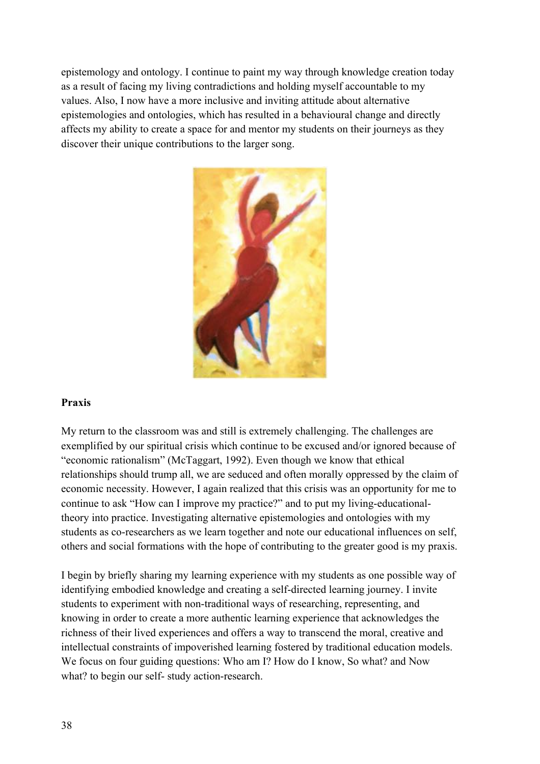epistemology and ontology. I continue to paint my way through knowledge creation today as a result of facing my living contradictions and holding myself accountable to my values. Also, I now have a more inclusive and inviting attitude about alternative epistemologies and ontologies, which has resulted in a behavioural change and directly affects my ability to create a space for and mentor my students on their journeys as they discover their unique contributions to the larger song.



### **Praxis**

My return to the classroom was and still is extremely challenging. The challenges are exemplified by our spiritual crisis which continue to be excused and/or ignored because of "economic rationalism" (McTaggart, 1992). Even though we know that ethical relationships should trump all, we are seduced and often morally oppressed by the claim of economic necessity. However, I again realized that this crisis was an opportunity for me to continue to ask "How can I improve my practice?" and to put my living-educationaltheory into practice. Investigating alternative epistemologies and ontologies with my students as co-researchers as we learn together and note our educational influences on self, others and social formations with the hope of contributing to the greater good is my praxis.

I begin by briefly sharing my learning experience with my students as one possible way of identifying embodied knowledge and creating a self-directed learning journey. I invite students to experiment with non-traditional ways of researching, representing, and knowing in order to create a more authentic learning experience that acknowledges the richness of their lived experiences and offers a way to transcend the moral, creative and intellectual constraints of impoverished learning fostered by traditional education models. We focus on four guiding questions: Who am I? How do I know, So what? and Now what? to begin our self- study action-research.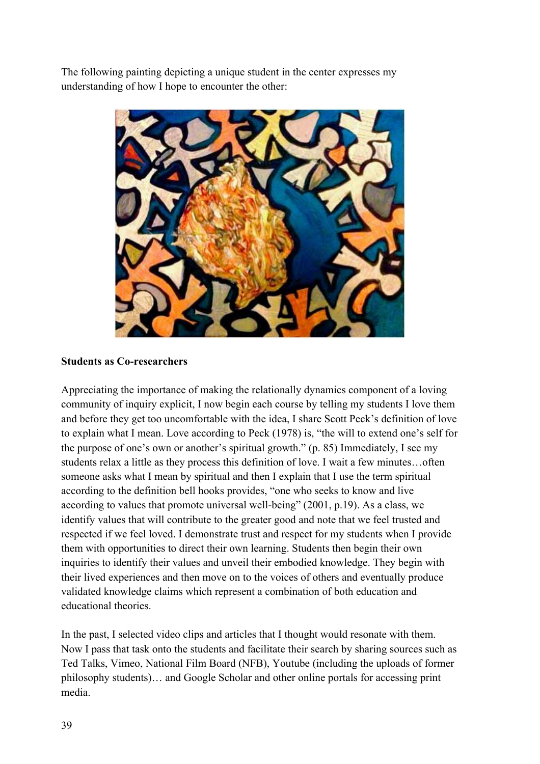The following painting depicting a unique student in the center expresses my understanding of how I hope to encounter the other:



### **Students as Co-researchers**

Appreciating the importance of making the relationally dynamics component of a loving community of inquiry explicit, I now begin each course by telling my students I love them and before they get too uncomfortable with the idea, I share Scott Peck's definition of love to explain what I mean. Love according to Peck (1978) is, "the will to extend one's self for the purpose of one's own or another's spiritual growth." (p. 85) Immediately, I see my students relax a little as they process this definition of love. I wait a few minutes…often someone asks what I mean by spiritual and then I explain that I use the term spiritual according to the definition bell hooks provides, "one who seeks to know and live according to values that promote universal well-being" (2001, p.19). As a class, we identify values that will contribute to the greater good and note that we feel trusted and respected if we feel loved. I demonstrate trust and respect for my students when I provide them with opportunities to direct their own learning. Students then begin their own inquiries to identify their values and unveil their embodied knowledge. They begin with their lived experiences and then move on to the voices of others and eventually produce validated knowledge claims which represent a combination of both education and educational theories.

In the past, I selected video clips and articles that I thought would resonate with them. Now I pass that task onto the students and facilitate their search by sharing sources such as Ted Talks, Vimeo, National Film Board (NFB), Youtube (including the uploads of former philosophy students)… and Google Scholar and other online portals for accessing print media.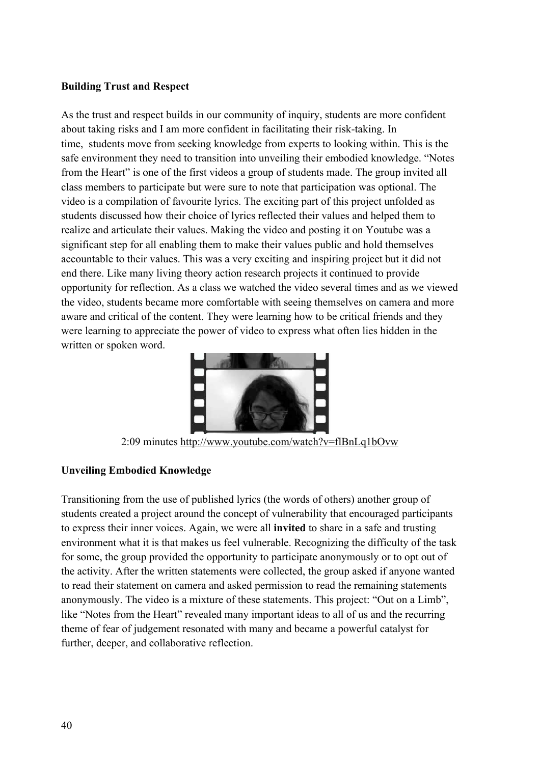#### **Building Trust and Respect**

As the trust and respect builds in our community of inquiry, students are more confident about taking risks and I am more confident in facilitating their risk-taking. In time, students move from seeking knowledge from experts to looking within. This is the safe environment they need to transition into unveiling their embodied knowledge. "Notes from the Heart" is one of the first videos a group of students made. The group invited all class members to participate but were sure to note that participation was optional. The video is a compilation of favourite lyrics. The exciting part of this project unfolded as students discussed how their choice of lyrics reflected their values and helped them to realize and articulate their values. Making the video and posting it on Youtube was a significant step for all enabling them to make their values public and hold themselves accountable to their values. This was a very exciting and inspiring project but it did not end there. Like many living theory action research projects it continued to provide opportunity for reflection. As a class we watched the video several times and as we viewed the video, students became more comfortable with seeing themselves on camera and more aware and critical of the content. They were learning how to be critical friends and they were learning to appreciate the power of video to express what often lies hidden in the written or spoken word.



2:09 minutes http://www.youtube.com/watch?v=flBnLq1bOvw

# **Unveiling Embodied Knowledge**

Transitioning from the use of published lyrics (the words of others) another group of students created a project around the concept of vulnerability that encouraged participants to express their inner voices. Again, we were all **invited** to share in a safe and trusting environment what it is that makes us feel vulnerable. Recognizing the difficulty of the task for some, the group provided the opportunity to participate anonymously or to opt out of the activity. After the written statements were collected, the group asked if anyone wanted to read their statement on camera and asked permission to read the remaining statements anonymously. The video is a mixture of these statements. This project: "Out on a Limb", like "Notes from the Heart" revealed many important ideas to all of us and the recurring theme of fear of judgement resonated with many and became a powerful catalyst for further, deeper, and collaborative reflection.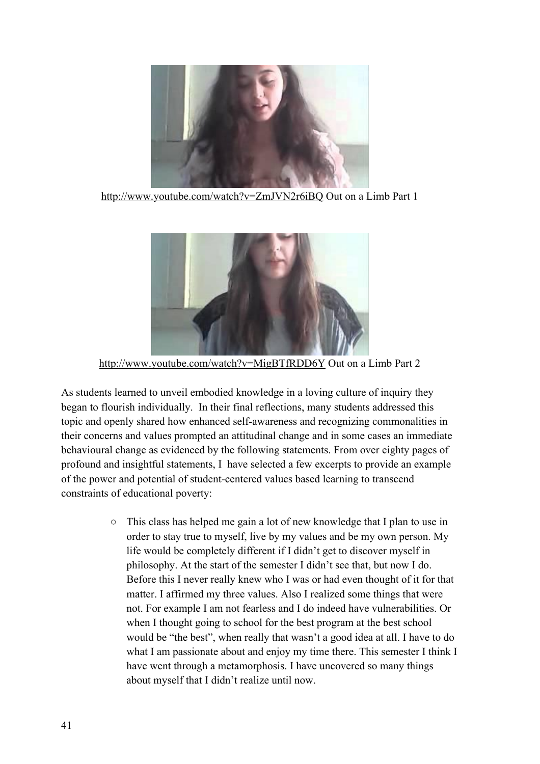

http://www.youtube.com/watch?v=ZmJVN2r6iBQ Out on a Limb Part 1



http://www.youtube.com/watch?v=MigBTfRDD6Y Out on a Limb Part 2

As students learned to unveil embodied knowledge in a loving culture of inquiry they began to flourish individually. In their final reflections, many students addressed this topic and openly shared how enhanced self-awareness and recognizing commonalities in their concerns and values prompted an attitudinal change and in some cases an immediate behavioural change as evidenced by the following statements. From over eighty pages of profound and insightful statements, I have selected a few excerpts to provide an example of the power and potential of student-centered values based learning to transcend constraints of educational poverty:

> $\circ$  This class has helped me gain a lot of new knowledge that I plan to use in order to stay true to myself, live by my values and be my own person. My life would be completely different if I didn't get to discover myself in philosophy. At the start of the semester I didn't see that, but now I do. Before this I never really knew who I was or had even thought of it for that matter. I affirmed my three values. Also I realized some things that were not. For example I am not fearless and I do indeed have vulnerabilities. Or when I thought going to school for the best program at the best school would be "the best", when really that wasn't a good idea at all. I have to do what I am passionate about and enjoy my time there. This semester I think I have went through a metamorphosis. I have uncovered so many things about myself that I didn't realize until now.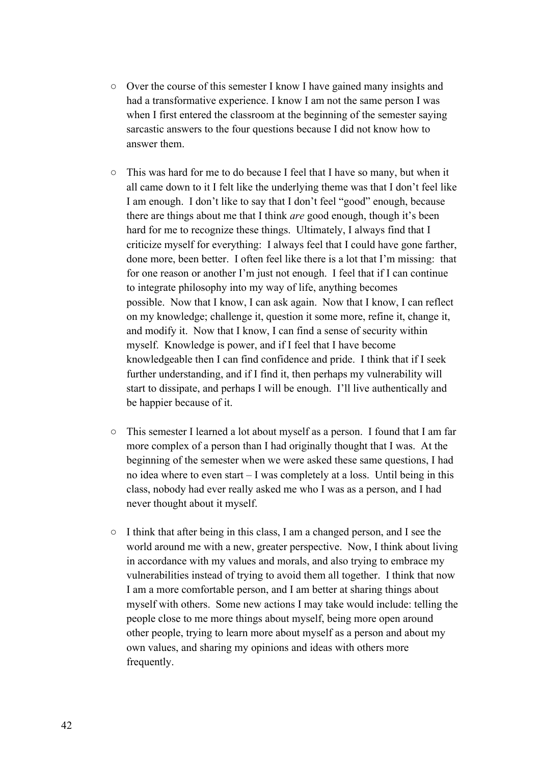- Over the course of this semester I know I have gained many insights and had a transformative experience. I know I am not the same person I was when I first entered the classroom at the beginning of the semester saying sarcastic answers to the four questions because I did not know how to answer them.
- This was hard for me to do because I feel that I have so many, but when it all came down to it I felt like the underlying theme was that I don't feel like I am enough. I don't like to say that I don't feel "good" enough, because there are things about me that I think *are* good enough, though it's been hard for me to recognize these things. Ultimately, I always find that I criticize myself for everything: I always feel that I could have gone farther, done more, been better. I often feel like there is a lot that I'm missing: that for one reason or another I'm just not enough. I feel that if I can continue to integrate philosophy into my way of life, anything becomes possible. Now that I know, I can ask again. Now that I know, I can reflect on my knowledge; challenge it, question it some more, refine it, change it, and modify it. Now that I know, I can find a sense of security within myself. Knowledge is power, and if I feel that I have become knowledgeable then I can find confidence and pride. I think that if I seek further understanding, and if I find it, then perhaps my vulnerability will start to dissipate, and perhaps I will be enough. I'll live authentically and be happier because of it.
- This semester I learned a lot about myself as a person. I found that I am far more complex of a person than I had originally thought that I was. At the beginning of the semester when we were asked these same questions, I had no idea where to even start – I was completely at a loss. Until being in this class, nobody had ever really asked me who I was as a person, and I had never thought about it myself.
- I think that after being in this class, I am a changed person, and I see the world around me with a new, greater perspective. Now, I think about living in accordance with my values and morals, and also trying to embrace my vulnerabilities instead of trying to avoid them all together. I think that now I am a more comfortable person, and I am better at sharing things about myself with others. Some new actions I may take would include: telling the people close to me more things about myself, being more open around other people, trying to learn more about myself as a person and about my own values, and sharing my opinions and ideas with others more frequently.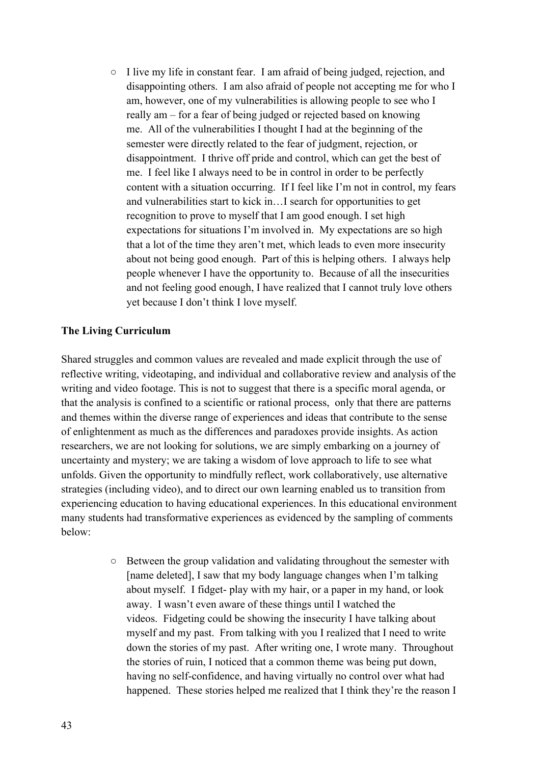○ I live my life in constant fear. I am afraid of being judged, rejection, and disappointing others. I am also afraid of people not accepting me for who I am, however, one of my vulnerabilities is allowing people to see who I really am – for a fear of being judged or rejected based on knowing me. All of the vulnerabilities I thought I had at the beginning of the semester were directly related to the fear of judgment, rejection, or disappointment. I thrive off pride and control, which can get the best of me. I feel like I always need to be in control in order to be perfectly content with a situation occurring. If I feel like I'm not in control, my fears and vulnerabilities start to kick in…I search for opportunities to get recognition to prove to myself that I am good enough. I set high expectations for situations I'm involved in. My expectations are so high that a lot of the time they aren't met, which leads to even more insecurity about not being good enough. Part of this is helping others. I always help people whenever I have the opportunity to. Because of all the insecurities and not feeling good enough, I have realized that I cannot truly love others yet because I don't think I love myself.

#### **The Living Curriculum**

Shared struggles and common values are revealed and made explicit through the use of reflective writing, videotaping, and individual and collaborative review and analysis of the writing and video footage. This is not to suggest that there is a specific moral agenda, or that the analysis is confined to a scientific or rational process, only that there are patterns and themes within the diverse range of experiences and ideas that contribute to the sense of enlightenment as much as the differences and paradoxes provide insights. As action researchers, we are not looking for solutions, we are simply embarking on a journey of uncertainty and mystery; we are taking a wisdom of love approach to life to see what unfolds. Given the opportunity to mindfully reflect, work collaboratively, use alternative strategies (including video), and to direct our own learning enabled us to transition from experiencing education to having educational experiences. In this educational environment many students had transformative experiences as evidenced by the sampling of comments below:

> ○ Between the group validation and validating throughout the semester with [name deleted], I saw that my body language changes when I'm talking about myself. I fidget- play with my hair, or a paper in my hand, or look away. I wasn't even aware of these things until I watched the videos. Fidgeting could be showing the insecurity I have talking about myself and my past. From talking with you I realized that I need to write down the stories of my past. After writing one, I wrote many. Throughout the stories of ruin, I noticed that a common theme was being put down, having no self-confidence, and having virtually no control over what had happened. These stories helped me realized that I think they're the reason I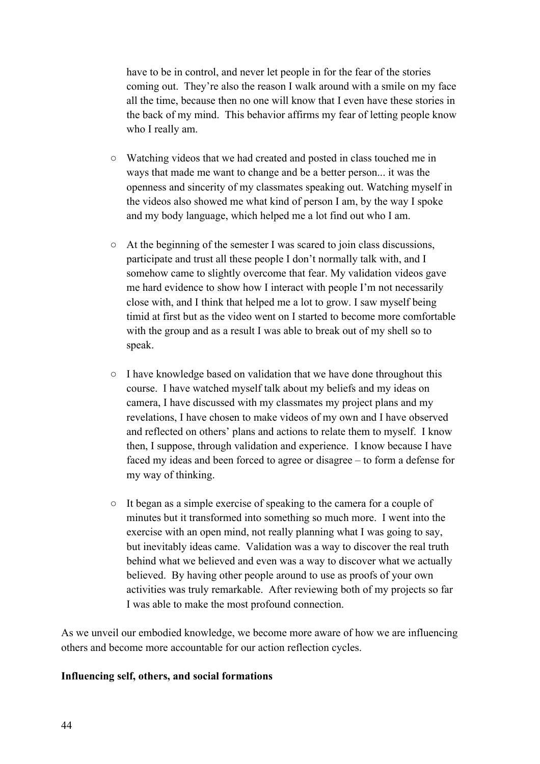have to be in control, and never let people in for the fear of the stories coming out. They're also the reason I walk around with a smile on my face all the time, because then no one will know that I even have these stories in the back of my mind. This behavior affirms my fear of letting people know who I really am.

- Watching videos that we had created and posted in class touched me in ways that made me want to change and be a better person... it was the openness and sincerity of my classmates speaking out. Watching myself in the videos also showed me what kind of person I am, by the way I spoke and my body language, which helped me a lot find out who I am.
- At the beginning of the semester I was scared to join class discussions, participate and trust all these people I don't normally talk with, and I somehow came to slightly overcome that fear. My validation videos gave me hard evidence to show how I interact with people I'm not necessarily close with, and I think that helped me a lot to grow. I saw myself being timid at first but as the video went on I started to become more comfortable with the group and as a result I was able to break out of my shell so to speak.
- I have knowledge based on validation that we have done throughout this course. I have watched myself talk about my beliefs and my ideas on camera, I have discussed with my classmates my project plans and my revelations, I have chosen to make videos of my own and I have observed and reflected on others' plans and actions to relate them to myself. I know then, I suppose, through validation and experience. I know because I have faced my ideas and been forced to agree or disagree – to form a defense for my way of thinking.
- It began as a simple exercise of speaking to the camera for a couple of minutes but it transformed into something so much more. I went into the exercise with an open mind, not really planning what I was going to say, but inevitably ideas came. Validation was a way to discover the real truth behind what we believed and even was a way to discover what we actually believed. By having other people around to use as proofs of your own activities was truly remarkable. After reviewing both of my projects so far I was able to make the most profound connection.

As we unveil our embodied knowledge, we become more aware of how we are influencing others and become more accountable for our action reflection cycles.

### **Influencing self, others, and social formations**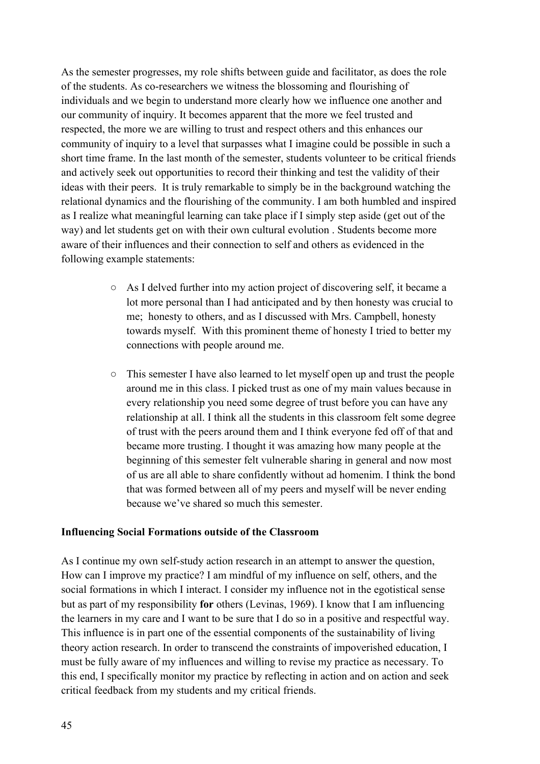As the semester progresses, my role shifts between guide and facilitator, as does the role of the students. As co-researchers we witness the blossoming and flourishing of individuals and we begin to understand more clearly how we influence one another and our community of inquiry. It becomes apparent that the more we feel trusted and respected, the more we are willing to trust and respect others and this enhances our community of inquiry to a level that surpasses what I imagine could be possible in such a short time frame. In the last month of the semester, students volunteer to be critical friends and actively seek out opportunities to record their thinking and test the validity of their ideas with their peers. It is truly remarkable to simply be in the background watching the relational dynamics and the flourishing of the community. I am both humbled and inspired as I realize what meaningful learning can take place if I simply step aside (get out of the way) and let students get on with their own cultural evolution . Students become more aware of their influences and their connection to self and others as evidenced in the following example statements:

- As I delved further into my action project of discovering self, it became a lot more personal than I had anticipated and by then honesty was crucial to me; honesty to others, and as I discussed with Mrs. Campbell, honesty towards myself. With this prominent theme of honesty I tried to better my connections with people around me.
- This semester I have also learned to let myself open up and trust the people around me in this class. I picked trust as one of my main values because in every relationship you need some degree of trust before you can have any relationship at all. I think all the students in this classroom felt some degree of trust with the peers around them and I think everyone fed off of that and became more trusting. I thought it was amazing how many people at the beginning of this semester felt vulnerable sharing in general and now most of us are all able to share confidently without ad homenim. I think the bond that was formed between all of my peers and myself will be never ending because we've shared so much this semester.

#### **Influencing Social Formations outside of the Classroom**

As I continue my own self-study action research in an attempt to answer the question, How can I improve my practice? I am mindful of my influence on self, others, and the social formations in which I interact. I consider my influence not in the egotistical sense but as part of my responsibility **for** others (Levinas, 1969). I know that I am influencing the learners in my care and I want to be sure that I do so in a positive and respectful way. This influence is in part one of the essential components of the sustainability of living theory action research. In order to transcend the constraints of impoverished education, I must be fully aware of my influences and willing to revise my practice as necessary. To this end, I specifically monitor my practice by reflecting in action and on action and seek critical feedback from my students and my critical friends.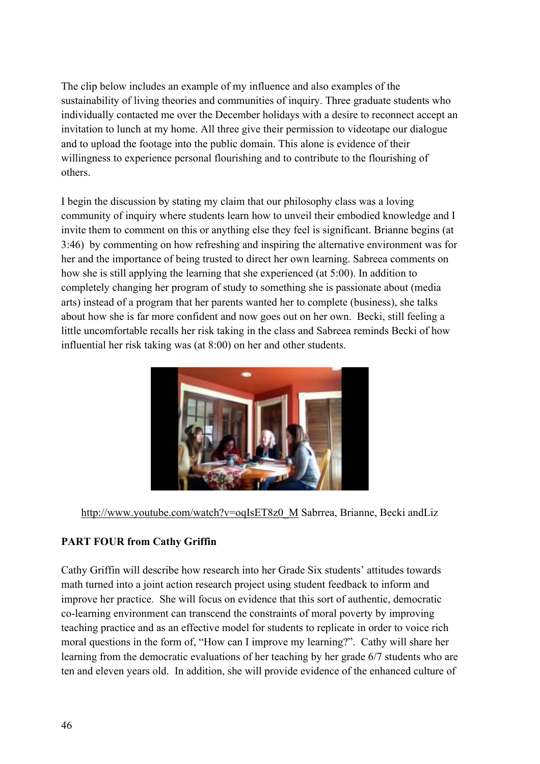The clip below includes an example of my influence and also examples of the sustainability of living theories and communities of inquiry. Three graduate students who individually contacted me over the December holidays with a desire to reconnect accept an invitation to lunch at my home. All three give their permission to videotape our dialogue and to upload the footage into the public domain. This alone is evidence of their willingness to experience personal flourishing and to contribute to the flourishing of others.

I begin the discussion by stating my claim that our philosophy class was a loving community of inquiry where students learn how to unveil their embodied knowledge and I invite them to comment on this or anything else they feel is significant. Brianne begins (at 3:46) by commenting on how refreshing and inspiring the alternative environment was for her and the importance of being trusted to direct her own learning. Sabreea comments on how she is still applying the learning that she experienced (at 5:00). In addition to completely changing her program of study to something she is passionate about (media arts) instead of a program that her parents wanted her to complete (business), she talks about how she is far more confident and now goes out on her own. Becki, still feeling a little uncomfortable recalls her risk taking in the class and Sabreea reminds Becki of how influential her risk taking was (at 8:00) on her and other students.



http://www.youtube.com/watch?v=oqIsET8z0\_M Sabrrea, Brianne, Becki andLiz

# **PART FOUR from Cathy Griffin**

Cathy Griffin will describe how research into her Grade Six students' attitudes towards math turned into a joint action research project using student feedback to inform and improve her practice. She will focus on evidence that this sort of authentic, democratic co-learning environment can transcend the constraints of moral poverty by improving teaching practice and as an effective model for students to replicate in order to voice rich moral questions in the form of, "How can I improve my learning?". Cathy will share her learning from the democratic evaluations of her teaching by her grade 6/7 students who are ten and eleven years old. In addition, she will provide evidence of the enhanced culture of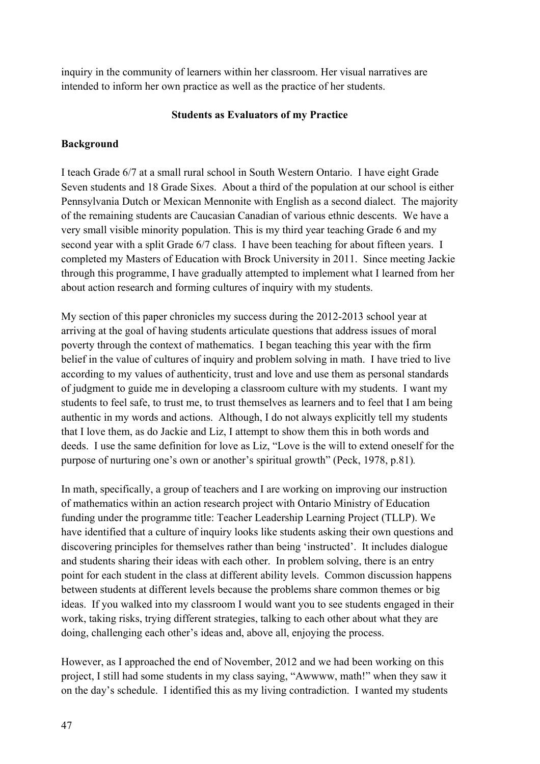inquiry in the community of learners within her classroom. Her visual narratives are intended to inform her own practice as well as the practice of her students.

### **Students as Evaluators of my Practice**

### **Background**

I teach Grade 6/7 at a small rural school in South Western Ontario. I have eight Grade Seven students and 18 Grade Sixes. About a third of the population at our school is either Pennsylvania Dutch or Mexican Mennonite with English as a second dialect. The majority of the remaining students are Caucasian Canadian of various ethnic descents. We have a very small visible minority population. This is my third year teaching Grade 6 and my second year with a split Grade 6/7 class. I have been teaching for about fifteen years. I completed my Masters of Education with Brock University in 2011. Since meeting Jackie through this programme, I have gradually attempted to implement what I learned from her about action research and forming cultures of inquiry with my students.

My section of this paper chronicles my success during the 2012-2013 school year at arriving at the goal of having students articulate questions that address issues of moral poverty through the context of mathematics. I began teaching this year with the firm belief in the value of cultures of inquiry and problem solving in math. I have tried to live according to my values of authenticity, trust and love and use them as personal standards of judgment to guide me in developing a classroom culture with my students. I want my students to feel safe, to trust me, to trust themselves as learners and to feel that I am being authentic in my words and actions. Although, I do not always explicitly tell my students that I love them, as do Jackie and Liz, I attempt to show them this in both words and deeds. I use the same definition for love as Liz, "Love is the will to extend oneself for the purpose of nurturing one's own or another's spiritual growth" (Peck, 1978, p.81)*.*

In math, specifically, a group of teachers and I are working on improving our instruction of mathematics within an action research project with Ontario Ministry of Education funding under the programme title: Teacher Leadership Learning Project (TLLP). We have identified that a culture of inquiry looks like students asking their own questions and discovering principles for themselves rather than being 'instructed'. It includes dialogue and students sharing their ideas with each other. In problem solving, there is an entry point for each student in the class at different ability levels. Common discussion happens between students at different levels because the problems share common themes or big ideas. If you walked into my classroom I would want you to see students engaged in their work, taking risks, trying different strategies, talking to each other about what they are doing, challenging each other's ideas and, above all, enjoying the process.

However, as I approached the end of November, 2012 and we had been working on this project, I still had some students in my class saying, "Awwww, math!" when they saw it on the day's schedule. I identified this as my living contradiction. I wanted my students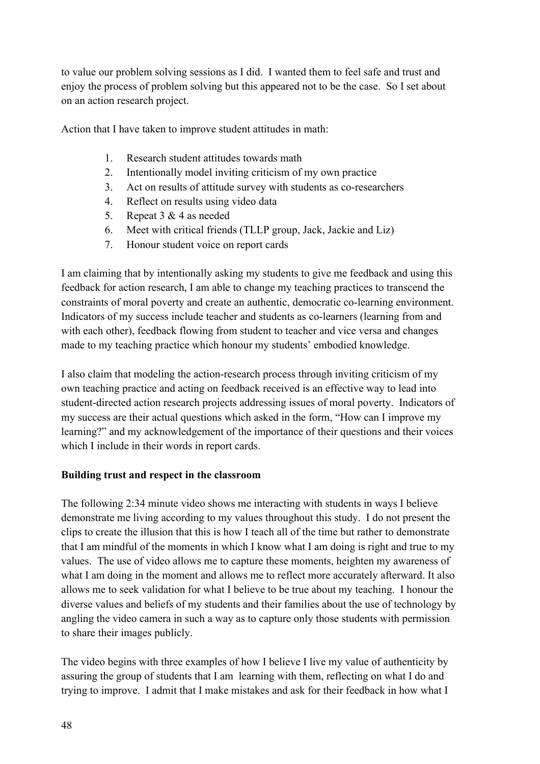to value our problem solving sessions as I did. I wanted them to feel safe and trust and enjoy the process of problem solving but this appeared not to be the case. So I set about on an action research project.

Action that I have taken to improve student attitudes in math:

- 1. Research student attitudes towards math
- 2. Intentionally model inviting criticism of my own practice
- 3. Act on results of attitude survey with students as co-researchers
- 4. Reflect on results using video data
- 5. Repeat 3 & 4 as needed
- 6. Meet with critical friends (TLLP group, Jack, Jackie and Liz)
- 7. Honour student voice on report cards

I am claiming that by intentionally asking my students to give me feedback and using this feedback for action research, I am able to change my teaching practices to transcend the constraints of moral poverty and create an authentic, democratic co-learning environment. Indicators of my success include teacher and students as co-learners (learning from and with each other), feedback flowing from student to teacher and vice versa and changes made to my teaching practice which honour my students' embodied knowledge.

I also claim that modeling the action-research process through inviting criticism of my own teaching practice and acting on feedback received is an effective way to lead into student-directed action research projects addressing issues of moral poverty. Indicators of my success are their actual questions which asked in the form, "How can I improve my learning?" and my acknowledgement of the importance of their questions and their voices which I include in their words in report cards.

### **Building trust and respect in the classroom**

The following 2:34 minute video shows me interacting with students in ways I believe demonstrate me living according to my values throughout this study. I do not present the clips to create the illusion that this is how I teach all of the time but rather to demonstrate that I am mindful of the moments in which I know what I am doing is right and true to my values. The use of video allows me to capture these moments, heighten my awareness of what I am doing in the moment and allows me to reflect more accurately afterward. It also allows me to seek validation for what I believe to be true about my teaching. I honour the diverse values and beliefs of my students and their families about the use of technology by angling the video camera in such a way as to capture only those students with permission to share their images publicly.

The video begins with three examples of how I believe I live my value of authenticity by assuring the group of students that I am learning with them, reflecting on what I do and trying to improve. I admit that I make mistakes and ask for their feedback in how what I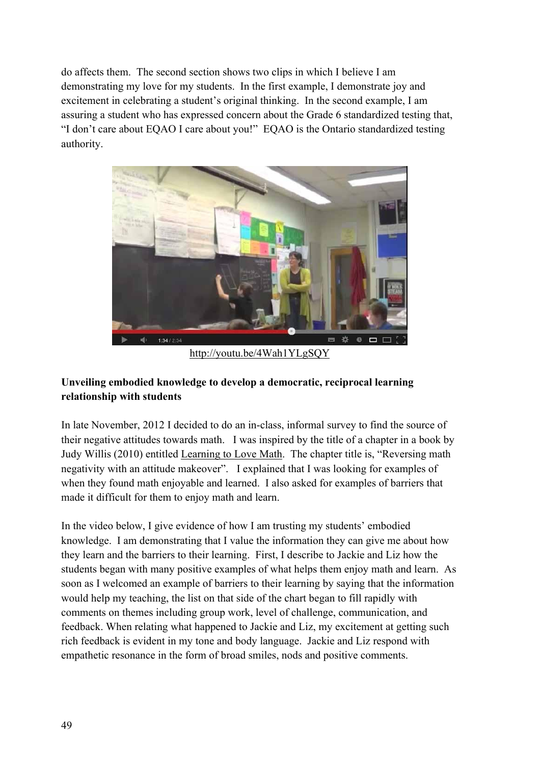do affects them. The second section shows two clips in which I believe I am demonstrating my love for my students. In the first example, I demonstrate joy and excitement in celebrating a student's original thinking. In the second example, I am assuring a student who has expressed concern about the Grade 6 standardized testing that, "I don't care about EQAO I care about you!" EQAO is the Ontario standardized testing authority.



http://youtu.be/4Wah1YLgSQY

# **Unveiling embodied knowledge to develop a democratic, reciprocal learning relationship with students**

In late November, 2012 I decided to do an in-class, informal survey to find the source of their negative attitudes towards math. I was inspired by the title of a chapter in a book by Judy Willis (2010) entitled Learning to Love Math. The chapter title is, "Reversing math negativity with an attitude makeover". I explained that I was looking for examples of when they found math enjoyable and learned. I also asked for examples of barriers that made it difficult for them to enjoy math and learn.

In the video below, I give evidence of how I am trusting my students' embodied knowledge. I am demonstrating that I value the information they can give me about how they learn and the barriers to their learning. First, I describe to Jackie and Liz how the students began with many positive examples of what helps them enjoy math and learn. As soon as I welcomed an example of barriers to their learning by saying that the information would help my teaching, the list on that side of the chart began to fill rapidly with comments on themes including group work, level of challenge, communication, and feedback. When relating what happened to Jackie and Liz, my excitement at getting such rich feedback is evident in my tone and body language. Jackie and Liz respond with empathetic resonance in the form of broad smiles, nods and positive comments.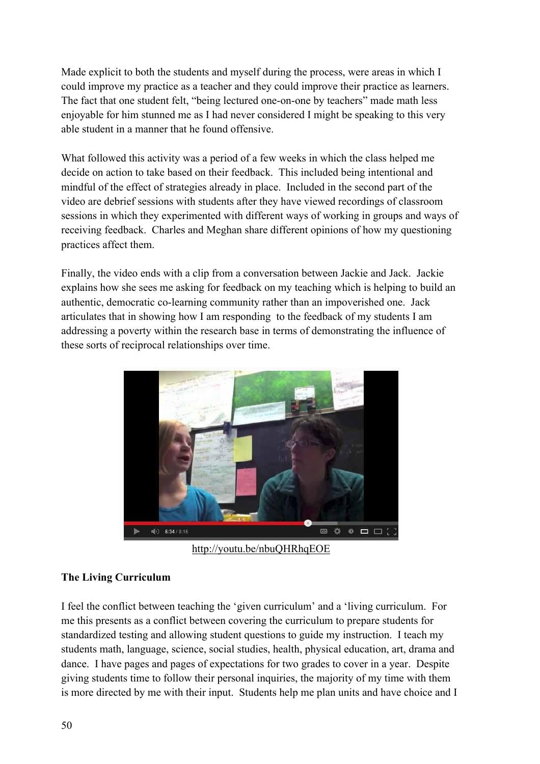Made explicit to both the students and myself during the process, were areas in which I could improve my practice as a teacher and they could improve their practice as learners. The fact that one student felt, "being lectured one-on-one by teachers" made math less enjoyable for him stunned me as I had never considered I might be speaking to this very able student in a manner that he found offensive.

What followed this activity was a period of a few weeks in which the class helped me decide on action to take based on their feedback. This included being intentional and mindful of the effect of strategies already in place. Included in the second part of the video are debrief sessions with students after they have viewed recordings of classroom sessions in which they experimented with different ways of working in groups and ways of receiving feedback. Charles and Meghan share different opinions of how my questioning practices affect them.

Finally, the video ends with a clip from a conversation between Jackie and Jack. Jackie explains how she sees me asking for feedback on my teaching which is helping to build an authentic, democratic co-learning community rather than an impoverished one. Jack articulates that in showing how I am responding to the feedback of my students I am addressing a poverty within the research base in terms of demonstrating the influence of these sorts of reciprocal relationships over time.



http://youtu.be/nbuQHRhqEOE

### **The Living Curriculum**

I feel the conflict between teaching the 'given curriculum' and a 'living curriculum. For me this presents as a conflict between covering the curriculum to prepare students for standardized testing and allowing student questions to guide my instruction. I teach my students math, language, science, social studies, health, physical education, art, drama and dance. I have pages and pages of expectations for two grades to cover in a year. Despite giving students time to follow their personal inquiries, the majority of my time with them is more directed by me with their input. Students help me plan units and have choice and I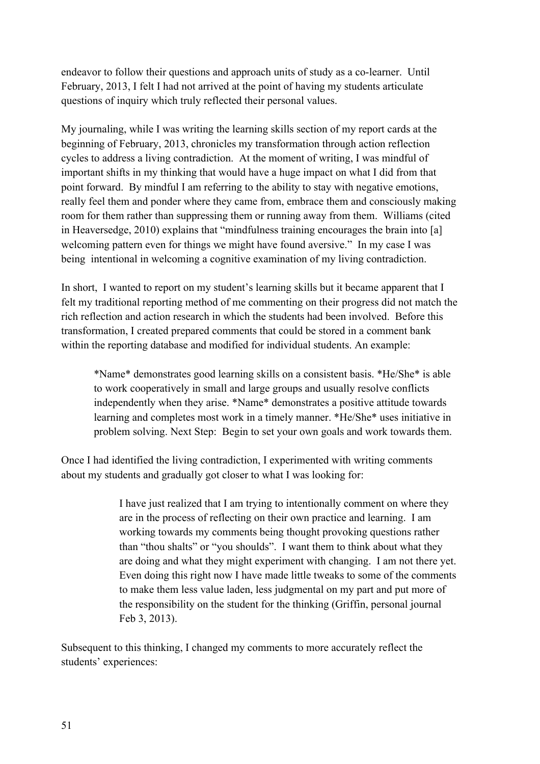endeavor to follow their questions and approach units of study as a co-learner. Until February, 2013, I felt I had not arrived at the point of having my students articulate questions of inquiry which truly reflected their personal values.

My journaling, while I was writing the learning skills section of my report cards at the beginning of February, 2013, chronicles my transformation through action reflection cycles to address a living contradiction. At the moment of writing, I was mindful of important shifts in my thinking that would have a huge impact on what I did from that point forward. By mindful I am referring to the ability to stay with negative emotions, really feel them and ponder where they came from, embrace them and consciously making room for them rather than suppressing them or running away from them. Williams (cited in Heaversedge, 2010) explains that "mindfulness training encourages the brain into [a] welcoming pattern even for things we might have found aversive." In my case I was being intentional in welcoming a cognitive examination of my living contradiction.

In short, I wanted to report on my student's learning skills but it became apparent that I felt my traditional reporting method of me commenting on their progress did not match the rich reflection and action research in which the students had been involved. Before this transformation, I created prepared comments that could be stored in a comment bank within the reporting database and modified for individual students. An example:

\*Name\* demonstrates good learning skills on a consistent basis. \*He/She\* is able to work cooperatively in small and large groups and usually resolve conflicts independently when they arise. \*Name\* demonstrates a positive attitude towards learning and completes most work in a timely manner. \*He/She\* uses initiative in problem solving. Next Step: Begin to set your own goals and work towards them.

Once I had identified the living contradiction, I experimented with writing comments about my students and gradually got closer to what I was looking for:

> I have just realized that I am trying to intentionally comment on where they are in the process of reflecting on their own practice and learning. I am working towards my comments being thought provoking questions rather than "thou shalts" or "you shoulds". I want them to think about what they are doing and what they might experiment with changing. I am not there yet. Even doing this right now I have made little tweaks to some of the comments to make them less value laden, less judgmental on my part and put more of the responsibility on the student for the thinking (Griffin, personal journal Feb 3, 2013).

Subsequent to this thinking, I changed my comments to more accurately reflect the students' experiences: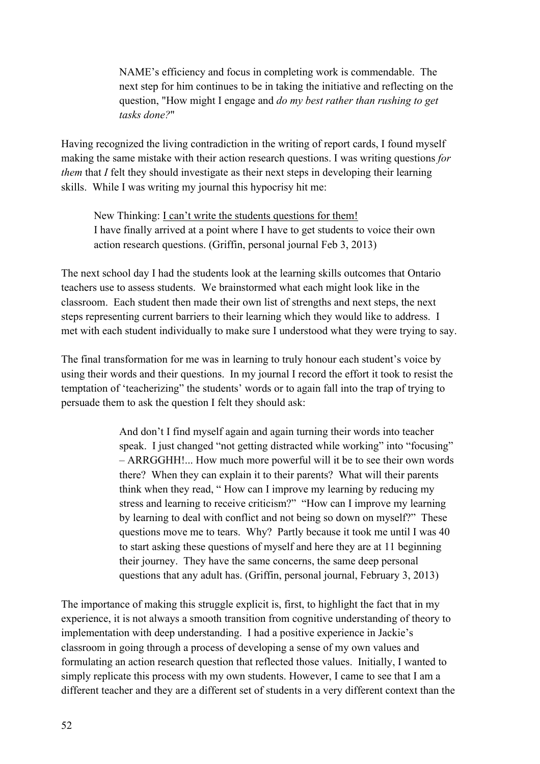NAME's efficiency and focus in completing work is commendable. The next step for him continues to be in taking the initiative and reflecting on the question, "How might I engage and *do my best rather than rushing to get tasks done?*"

Having recognized the living contradiction in the writing of report cards, I found myself making the same mistake with their action research questions. I was writing questions *for them* that *I* felt they should investigate as their next steps in developing their learning skills. While I was writing my journal this hypocrisy hit me:

New Thinking: I can't write the students questions for them! I have finally arrived at a point where I have to get students to voice their own action research questions. (Griffin, personal journal Feb 3, 2013)

The next school day I had the students look at the learning skills outcomes that Ontario teachers use to assess students. We brainstormed what each might look like in the classroom. Each student then made their own list of strengths and next steps, the next steps representing current barriers to their learning which they would like to address. I met with each student individually to make sure I understood what they were trying to say.

The final transformation for me was in learning to truly honour each student's voice by using their words and their questions. In my journal I record the effort it took to resist the temptation of 'teacherizing" the students' words or to again fall into the trap of trying to persuade them to ask the question I felt they should ask:

> And don't I find myself again and again turning their words into teacher speak. I just changed "not getting distracted while working" into "focusing" – ARRGGHH!... How much more powerful will it be to see their own words there? When they can explain it to their parents? What will their parents think when they read, " How can I improve my learning by reducing my stress and learning to receive criticism?" "How can I improve my learning by learning to deal with conflict and not being so down on myself?" These questions move me to tears. Why? Partly because it took me until I was 40 to start asking these questions of myself and here they are at 11 beginning their journey. They have the same concerns, the same deep personal questions that any adult has. (Griffin, personal journal, February 3, 2013)

The importance of making this struggle explicit is, first, to highlight the fact that in my experience, it is not always a smooth transition from cognitive understanding of theory to implementation with deep understanding. I had a positive experience in Jackie's classroom in going through a process of developing a sense of my own values and formulating an action research question that reflected those values. Initially, I wanted to simply replicate this process with my own students. However, I came to see that I am a different teacher and they are a different set of students in a very different context than the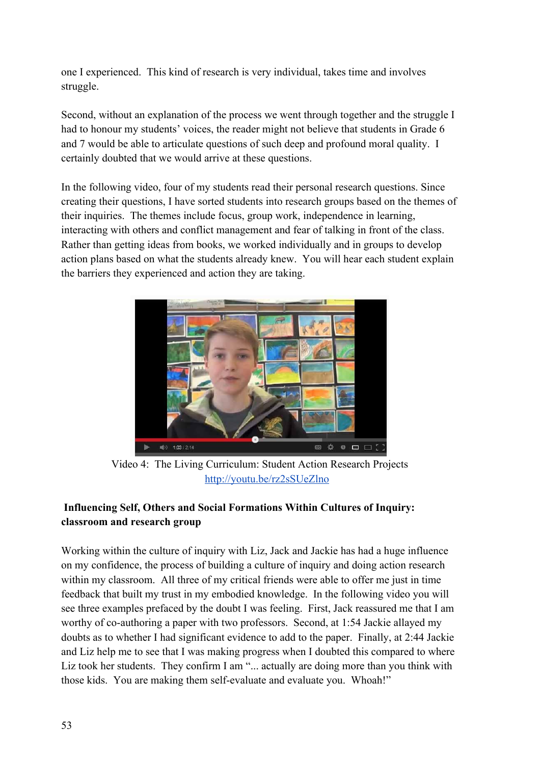one I experienced. This kind of research is very individual, takes time and involves struggle.

Second, without an explanation of the process we went through together and the struggle I had to honour my students' voices, the reader might not believe that students in Grade 6 and 7 would be able to articulate questions of such deep and profound moral quality. I certainly doubted that we would arrive at these questions.

In the following video, four of my students read their personal research questions. Since creating their questions, I have sorted students into research groups based on the themes of their inquiries. The themes include focus, group work, independence in learning, interacting with others and conflict management and fear of talking in front of the class. Rather than getting ideas from books, we worked individually and in groups to develop action plans based on what the students already knew. You will hear each student explain the barriers they experienced and action they are taking.



Video 4: The Living Curriculum: Student Action Research Projects http://youtu.be/rz2sSUeZlno

# **Influencing Self, Others and Social Formations Within Cultures of Inquiry: classroom and research group**

Working within the culture of inquiry with Liz, Jack and Jackie has had a huge influence on my confidence, the process of building a culture of inquiry and doing action research within my classroom. All three of my critical friends were able to offer me just in time feedback that built my trust in my embodied knowledge. In the following video you will see three examples prefaced by the doubt I was feeling. First, Jack reassured me that I am worthy of co-authoring a paper with two professors. Second, at 1:54 Jackie allayed my doubts as to whether I had significant evidence to add to the paper. Finally, at 2:44 Jackie and Liz help me to see that I was making progress when I doubted this compared to where Liz took her students. They confirm I am "... actually are doing more than you think with those kids. You are making them self-evaluate and evaluate you. Whoah!"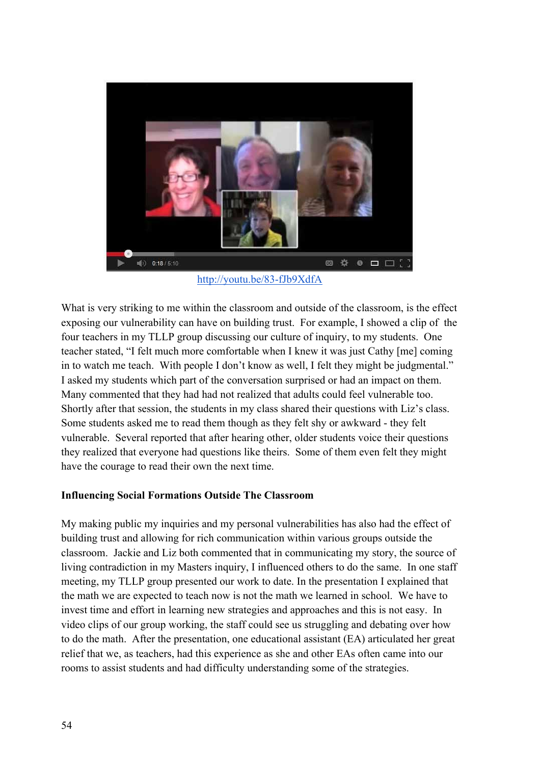

http://youtu.be/83-fJb9XdfA

What is very striking to me within the classroom and outside of the classroom, is the effect exposing our vulnerability can have on building trust. For example, I showed a clip of the four teachers in my TLLP group discussing our culture of inquiry, to my students. One teacher stated, "I felt much more comfortable when I knew it was just Cathy [me] coming in to watch me teach. With people I don't know as well, I felt they might be judgmental." I asked my students which part of the conversation surprised or had an impact on them. Many commented that they had had not realized that adults could feel vulnerable too. Shortly after that session, the students in my class shared their questions with Liz's class. Some students asked me to read them though as they felt shy or awkward - they felt vulnerable. Several reported that after hearing other, older students voice their questions they realized that everyone had questions like theirs. Some of them even felt they might have the courage to read their own the next time.

### **Influencing Social Formations Outside The Classroom**

My making public my inquiries and my personal vulnerabilities has also had the effect of building trust and allowing for rich communication within various groups outside the classroom. Jackie and Liz both commented that in communicating my story, the source of living contradiction in my Masters inquiry, I influenced others to do the same. In one staff meeting, my TLLP group presented our work to date. In the presentation I explained that the math we are expected to teach now is not the math we learned in school. We have to invest time and effort in learning new strategies and approaches and this is not easy. In video clips of our group working, the staff could see us struggling and debating over how to do the math. After the presentation, one educational assistant (EA) articulated her great relief that we, as teachers, had this experience as she and other EAs often came into our rooms to assist students and had difficulty understanding some of the strategies.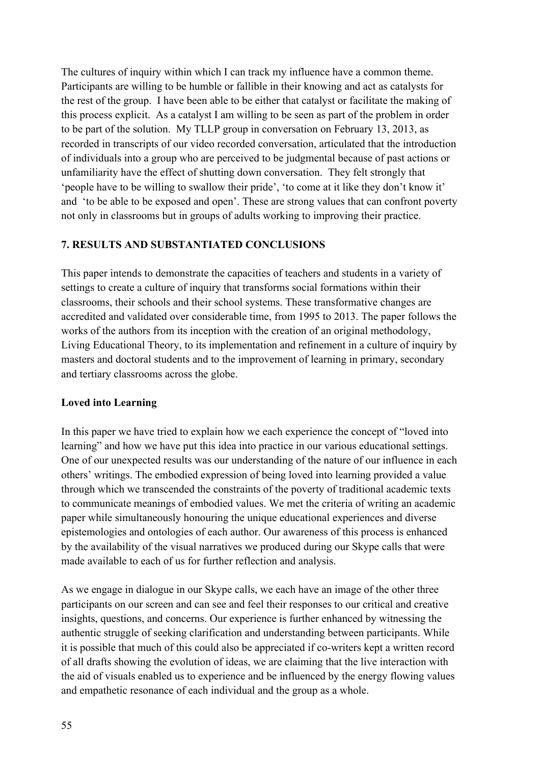The cultures of inquiry within which I can track my influence have a common theme. Participants are willing to be humble or fallible in their knowing and act as catalysts for the rest of the group. I have been able to be either that catalyst or facilitate the making of this process explicit. As a catalyst I am willing to be seen as part of the problem in order to be part of the solution. My TLLP group in conversation on February 13, 2013, as recorded in transcripts of our video recorded conversation, articulated that the introduction of individuals into a group who are perceived to be judgmental because of past actions or unfamiliarity have the effect of shutting down conversation. They felt strongly that 'people have to be willing to swallow their pride', 'to come at it like they don't know it' and 'to be able to be exposed and open'. These are strong values that can confront poverty not only in classrooms but in groups of adults working to improving their practice.

## **7. RESULTS AND SUBSTANTIATED CONCLUSIONS**

This paper intends to demonstrate the capacities of teachers and students in a variety of settings to create a culture of inquiry that transforms social formations within their classrooms, their schools and their school systems. These transformative changes are accredited and validated over considerable time, from 1995 to 2013. The paper follows the works of the authors from its inception with the creation of an original methodology, Living Educational Theory, to its implementation and refinement in a culture of inquiry by masters and doctoral students and to the improvement of learning in primary, secondary and tertiary classrooms across the globe.

### **Loved into Learning**

In this paper we have tried to explain how we each experience the concept of "loved into learning" and how we have put this idea into practice in our various educational settings. One of our unexpected results was our understanding of the nature of our influence in each others' writings. The embodied expression of being loved into learning provided a value through which we transcended the constraints of the poverty of traditional academic texts to communicate meanings of embodied values. We met the criteria of writing an academic paper while simultaneously honouring the unique educational experiences and diverse epistemologies and ontologies of each author. Our awareness of this process is enhanced by the availability of the visual narratives we produced during our Skype calls that were made available to each of us for further reflection and analysis.

As we engage in dialogue in our Skype calls, we each have an image of the other three participants on our screen and can see and feel their responses to our critical and creative insights, questions, and concerns. Our experience is further enhanced by witnessing the authentic struggle of seeking clarification and understanding between participants. While it is possible that much of this could also be appreciated if co-writers kept a written record of all drafts showing the evolution of ideas, we are claiming that the live interaction with the aid of visuals enabled us to experience and be influenced by the energy flowing values and empathetic resonance of each individual and the group as a whole.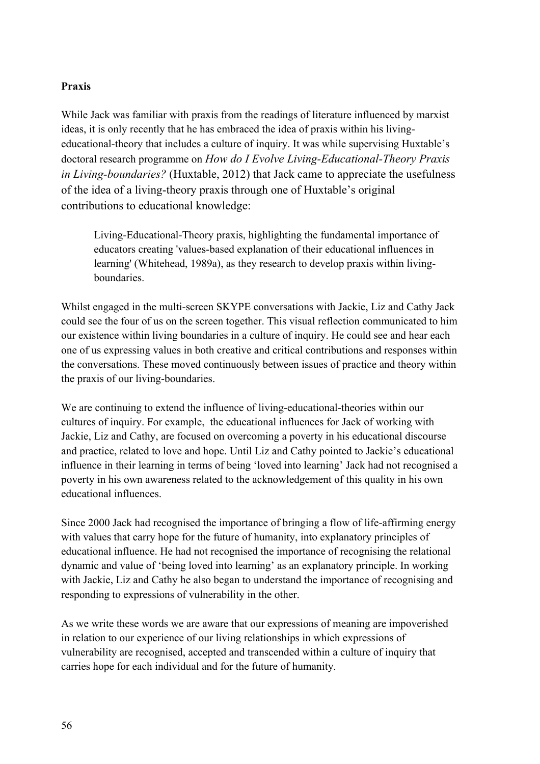### **Praxis**

While Jack was familiar with praxis from the readings of literature influenced by marxist ideas, it is only recently that he has embraced the idea of praxis within his livingeducational-theory that includes a culture of inquiry. It was while supervising Huxtable's doctoral research programme on *How do I Evolve Living-Educational-Theory Praxis in Living-boundaries?* (Huxtable, 2012) that Jack came to appreciate the usefulness of the idea of a living-theory praxis through one of Huxtable's original contributions to educational knowledge:

Living-Educational-Theory praxis, highlighting the fundamental importance of educators creating 'values-based explanation of their educational influences in learning' (Whitehead, 1989a), as they research to develop praxis within living**boundaries** 

Whilst engaged in the multi-screen SKYPE conversations with Jackie, Liz and Cathy Jack could see the four of us on the screen together. This visual reflection communicated to him our existence within living boundaries in a culture of inquiry. He could see and hear each one of us expressing values in both creative and critical contributions and responses within the conversations. These moved continuously between issues of practice and theory within the praxis of our living-boundaries.

We are continuing to extend the influence of living-educational-theories within our cultures of inquiry. For example, the educational influences for Jack of working with Jackie, Liz and Cathy, are focused on overcoming a poverty in his educational discourse and practice, related to love and hope. Until Liz and Cathy pointed to Jackie's educational influence in their learning in terms of being 'loved into learning' Jack had not recognised a poverty in his own awareness related to the acknowledgement of this quality in his own educational influences.

Since 2000 Jack had recognised the importance of bringing a flow of life-affirming energy with values that carry hope for the future of humanity, into explanatory principles of educational influence. He had not recognised the importance of recognising the relational dynamic and value of 'being loved into learning' as an explanatory principle. In working with Jackie, Liz and Cathy he also began to understand the importance of recognising and responding to expressions of vulnerability in the other.

As we write these words we are aware that our expressions of meaning are impoverished in relation to our experience of our living relationships in which expressions of vulnerability are recognised, accepted and transcended within a culture of inquiry that carries hope for each individual and for the future of humanity.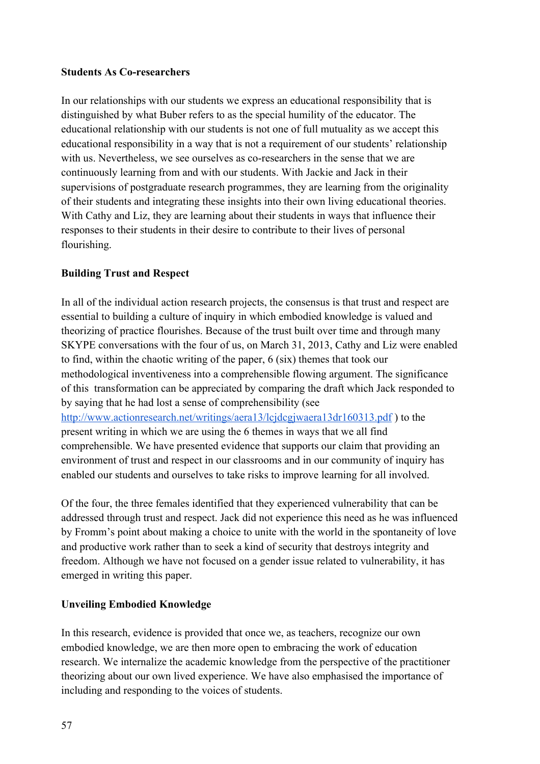### **Students As Co-researchers**

In our relationships with our students we express an educational responsibility that is distinguished by what Buber refers to as the special humility of the educator. The educational relationship with our students is not one of full mutuality as we accept this educational responsibility in a way that is not a requirement of our students' relationship with us. Nevertheless, we see ourselves as co-researchers in the sense that we are continuously learning from and with our students. With Jackie and Jack in their supervisions of postgraduate research programmes, they are learning from the originality of their students and integrating these insights into their own living educational theories. With Cathy and Liz, they are learning about their students in ways that influence their responses to their students in their desire to contribute to their lives of personal flourishing.

## **Building Trust and Respect**

In all of the individual action research projects, the consensus is that trust and respect are essential to building a culture of inquiry in which embodied knowledge is valued and theorizing of practice flourishes. Because of the trust built over time and through many SKYPE conversations with the four of us, on March 31, 2013, Cathy and Liz were enabled to find, within the chaotic writing of the paper, 6 (six) themes that took our methodological inventiveness into a comprehensible flowing argument. The significance of this transformation can be appreciated by comparing the draft which Jack responded to by saying that he had lost a sense of comprehensibility (see http://www.actionresearch.net/writings/aera13/lcjdcgjwaera13dr160313.pdf ) to the present writing in which we are using the 6 themes in ways that we all find comprehensible. We have presented evidence that supports our claim that providing an environment of trust and respect in our classrooms and in our community of inquiry has enabled our students and ourselves to take risks to improve learning for all involved.

Of the four, the three females identified that they experienced vulnerability that can be addressed through trust and respect. Jack did not experience this need as he was influenced by Fromm's point about making a choice to unite with the world in the spontaneity of love and productive work rather than to seek a kind of security that destroys integrity and freedom. Although we have not focused on a gender issue related to vulnerability, it has emerged in writing this paper.

# **Unveiling Embodied Knowledge**

In this research, evidence is provided that once we, as teachers, recognize our own embodied knowledge, we are then more open to embracing the work of education research. We internalize the academic knowledge from the perspective of the practitioner theorizing about our own lived experience. We have also emphasised the importance of including and responding to the voices of students.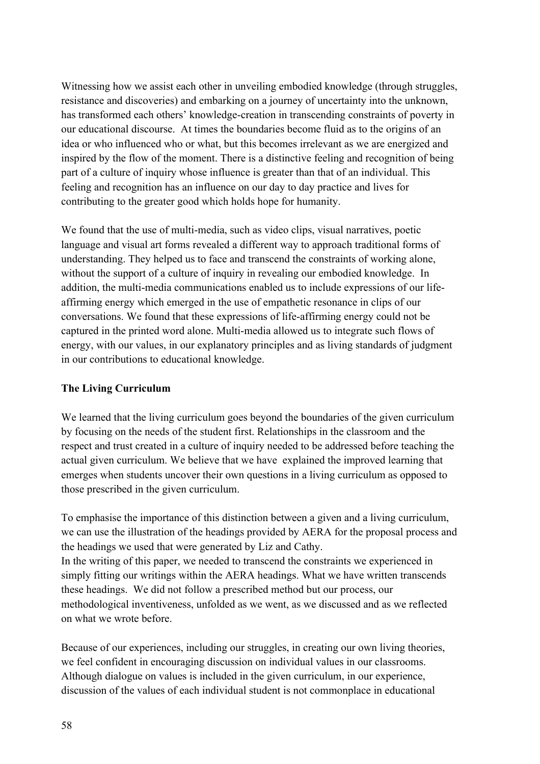Witnessing how we assist each other in unveiling embodied knowledge (through struggles, resistance and discoveries) and embarking on a journey of uncertainty into the unknown, has transformed each others' knowledge-creation in transcending constraints of poverty in our educational discourse. At times the boundaries become fluid as to the origins of an idea or who influenced who or what, but this becomes irrelevant as we are energized and inspired by the flow of the moment. There is a distinctive feeling and recognition of being part of a culture of inquiry whose influence is greater than that of an individual. This feeling and recognition has an influence on our day to day practice and lives for contributing to the greater good which holds hope for humanity.

We found that the use of multi-media, such as video clips, visual narratives, poetic language and visual art forms revealed a different way to approach traditional forms of understanding. They helped us to face and transcend the constraints of working alone, without the support of a culture of inquiry in revealing our embodied knowledge. In addition, the multi-media communications enabled us to include expressions of our lifeaffirming energy which emerged in the use of empathetic resonance in clips of our conversations. We found that these expressions of life-affirming energy could not be captured in the printed word alone. Multi-media allowed us to integrate such flows of energy, with our values, in our explanatory principles and as living standards of judgment in our contributions to educational knowledge.

### **The Living Curriculum**

We learned that the living curriculum goes beyond the boundaries of the given curriculum by focusing on the needs of the student first. Relationships in the classroom and the respect and trust created in a culture of inquiry needed to be addressed before teaching the actual given curriculum. We believe that we have explained the improved learning that emerges when students uncover their own questions in a living curriculum as opposed to those prescribed in the given curriculum.

To emphasise the importance of this distinction between a given and a living curriculum, we can use the illustration of the headings provided by AERA for the proposal process and the headings we used that were generated by Liz and Cathy. In the writing of this paper, we needed to transcend the constraints we experienced in simply fitting our writings within the AERA headings. What we have written transcends these headings. We did not follow a prescribed method but our process, our methodological inventiveness, unfolded as we went, as we discussed and as we reflected on what we wrote before.

Because of our experiences, including our struggles, in creating our own living theories, we feel confident in encouraging discussion on individual values in our classrooms. Although dialogue on values is included in the given curriculum, in our experience, discussion of the values of each individual student is not commonplace in educational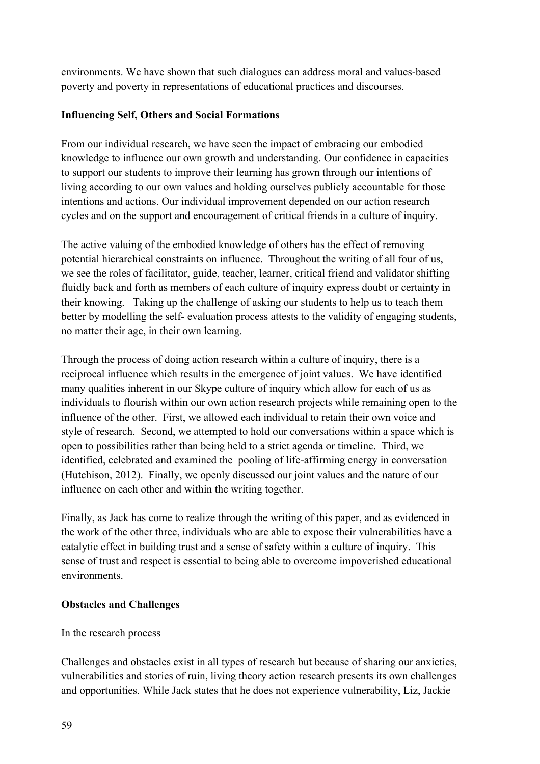environments. We have shown that such dialogues can address moral and values-based poverty and poverty in representations of educational practices and discourses.

## **Influencing Self, Others and Social Formations**

From our individual research, we have seen the impact of embracing our embodied knowledge to influence our own growth and understanding. Our confidence in capacities to support our students to improve their learning has grown through our intentions of living according to our own values and holding ourselves publicly accountable for those intentions and actions. Our individual improvement depended on our action research cycles and on the support and encouragement of critical friends in a culture of inquiry.

The active valuing of the embodied knowledge of others has the effect of removing potential hierarchical constraints on influence. Throughout the writing of all four of us, we see the roles of facilitator, guide, teacher, learner, critical friend and validator shifting fluidly back and forth as members of each culture of inquiry express doubt or certainty in their knowing. Taking up the challenge of asking our students to help us to teach them better by modelling the self- evaluation process attests to the validity of engaging students, no matter their age, in their own learning.

Through the process of doing action research within a culture of inquiry, there is a reciprocal influence which results in the emergence of joint values. We have identified many qualities inherent in our Skype culture of inquiry which allow for each of us as individuals to flourish within our own action research projects while remaining open to the influence of the other. First, we allowed each individual to retain their own voice and style of research. Second, we attempted to hold our conversations within a space which is open to possibilities rather than being held to a strict agenda or timeline. Third, we identified, celebrated and examined the pooling of life-affirming energy in conversation (Hutchison, 2012). Finally, we openly discussed our joint values and the nature of our influence on each other and within the writing together.

Finally, as Jack has come to realize through the writing of this paper, and as evidenced in the work of the other three, individuals who are able to expose their vulnerabilities have a catalytic effect in building trust and a sense of safety within a culture of inquiry. This sense of trust and respect is essential to being able to overcome impoverished educational environments.

# **Obstacles and Challenges**

### In the research process

Challenges and obstacles exist in all types of research but because of sharing our anxieties, vulnerabilities and stories of ruin, living theory action research presents its own challenges and opportunities. While Jack states that he does not experience vulnerability, Liz, Jackie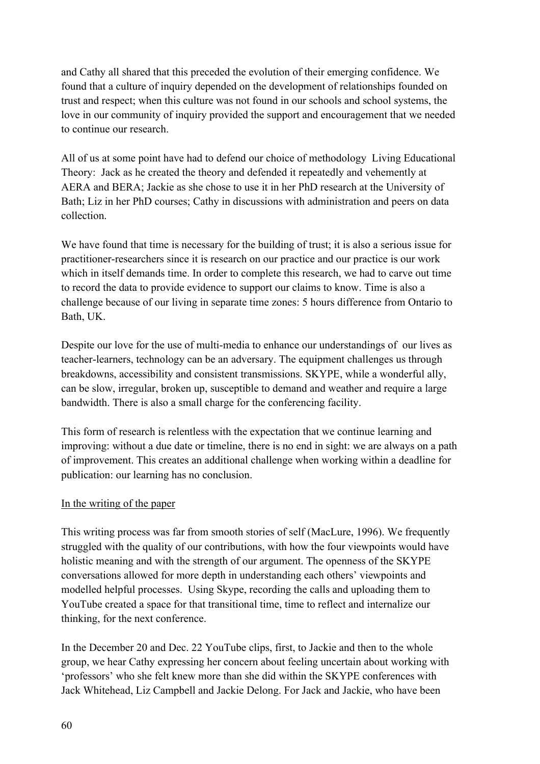and Cathy all shared that this preceded the evolution of their emerging confidence. We found that a culture of inquiry depended on the development of relationships founded on trust and respect; when this culture was not found in our schools and school systems, the love in our community of inquiry provided the support and encouragement that we needed to continue our research.

All of us at some point have had to defend our choice of methodology Living Educational Theory: Jack as he created the theory and defended it repeatedly and vehemently at AERA and BERA; Jackie as she chose to use it in her PhD research at the University of Bath; Liz in her PhD courses; Cathy in discussions with administration and peers on data collection.

We have found that time is necessary for the building of trust; it is also a serious issue for practitioner-researchers since it is research on our practice and our practice is our work which in itself demands time. In order to complete this research, we had to carve out time to record the data to provide evidence to support our claims to know. Time is also a challenge because of our living in separate time zones: 5 hours difference from Ontario to Bath, UK.

Despite our love for the use of multi-media to enhance our understandings of our lives as teacher-learners, technology can be an adversary. The equipment challenges us through breakdowns, accessibility and consistent transmissions. SKYPE, while a wonderful ally, can be slow, irregular, broken up, susceptible to demand and weather and require a large bandwidth. There is also a small charge for the conferencing facility.

This form of research is relentless with the expectation that we continue learning and improving: without a due date or timeline, there is no end in sight: we are always on a path of improvement. This creates an additional challenge when working within a deadline for publication: our learning has no conclusion.

### In the writing of the paper

This writing process was far from smooth stories of self (MacLure, 1996). We frequently struggled with the quality of our contributions, with how the four viewpoints would have holistic meaning and with the strength of our argument. The openness of the SKYPE conversations allowed for more depth in understanding each others' viewpoints and modelled helpful processes. Using Skype, recording the calls and uploading them to YouTube created a space for that transitional time, time to reflect and internalize our thinking, for the next conference.

In the December 20 and Dec. 22 YouTube clips, first, to Jackie and then to the whole group, we hear Cathy expressing her concern about feeling uncertain about working with 'professors' who she felt knew more than she did within the SKYPE conferences with Jack Whitehead, Liz Campbell and Jackie Delong. For Jack and Jackie, who have been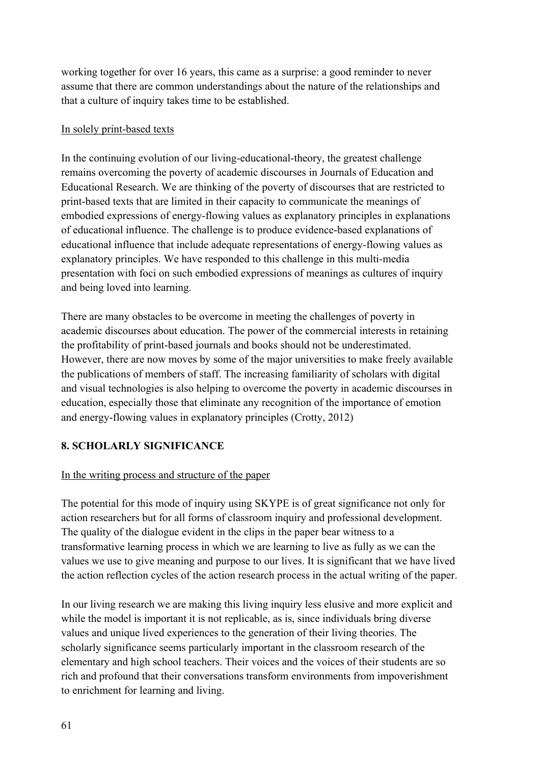working together for over 16 years, this came as a surprise: a good reminder to never assume that there are common understandings about the nature of the relationships and that a culture of inquiry takes time to be established.

### In solely print-based texts

In the continuing evolution of our living-educational-theory, the greatest challenge remains overcoming the poverty of academic discourses in Journals of Education and Educational Research. We are thinking of the poverty of discourses that are restricted to print-based texts that are limited in their capacity to communicate the meanings of embodied expressions of energy-flowing values as explanatory principles in explanations of educational influence. The challenge is to produce evidence-based explanations of educational influence that include adequate representations of energy-flowing values as explanatory principles. We have responded to this challenge in this multi-media presentation with foci on such embodied expressions of meanings as cultures of inquiry and being loved into learning.

There are many obstacles to be overcome in meeting the challenges of poverty in academic discourses about education. The power of the commercial interests in retaining the profitability of print-based journals and books should not be underestimated. However, there are now moves by some of the major universities to make freely available the publications of members of staff. The increasing familiarity of scholars with digital and visual technologies is also helping to overcome the poverty in academic discourses in education, especially those that eliminate any recognition of the importance of emotion and energy-flowing values in explanatory principles (Crotty, 2012)

# **8. SCHOLARLY SIGNIFICANCE**

# In the writing process and structure of the paper

The potential for this mode of inquiry using SKYPE is of great significance not only for action researchers but for all forms of classroom inquiry and professional development. The quality of the dialogue evident in the clips in the paper bear witness to a transformative learning process in which we are learning to live as fully as we can the values we use to give meaning and purpose to our lives. It is significant that we have lived the action reflection cycles of the action research process in the actual writing of the paper.

In our living research we are making this living inquiry less elusive and more explicit and while the model is important it is not replicable, as is, since individuals bring diverse values and unique lived experiences to the generation of their living theories. The scholarly significance seems particularly important in the classroom research of the elementary and high school teachers. Their voices and the voices of their students are so rich and profound that their conversations transform environments from impoverishment to enrichment for learning and living.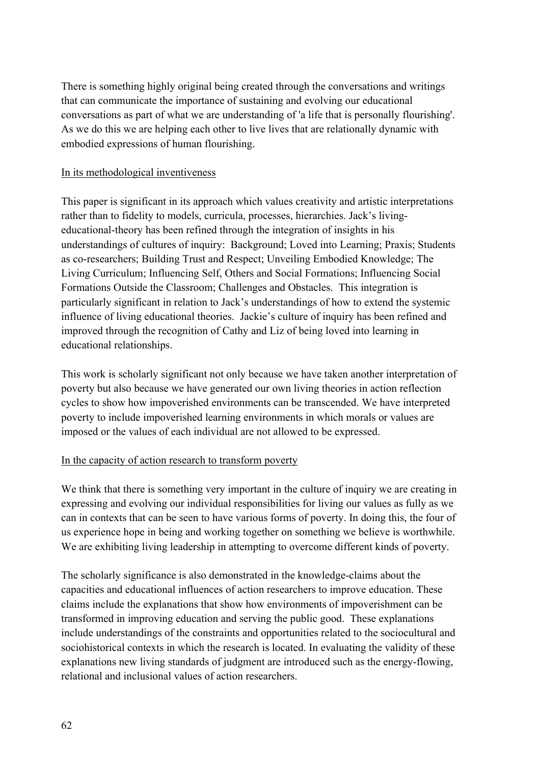There is something highly original being created through the conversations and writings that can communicate the importance of sustaining and evolving our educational conversations as part of what we are understanding of 'a life that is personally flourishing'. As we do this we are helping each other to live lives that are relationally dynamic with embodied expressions of human flourishing.

### In its methodological inventiveness

This paper is significant in its approach which values creativity and artistic interpretations rather than to fidelity to models, curricula, processes, hierarchies. Jack's livingeducational-theory has been refined through the integration of insights in his understandings of cultures of inquiry: Background; Loved into Learning; Praxis; Students as co-researchers; Building Trust and Respect; Unveiling Embodied Knowledge; The Living Curriculum; Influencing Self, Others and Social Formations; Influencing Social Formations Outside the Classroom; Challenges and Obstacles. This integration is particularly significant in relation to Jack's understandings of how to extend the systemic influence of living educational theories. Jackie's culture of inquiry has been refined and improved through the recognition of Cathy and Liz of being loved into learning in educational relationships.

This work is scholarly significant not only because we have taken another interpretation of poverty but also because we have generated our own living theories in action reflection cycles to show how impoverished environments can be transcended. We have interpreted poverty to include impoverished learning environments in which morals or values are imposed or the values of each individual are not allowed to be expressed.

# In the capacity of action research to transform poverty

We think that there is something very important in the culture of inquiry we are creating in expressing and evolving our individual responsibilities for living our values as fully as we can in contexts that can be seen to have various forms of poverty. In doing this, the four of us experience hope in being and working together on something we believe is worthwhile. We are exhibiting living leadership in attempting to overcome different kinds of poverty.

The scholarly significance is also demonstrated in the knowledge-claims about the capacities and educational influences of action researchers to improve education. These claims include the explanations that show how environments of impoverishment can be transformed in improving education and serving the public good. These explanations include understandings of the constraints and opportunities related to the sociocultural and sociohistorical contexts in which the research is located. In evaluating the validity of these explanations new living standards of judgment are introduced such as the energy-flowing, relational and inclusional values of action researchers.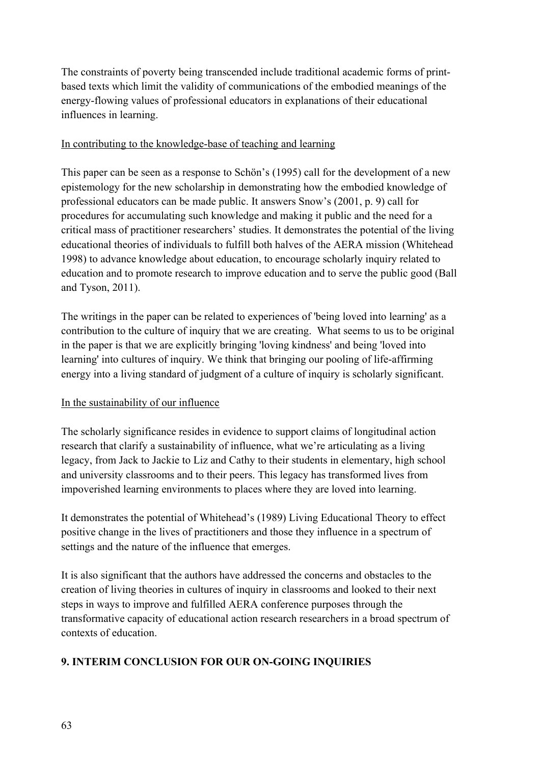The constraints of poverty being transcended include traditional academic forms of printbased texts which limit the validity of communications of the embodied meanings of the energy-flowing values of professional educators in explanations of their educational influences in learning.

## In contributing to the knowledge-base of teaching and learning

This paper can be seen as a response to Schön's (1995) call for the development of a new epistemology for the new scholarship in demonstrating how the embodied knowledge of professional educators can be made public. It answers Snow's (2001, p. 9) call for procedures for accumulating such knowledge and making it public and the need for a critical mass of practitioner researchers' studies. It demonstrates the potential of the living educational theories of individuals to fulfill both halves of the AERA mission (Whitehead 1998) to advance knowledge about education, to encourage scholarly inquiry related to education and to promote research to improve education and to serve the public good (Ball and Tyson, 2011).

The writings in the paper can be related to experiences of 'being loved into learning' as a contribution to the culture of inquiry that we are creating. What seems to us to be original in the paper is that we are explicitly bringing 'loving kindness' and being 'loved into learning' into cultures of inquiry. We think that bringing our pooling of life-affirming energy into a living standard of judgment of a culture of inquiry is scholarly significant.

# In the sustainability of our influence

The scholarly significance resides in evidence to support claims of longitudinal action research that clarify a sustainability of influence, what we're articulating as a living legacy, from Jack to Jackie to Liz and Cathy to their students in elementary, high school and university classrooms and to their peers. This legacy has transformed lives from impoverished learning environments to places where they are loved into learning.

It demonstrates the potential of Whitehead's (1989) Living Educational Theory to effect positive change in the lives of practitioners and those they influence in a spectrum of settings and the nature of the influence that emerges.

It is also significant that the authors have addressed the concerns and obstacles to the creation of living theories in cultures of inquiry in classrooms and looked to their next steps in ways to improve and fulfilled AERA conference purposes through the transformative capacity of educational action research researchers in a broad spectrum of contexts of education.

# **9. INTERIM CONCLUSION FOR OUR ON-GOING INQUIRIES**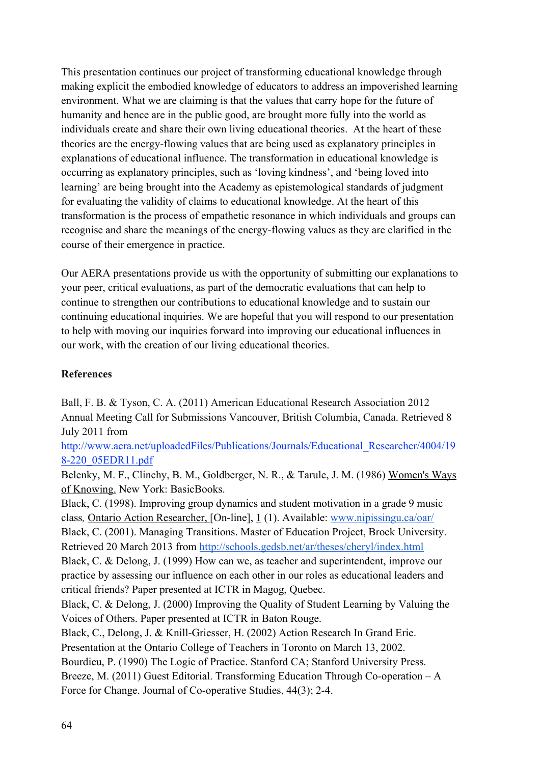This presentation continues our project of transforming educational knowledge through making explicit the embodied knowledge of educators to address an impoverished learning environment. What we are claiming is that the values that carry hope for the future of humanity and hence are in the public good, are brought more fully into the world as individuals create and share their own living educational theories. At the heart of these theories are the energy-flowing values that are being used as explanatory principles in explanations of educational influence. The transformation in educational knowledge is occurring as explanatory principles, such as 'loving kindness', and 'being loved into learning' are being brought into the Academy as epistemological standards of judgment for evaluating the validity of claims to educational knowledge. At the heart of this transformation is the process of empathetic resonance in which individuals and groups can recognise and share the meanings of the energy-flowing values as they are clarified in the course of their emergence in practice.

Our AERA presentations provide us with the opportunity of submitting our explanations to your peer, critical evaluations, as part of the democratic evaluations that can help to continue to strengthen our contributions to educational knowledge and to sustain our continuing educational inquiries. We are hopeful that you will respond to our presentation to help with moving our inquiries forward into improving our educational influences in our work, with the creation of our living educational theories.

# **References**

Ball, F. B. & Tyson, C. A. (2011) American Educational Research Association 2012 Annual Meeting Call for Submissions Vancouver, British Columbia, Canada. Retrieved 8 July 2011 from

http://www.aera.net/uploadedFiles/Publications/Journals/Educational\_Researcher/4004/19 8-220\_05EDR11.pdf

Belenky, M. F., Clinchy, B. M., Goldberger, N. R., & Tarule, J. M. (1986) Women's Ways of Knowing. New York: BasicBooks.

Black, C. (1998). Improving group dynamics and student motivation in a grade 9 music class*,* Ontario Action Researcher, [On-line], 1 (1). Available: www.nipissingu.ca/oar/

Black, C. (2001). Managing Transitions. Master of Education Project, Brock University. Retrieved 20 March 2013 from http://schools.gedsb.net/ar/theses/cheryl/index.html

Black, C. & Delong, J. (1999) How can we, as teacher and superintendent, improve our practice by assessing our influence on each other in our roles as educational leaders and critical friends? Paper presented at ICTR in Magog, Quebec.

Black, C. & Delong, J. (2000) Improving the Quality of Student Learning by Valuing the Voices of Others. Paper presented at ICTR in Baton Rouge.

Black, C., Delong, J. & Knill-Griesser, H. (2002) Action Research In Grand Erie. Presentation at the Ontario College of Teachers in Toronto on March 13, 2002.

Bourdieu, P. (1990) The Logic of Practice. Stanford CA; Stanford University Press.

Breeze, M. (2011) Guest Editorial. Transforming Education Through Co-operation – A Force for Change. Journal of Co-operative Studies, 44(3); 2-4.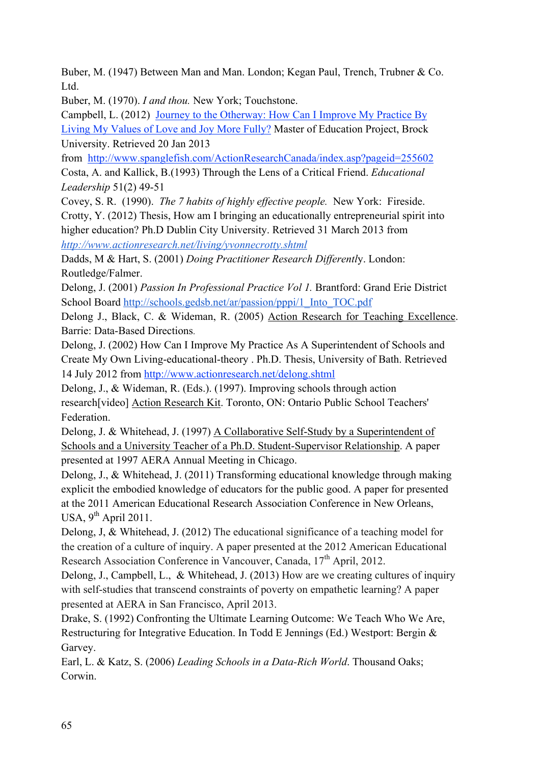Buber, M. (1947) Between Man and Man. London; Kegan Paul, Trench, Trubner & Co. Ltd.

Buber, M. (1970). *I and thou.* New York; Touchstone.

Campbell, L. (2012) Journey to the Otherway: How Can I Improve My Practice By Living My Values of Love and Joy More Fully? Master of Education Project, Brock University. Retrieved 20 Jan 2013

from http://www.spanglefish.com/ActionResearchCanada/index.asp?pageid=255602 Costa, A. and Kallick, B.(1993) Through the Lens of a Critical Friend. *Educational Leadership* 51(2) 49-51

Covey, S. R. (1990). *The 7 habits of highly effective people.* New York: Fireside. Crotty, Y. (2012) Thesis, How am I bringing an educationally entrepreneurial spirit into higher education? Ph.D Dublin City University. Retrieved 31 March 2013 from *http://www.actionresearch.net/living/yvonnecrotty.shtml*

Dadds, M & Hart, S. (2001) *Doing Practitioner Research Differentl*y. London: Routledge/Falmer.

Delong, J. (2001) *Passion In Professional Practice Vol 1.* Brantford: Grand Erie District School Board http://schools.gedsb.net/ar/passion/pppi/1\_Into\_TOC.pdf

Delong J., Black, C. & Wideman, R. (2005) Action Research for Teaching Excellence. Barrie: Data-Based Directions.

Delong, J. (2002) How Can I Improve My Practice As A Superintendent of Schools and Create My Own Living-educational-theory . Ph.D. Thesis, University of Bath. Retrieved 14 July 2012 from http://www.actionresearch.net/delong.shtml

Delong, J., & Wideman, R. (Eds.). (1997). Improving schools through action research[video] Action Research Kit. Toronto, ON: Ontario Public School Teachers' Federation.

Delong, J. & Whitehead, J. (1997) A Collaborative Self-Study by a Superintendent of Schools and a University Teacher of a Ph.D. Student-Supervisor Relationship. A paper presented at 1997 AERA Annual Meeting in Chicago.

Delong, J., & Whitehead, J. (2011) Transforming educational knowledge through making explicit the embodied knowledge of educators for the public good. A paper for presented at the 2011 American Educational Research Association Conference in New Orleans, USA,  $9^{th}$  April 2011.

Delong, J, & Whitehead, J. (2012) The educational significance of a teaching model for the creation of a culture of inquiry. A paper presented at the 2012 American Educational Research Association Conference in Vancouver, Canada,  $17<sup>th</sup>$  April, 2012.

Delong, J., Campbell, L., & Whitehead, J. (2013) How are we creating cultures of inquiry with self-studies that transcend constraints of poverty on empathetic learning? A paper presented at AERA in San Francisco, April 2013.

Drake, S. (1992) Confronting the Ultimate Learning Outcome: We Teach Who We Are, Restructuring for Integrative Education. In Todd E Jennings (Ed.) Westport: Bergin & Garvey.

Earl, L. & Katz, S. (2006) *Leading Schools in a Data-Rich World*. Thousand Oaks; Corwin.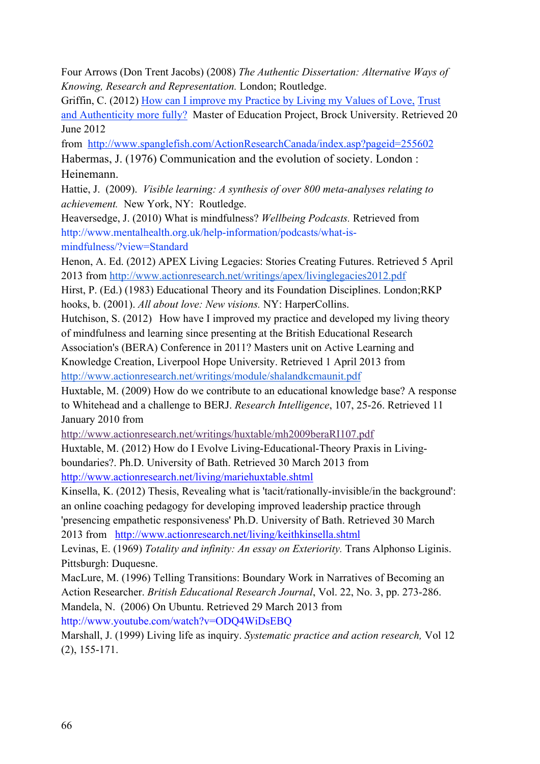Four Arrows (Don Trent Jacobs) (2008) *The Authentic Dissertation: Alternative Ways of Knowing, Research and Representation.* London; Routledge.

Griffin, C. (2012) How can I improve my Practice by Living my Values of Love, Trust and Authenticity more fully? Master of Education Project, Brock University. Retrieved 20 June 2012

from http://www.spanglefish.com/ActionResearchCanada/index.asp?pageid=255602 Habermas, J. (1976) Communication and the evolution of society. London : Heinemann.

Hattie, J. (2009). *Visible learning: A synthesis of over 800 meta-analyses relating to achievement.* New York, NY: Routledge.

Heaversedge, J. (2010) What is mindfulness? *Wellbeing Podcasts.* Retrieved from http://www.mentalhealth.org.uk/help-information/podcasts/what-ismindfulness/?view=Standard

Henon, A. Ed. (2012) APEX Living Legacies: Stories Creating Futures. Retrieved 5 April 2013 from http://www.actionresearch.net/writings/apex/livinglegacies2012.pdf

Hirst, P. (Ed.) (1983) Educational Theory and its Foundation Disciplines. London;RKP hooks, b. (2001). *All about love: New visions.* NY: HarperCollins.

Hutchison, S. (2012) How have I improved my practice and developed my living theory of mindfulness and learning since presenting at the British Educational Research Association's (BERA) Conference in 2011? Masters unit on Active Learning and Knowledge Creation, Liverpool Hope University. Retrieved 1 April 2013 from

http://www.actionresearch.net/writings/module/shalandkcmaunit.pdf

Huxtable, M. (2009) How do we contribute to an educational knowledge base? A response to Whitehead and a challenge to BERJ. *Research Intelligence*, 107, 25-26. Retrieved 11 January 2010 from

http://www.actionresearch.net/writings/huxtable/mh2009beraRI107.pdf

Huxtable, M. (2012) How do I Evolve Living-Educational-Theory Praxis in Livingboundaries?. Ph.D. University of Bath. Retrieved 30 March 2013 from

http://www.actionresearch.net/living/mariehuxtable.shtml

Kinsella, K. (2012) Thesis, Revealing what is 'tacit/rationally-invisible/in the background': an online coaching pedagogy for developing improved leadership practice through 'presencing empathetic responsiveness' Ph.D. University of Bath. Retrieved 30 March 2013 from http://www.actionresearch.net/living/keithkinsella.shtml

Levinas, E. (1969) *Totality and infinity: An essay on Exteriority*. Trans Alphonso Liginis.

Pittsburgh: Duquesne.

MacLure, M. (1996) Telling Transitions: Boundary Work in Narratives of Becoming an Action Researcher. *British Educational Research Journal*, Vol. 22, No. 3, pp. 273-286. Mandela, N. (2006) On Ubuntu. Retrieved 29 March 2013 from http://www.youtube.com/watch?v=ODQ4WiDsEBQ

Marshall, J. (1999) Living life as inquiry. *Systematic practice and action research,* Vol 12 (2), 155-171.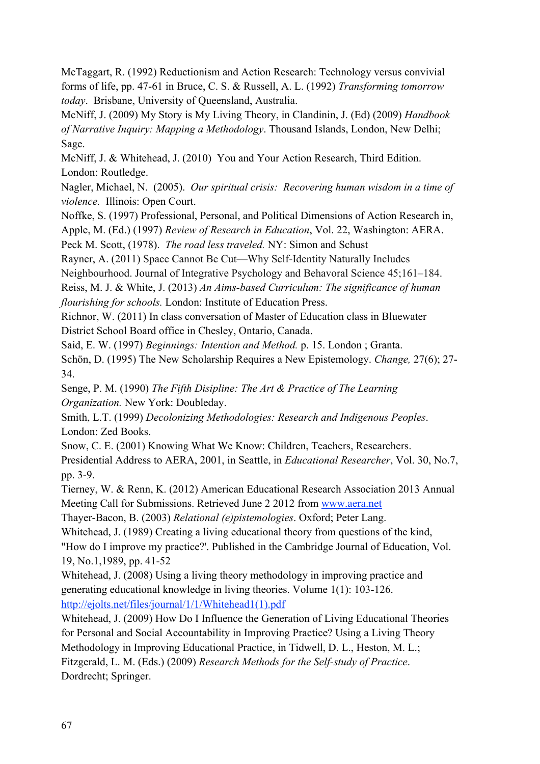McTaggart, R. (1992) Reductionism and Action Research: Technology versus convivial forms of life, pp. 47-61 in Bruce, C. S. & Russell, A. L. (1992) *Transforming tomorrow today*. Brisbane, University of Queensland, Australia.

McNiff, J. (2009) My Story is My Living Theory, in Clandinin, J. (Ed) (2009) *Handbook of Narrative Inquiry: Mapping a Methodology*. Thousand Islands, London, New Delhi; Sage.

McNiff, J. & Whitehead, J. (2010) You and Your Action Research, Third Edition. London: Routledge.

Nagler, Michael, N. (2005). *Our spiritual crisis: Recovering human wisdom in a time of violence.* Illinois: Open Court.

Noffke, S. (1997) Professional, Personal, and Political Dimensions of Action Research in,

Apple, M. (Ed.) (1997) *Review of Research in Education*, Vol. 22, Washington: AERA.

Peck M. Scott, (1978). *The road less traveled.* NY: Simon and Schust

Rayner, A. (2011) Space Cannot Be Cut—Why Self-Identity Naturally Includes

Neighbourhood. Journal of Integrative Psychology and Behavoral Science 45;161–184.

Reiss, M. J. & White, J. (2013) *An Aims-based Curriculum: The significance of human flourishing for schools.* London: Institute of Education Press.

Richnor, W. (2011) In class conversation of Master of Education class in Bluewater District School Board office in Chesley, Ontario, Canada.

Said, E. W. (1997) *Beginnings: Intention and Method.* p. 15. London ; Granta.

Schön, D. (1995) The New Scholarship Requires a New Epistemology. *Change,* 27(6); 27- 34.

Senge, P. M. (1990) *The Fifth Disipline: The Art & Practice of The Learning Organization.* New York: Doubleday.

Smith, L.T. (1999) *Decolonizing Methodologies: Research and Indigenous Peoples*. London: Zed Books.

Snow, C. E. (2001) Knowing What We Know: Children, Teachers, Researchers.

Presidential Address to AERA, 2001, in Seattle, in *Educational Researcher*, Vol. 30, No.7, pp. 3-9.

Tierney, W. & Renn, K. (2012) American Educational Research Association 2013 Annual Meeting Call for Submissions. Retrieved June 2 2012 from www.aera.net

Thayer-Bacon, B. (2003) *Relational (e)pistemologies*. Oxford; Peter Lang.

Whitehead, J. (1989) Creating a living educational theory from questions of the kind, "How do I improve my practice?'. Published in the Cambridge Journal of Education, Vol. 19, No.1,1989, pp. 41-52

Whitehead, J. (2008) Using a living theory methodology in improving practice and generating educational knowledge in living theories. Volume 1(1): 103-126. http://ejolts.net/files/journal/1/1/Whitehead1(1).pdf

Whitehead, J. (2009) How Do I Influence the Generation of Living Educational Theories for Personal and Social Accountability in Improving Practice? Using a Living Theory Methodology in Improving Educational Practice, in Tidwell, D. L., Heston, M. L.; Fitzgerald, L. M. (Eds.) (2009) *Research Methods for the Self-study of Practice*. Dordrecht; Springer.